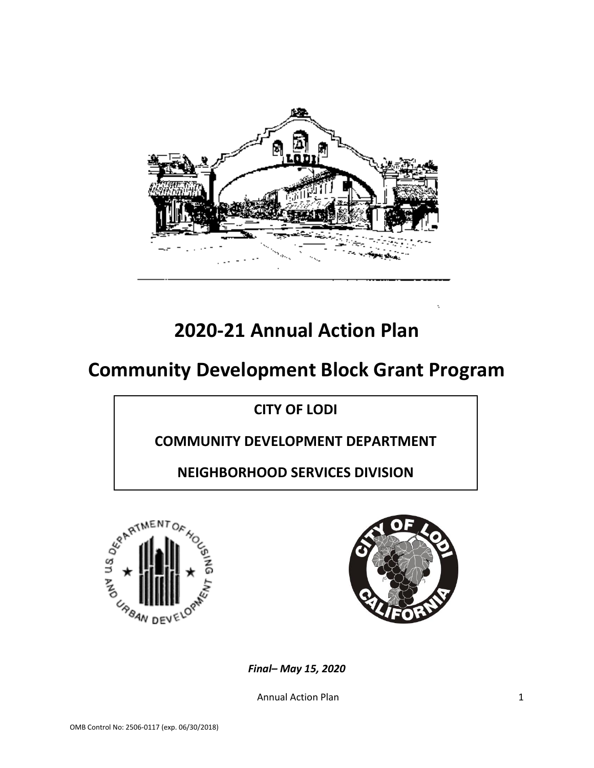

# **2020-21 Annual Action Plan**

# **Community Development Block Grant Program**

**CITY OF LODI**

**COMMUNITY DEVELOPMENT DEPARTMENT**

**NEIGHBORHOOD SERVICES DIVISION**





*Final– May 15, 2020*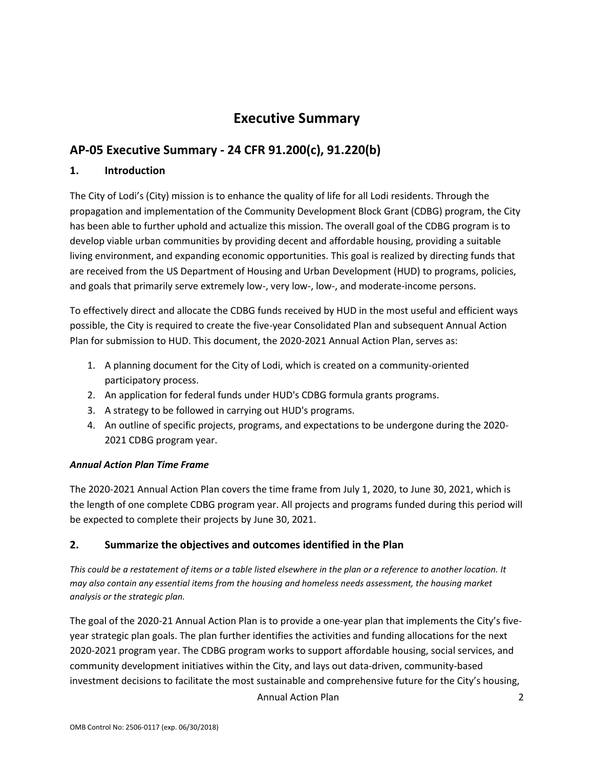## **Executive Summary**

### **AP-05 Executive Summary - 24 CFR 91.200(c), 91.220(b)**

### **1. Introduction**

The City of Lodi's (City) mission is to enhance the quality of life for all Lodi residents. Through the propagation and implementation of the Community Development Block Grant (CDBG) program, the City has been able to further uphold and actualize this mission. The overall goal of the CDBG program is to develop viable urban communities by providing decent and affordable housing, providing a suitable living environment, and expanding economic opportunities. This goal is realized by directing funds that are received from the US Department of Housing and Urban Development (HUD) to programs, policies, and goals that primarily serve extremely low-, very low-, low-, and moderate-income persons.

To effectively direct and allocate the CDBG funds received by HUD in the most useful and efficient ways possible, the City is required to create the five-year Consolidated Plan and subsequent Annual Action Plan for submission to HUD. This document, the 2020-2021 Annual Action Plan, serves as:

- 1. A planning document for the City of Lodi, which is created on a community-oriented participatory process.
- 2. An application for federal funds under HUD's CDBG formula grants programs.
- 3. A strategy to be followed in carrying out HUD's programs.
- 4. An outline of specific projects, programs, and expectations to be undergone during the 2020- 2021 CDBG program year.

#### *Annual Action Plan Time Frame*

The 2020‐2021 Annual Action Plan covers the time frame from July 1, 2020, to June 30, 2021, which is the length of one complete CDBG program year. All projects and programs funded during this period will be expected to complete their projects by June 30, 2021.

#### **2. Summarize the objectives and outcomes identified in the Plan**

*This could be a restatement of items or a table listed elsewhere in the plan or a reference to another location. It may also contain any essential items from the housing and homeless needs assessment, the housing market analysis or the strategic plan.*

The goal of the 2020-21 Annual Action Plan is to provide a one-year plan that implements the City's fiveyear strategic plan goals. The plan further identifies the activities and funding allocations for the next 2020-2021 program year. The CDBG program works to support affordable housing, social services, and community development initiatives within the City, and lays out data-driven, community-based investment decisions to facilitate the most sustainable and comprehensive future for the City's housing,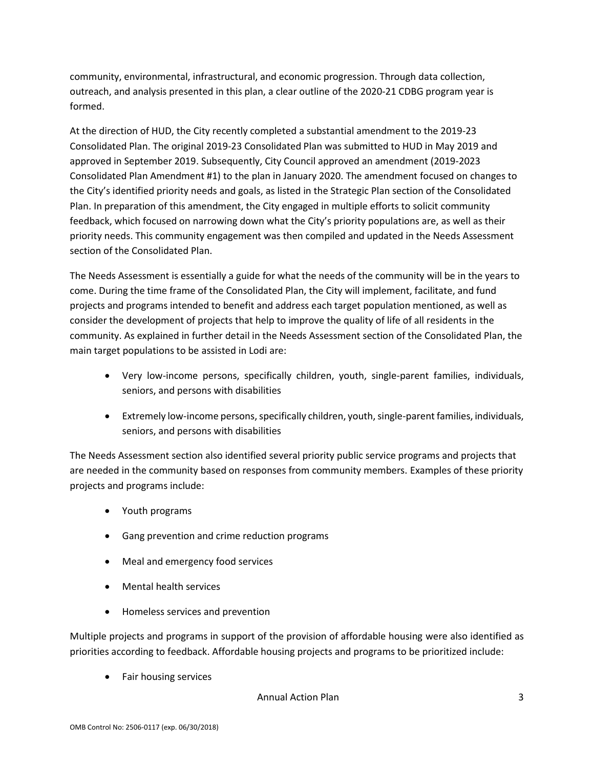community, environmental, infrastructural, and economic progression. Through data collection, outreach, and analysis presented in this plan, a clear outline of the 2020-21 CDBG program year is formed.

At the direction of HUD, the City recently completed a substantial amendment to the 2019-23 Consolidated Plan. The original 2019-23 Consolidated Plan was submitted to HUD in May 2019 and approved in September 2019. Subsequently, City Council approved an amendment (2019-2023 Consolidated Plan Amendment #1) to the plan in January 2020. The amendment focused on changes to the City's identified priority needs and goals, as listed in the Strategic Plan section of the Consolidated Plan. In preparation of this amendment, the City engaged in multiple efforts to solicit community feedback, which focused on narrowing down what the City's priority populations are, as well as their priority needs. This community engagement was then compiled and updated in the Needs Assessment section of the Consolidated Plan.

The Needs Assessment is essentially a guide for what the needs of the community will be in the years to come. During the time frame of the Consolidated Plan, the City will implement, facilitate, and fund projects and programs intended to benefit and address each target population mentioned, as well as consider the development of projects that help to improve the quality of life of all residents in the community. As explained in further detail in the Needs Assessment section of the Consolidated Plan, the main target populations to be assisted in Lodi are:

- Very low-income persons, specifically children, youth, single-parent families, individuals, seniors, and persons with disabilities
- Extremely low-income persons, specifically children, youth, single-parent families, individuals, seniors, and persons with disabilities

The Needs Assessment section also identified several priority public service programs and projects that are needed in the community based on responses from community members. Examples of these priority projects and programs include:

- Youth programs
- Gang prevention and crime reduction programs
- Meal and emergency food services
- Mental health services
- Homeless services and prevention

Multiple projects and programs in support of the provision of affordable housing were also identified as priorities according to feedback. Affordable housing projects and programs to be prioritized include:

• Fair housing services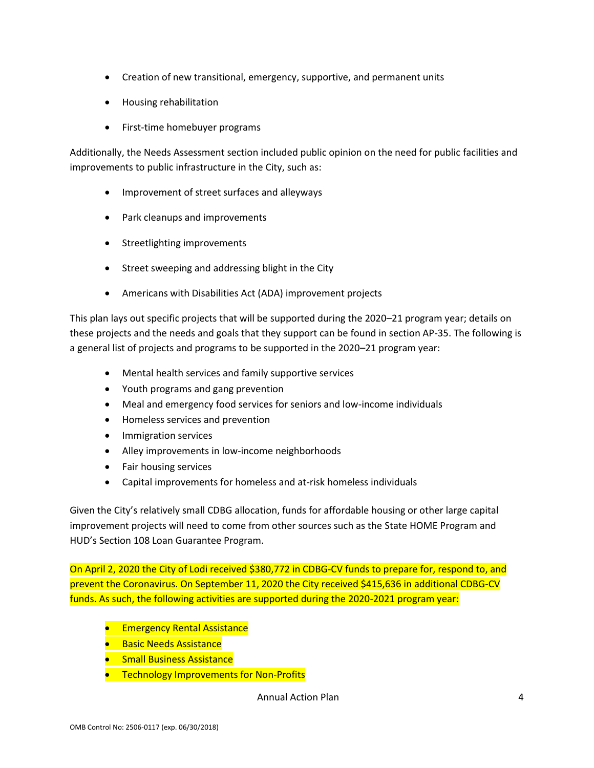- Creation of new transitional, emergency, supportive, and permanent units
- Housing rehabilitation
- First-time homebuyer programs

Additionally, the Needs Assessment section included public opinion on the need for public facilities and improvements to public infrastructure in the City, such as:

- Improvement of street surfaces and alleyways
- Park cleanups and improvements
- Streetlighting improvements
- Street sweeping and addressing blight in the City
- Americans with Disabilities Act (ADA) improvement projects

This plan lays out specific projects that will be supported during the 2020–21 program year; details on these projects and the needs and goals that they support can be found in section AP-35. The following is a general list of projects and programs to be supported in the 2020–21 program year:

- Mental health services and family supportive services
- Youth programs and gang prevention
- Meal and emergency food services for seniors and low-income individuals
- Homeless services and prevention
- Immigration services
- Alley improvements in low-income neighborhoods
- Fair housing services
- Capital improvements for homeless and at-risk homeless individuals

Given the City's relatively small CDBG allocation, funds for affordable housing or other large capital improvement projects will need to come from other sources such as the State HOME Program and HUD's Section 108 Loan Guarantee Program.

On April 2, 2020 the City of Lodi received \$380,772 in CDBG-CV funds to prepare for, respond to, and prevent the Coronavirus. On September 11, 2020 the City received \$415,636 in additional CDBG-CV funds. As such, the following activities are supported during the 2020-2021 program year:

- **•** Emergency Rental Assistance
- **Basic Needs Assistance**
- **•** Small Business Assistance
- **•** Technology Improvements for Non-Profits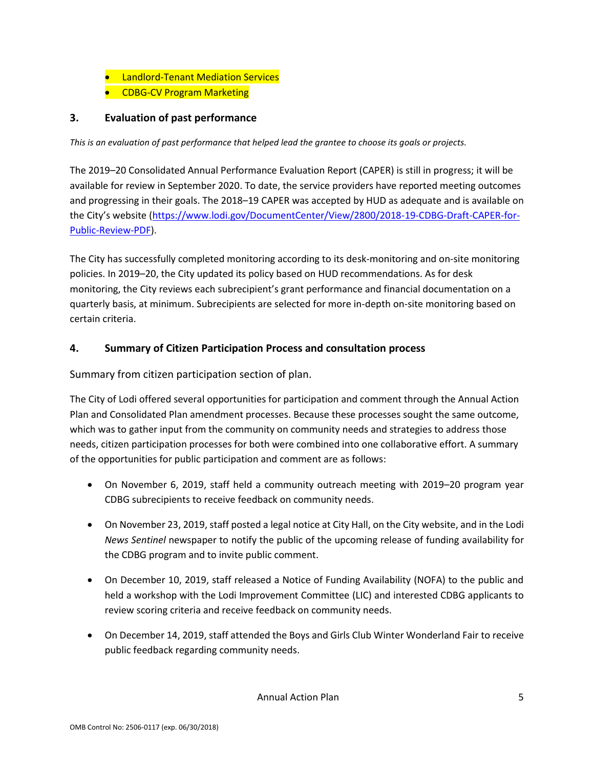- Landlord-Tenant Mediation Services
- CDBG-CV Program Marketing

### **3. Evaluation of past performance**

*This is an evaluation of past performance that helped lead the grantee to choose its goals or projects.*

The 2019–20 Consolidated Annual Performance Evaluation Report (CAPER) is still in progress; it will be available for review in September 2020. To date, the service providers have reported meeting outcomes and progressing in their goals. The 2018–19 CAPER was accepted by HUD as adequate and is available on the City's website [\(https://www.lodi.gov/DocumentCenter/View/2800/2018-19-CDBG-Draft-CAPER-for-](https://www.lodi.gov/DocumentCenter/View/2800/2018-19-CDBG-Draft-CAPER-for-Public-Review-PDF)[Public-Review-PDF\)](https://www.lodi.gov/DocumentCenter/View/2800/2018-19-CDBG-Draft-CAPER-for-Public-Review-PDF).

The City has successfully completed monitoring according to its desk-monitoring and on-site monitoring policies. In 2019–20, the City updated its policy based on HUD recommendations. As for desk monitoring, the City reviews each subrecipient's grant performance and financial documentation on a quarterly basis, at minimum. Subrecipients are selected for more in-depth on-site monitoring based on certain criteria.

#### **4. Summary of Citizen Participation Process and consultation process**

Summary from citizen participation section of plan.

The City of Lodi offered several opportunities for participation and comment through the Annual Action Plan and Consolidated Plan amendment processes. Because these processes sought the same outcome, which was to gather input from the community on community needs and strategies to address those needs, citizen participation processes for both were combined into one collaborative effort. A summary of the opportunities for public participation and comment are as follows:

- On November 6, 2019, staff held a community outreach meeting with 2019–20 program year CDBG subrecipients to receive feedback on community needs.
- On November 23, 2019, staff posted a legal notice at City Hall, on the City website, and in the Lodi *News Sentinel* newspaper to notify the public of the upcoming release of funding availability for the CDBG program and to invite public comment.
- On December 10, 2019, staff released a Notice of Funding Availability (NOFA) to the public and held a workshop with the Lodi Improvement Committee (LIC) and interested CDBG applicants to review scoring criteria and receive feedback on community needs.
- On December 14, 2019, staff attended the Boys and Girls Club Winter Wonderland Fair to receive public feedback regarding community needs.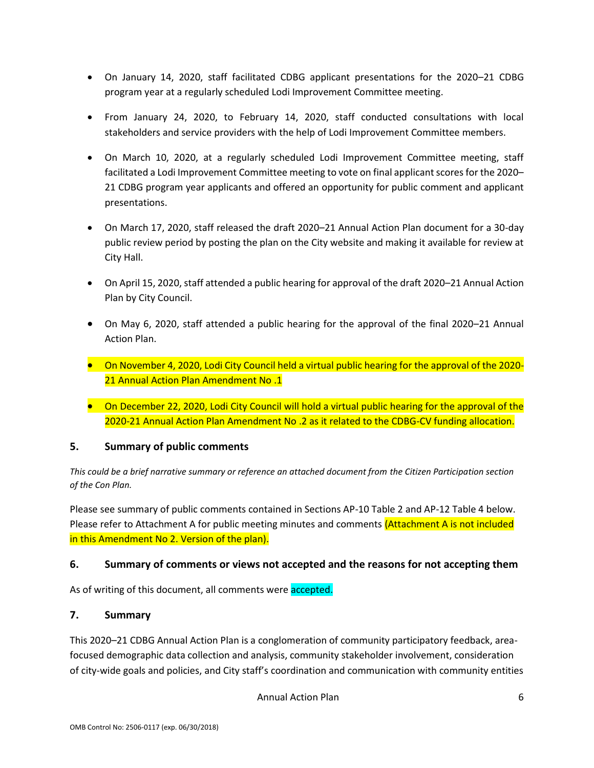- On January 14, 2020, staff facilitated CDBG applicant presentations for the 2020–21 CDBG program year at a regularly scheduled Lodi Improvement Committee meeting.
- From January 24, 2020, to February 14, 2020, staff conducted consultations with local stakeholders and service providers with the help of Lodi Improvement Committee members.
- On March 10, 2020, at a regularly scheduled Lodi Improvement Committee meeting, staff facilitated a Lodi Improvement Committee meeting to vote on final applicant scores for the 2020– 21 CDBG program year applicants and offered an opportunity for public comment and applicant presentations.
- On March 17, 2020, staff released the draft 2020–21 Annual Action Plan document for a 30-day public review period by posting the plan on the City website and making it available for review at City Hall.
- On April 15, 2020, staff attended a public hearing for approval of the draft 2020–21 Annual Action Plan by City Council.
- On May 6, 2020, staff attended a public hearing for the approval of the final 2020–21 Annual Action Plan.
- On November 4, 2020, Lodi City Council held a virtual public hearing for the approval of the 2020- 21 Annual Action Plan Amendment No .1
- On December 22, 2020, Lodi City Council will hold a virtual public hearing for the approval of the 2020-21 Annual Action Plan Amendment No .2 as it related to the CDBG-CV funding allocation.

#### **5. Summary of public comments**

*This could be a brief narrative summary or reference an attached document from the Citizen Participation section of the Con Plan.*

Please see summary of public comments contained in Sections AP-10 Table 2 and AP-12 Table 4 below. Please refer to Attachment A for public meeting minutes and comments (Attachment A is not included in this Amendment No 2. Version of the plan).

#### **6. Summary of comments or views not accepted and the reasons for not accepting them**

As of writing of this document, all comments were accepted.

#### **7. Summary**

This 2020–21 CDBG Annual Action Plan is a conglomeration of community participatory feedback, areafocused demographic data collection and analysis, community stakeholder involvement, consideration of city-wide goals and policies, and City staff's coordination and communication with community entities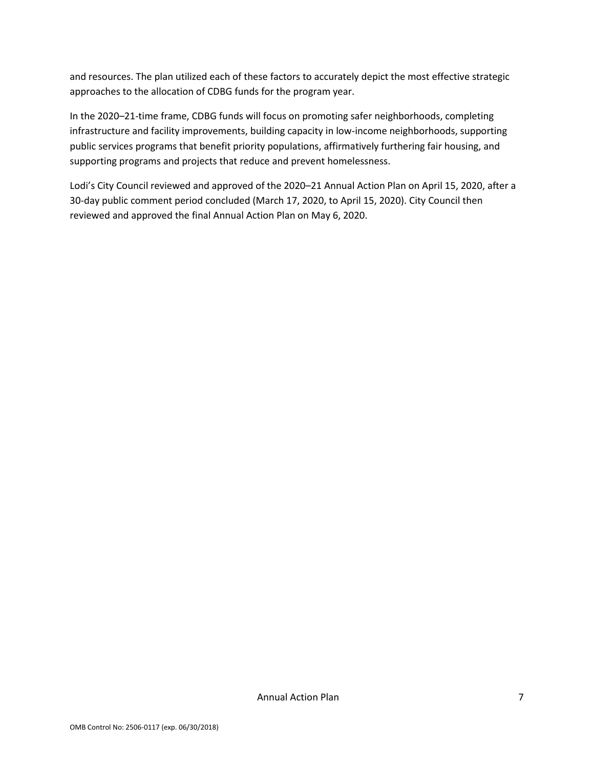and resources. The plan utilized each of these factors to accurately depict the most effective strategic approaches to the allocation of CDBG funds for the program year.

In the 2020–21-time frame, CDBG funds will focus on promoting safer neighborhoods, completing infrastructure and facility improvements, building capacity in low-income neighborhoods, supporting public services programs that benefit priority populations, affirmatively furthering fair housing, and supporting programs and projects that reduce and prevent homelessness.

Lodi's City Council reviewed and approved of the 2020–21 Annual Action Plan on April 15, 2020, after a 30-day public comment period concluded (March 17, 2020, to April 15, 2020). City Council then reviewed and approved the final Annual Action Plan on May 6, 2020.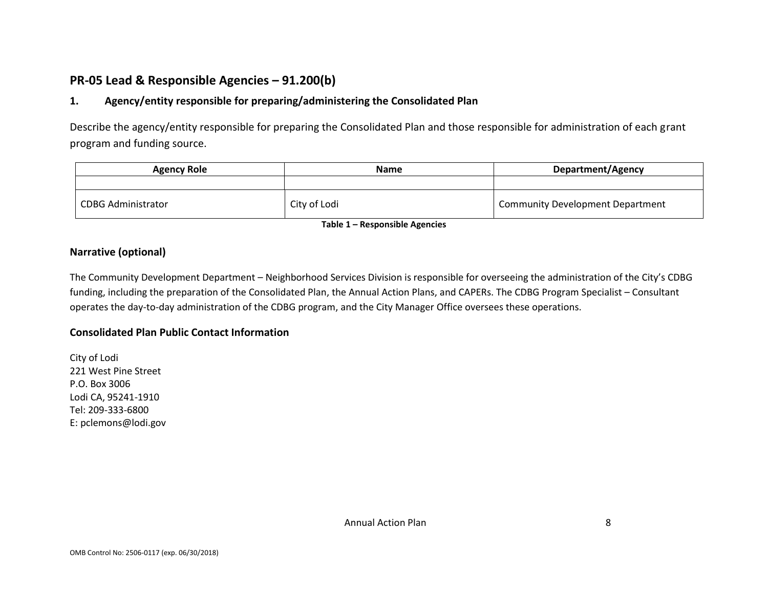### **PR-05 Lead & Responsible Agencies – 91.200(b)**

### **1. Agency/entity responsible for preparing/administering the Consolidated Plan**

Describe the agency/entity responsible for preparing the Consolidated Plan and those responsible for administration of each grant program and funding source.

| <b>Agency Role</b>        | <b>Name</b>  | <b>Department/Agency</b>                |  |
|---------------------------|--------------|-----------------------------------------|--|
|                           |              |                                         |  |
| <b>CDBG Administrator</b> | City of Lodi | <b>Community Development Department</b> |  |

**Table 1 – Responsible Agencies**

#### **Narrative (optional)**

The Community Development Department – Neighborhood Services Division is responsible for overseeing the administration of the City's CDBG funding, including the preparation of the Consolidated Plan, the Annual Action Plans, and CAPERs. The CDBG Program Specialist – Consultant operates the day‐to‐day administration of the CDBG program, and the City Manager Office oversees these operations.

#### **Consolidated Plan Public Contact Information**

City of Lodi 221 West Pine Street P.O. Box 3006 Lodi CA, 95241-1910 Tel: 209-333-6800 E: pclemons@lodi.gov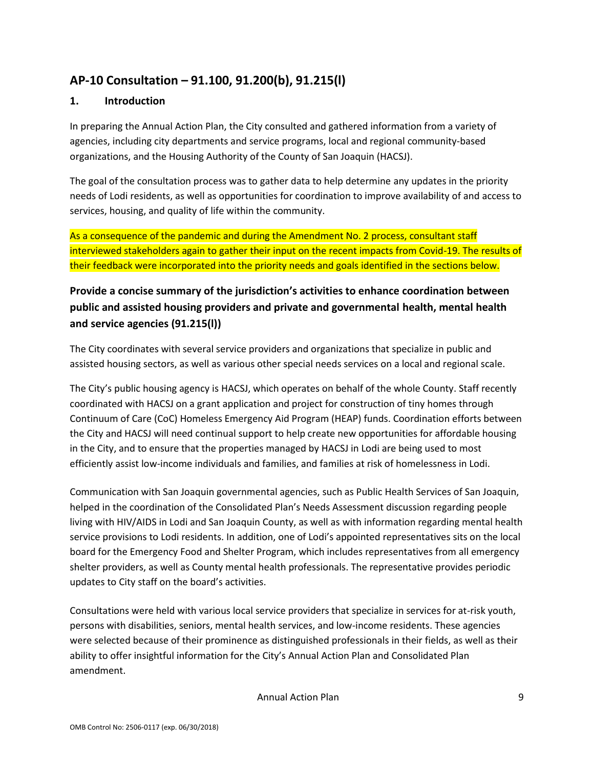### **AP-10 Consultation – 91.100, 91.200(b), 91.215(l)**

### **1. Introduction**

In preparing the Annual Action Plan, the City consulted and gathered information from a variety of agencies, including city departments and service programs, local and regional community-based organizations, and the Housing Authority of the County of San Joaquin (HACSJ).

The goal of the consultation process was to gather data to help determine any updates in the priority needs of Lodi residents, as well as opportunities for coordination to improve availability of and access to services, housing, and quality of life within the community.

As a consequence of the pandemic and during the Amendment No. 2 process, consultant staff interviewed stakeholders again to gather their input on the recent impacts from Covid-19. The results of their feedback were incorporated into the priority needs and goals identified in the sections below.

### **Provide a concise summary of the jurisdiction's activities to enhance coordination between public and assisted housing providers and private and governmental health, mental health and service agencies (91.215(l))**

The City coordinates with several service providers and organizations that specialize in public and assisted housing sectors, as well as various other special needs services on a local and regional scale.

The City's public housing agency is HACSJ, which operates on behalf of the whole County. Staff recently coordinated with HACSJ on a grant application and project for construction of tiny homes through Continuum of Care (CoC) Homeless Emergency Aid Program (HEAP) funds. Coordination efforts between the City and HACSJ will need continual support to help create new opportunities for affordable housing in the City, and to ensure that the properties managed by HACSJ in Lodi are being used to most efficiently assist low-income individuals and families, and families at risk of homelessness in Lodi.

Communication with San Joaquin governmental agencies, such as Public Health Services of San Joaquin, helped in the coordination of the Consolidated Plan's Needs Assessment discussion regarding people living with HIV/AIDS in Lodi and San Joaquin County, as well as with information regarding mental health service provisions to Lodi residents. In addition, one of Lodi's appointed representatives sits on the local board for the Emergency Food and Shelter Program, which includes representatives from all emergency shelter providers, as well as County mental health professionals. The representative provides periodic updates to City staff on the board's activities.

Consultations were held with various local service providers that specialize in services for at-risk youth, persons with disabilities, seniors, mental health services, and low-income residents. These agencies were selected because of their prominence as distinguished professionals in their fields, as well as their ability to offer insightful information for the City's Annual Action Plan and Consolidated Plan amendment.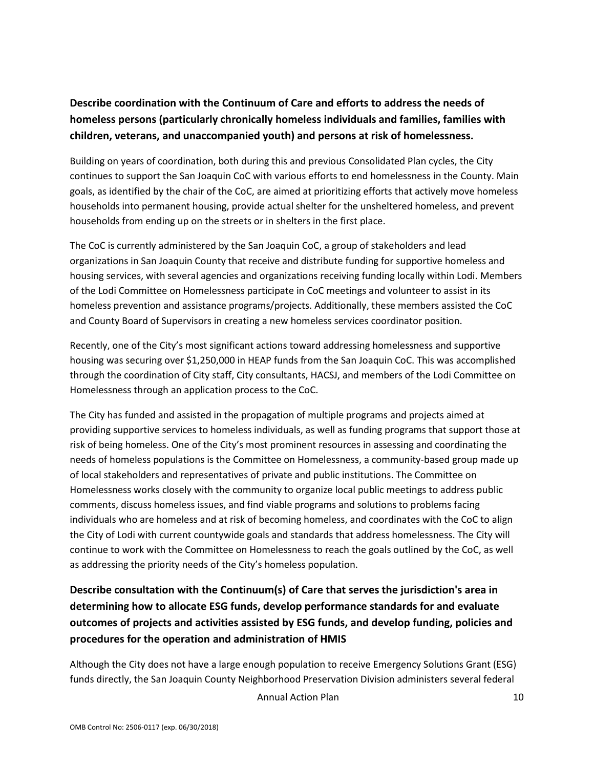### **Describe coordination with the Continuum of Care and efforts to address the needs of homeless persons (particularly chronically homeless individuals and families, families with children, veterans, and unaccompanied youth) and persons at risk of homelessness.**

Building on years of coordination, both during this and previous Consolidated Plan cycles, the City continues to support the San Joaquin CoC with various efforts to end homelessness in the County. Main goals, as identified by the chair of the CoC, are aimed at prioritizing efforts that actively move homeless households into permanent housing, provide actual shelter for the unsheltered homeless, and prevent households from ending up on the streets or in shelters in the first place.

The CoC is currently administered by the San Joaquin CoC, a group of stakeholders and lead organizations in San Joaquin County that receive and distribute funding for supportive homeless and housing services, with several agencies and organizations receiving funding locally within Lodi. Members of the Lodi Committee on Homelessness participate in CoC meetings and volunteer to assist in its homeless prevention and assistance programs/projects. Additionally, these members assisted the CoC and County Board of Supervisors in creating a new homeless services coordinator position.

Recently, one of the City's most significant actions toward addressing homelessness and supportive housing was securing over \$1,250,000 in HEAP funds from the San Joaquin CoC. This was accomplished through the coordination of City staff, City consultants, HACSJ, and members of the Lodi Committee on Homelessness through an application process to the CoC.

The City has funded and assisted in the propagation of multiple programs and projects aimed at providing supportive services to homeless individuals, as well as funding programs that support those at risk of being homeless. One of the City's most prominent resources in assessing and coordinating the needs of homeless populations is the Committee on Homelessness, a community-based group made up of local stakeholders and representatives of private and public institutions. The Committee on Homelessness works closely with the community to organize local public meetings to address public comments, discuss homeless issues, and find viable programs and solutions to problems facing individuals who are homeless and at risk of becoming homeless, and coordinates with the CoC to align the City of Lodi with current countywide goals and standards that address homelessness. The City will continue to work with the Committee on Homelessness to reach the goals outlined by the CoC, as well as addressing the priority needs of the City's homeless population.

### **Describe consultation with the Continuum(s) of Care that serves the jurisdiction's area in determining how to allocate ESG funds, develop performance standards for and evaluate outcomes of projects and activities assisted by ESG funds, and develop funding, policies and procedures for the operation and administration of HMIS**

Although the City does not have a large enough population to receive Emergency Solutions Grant (ESG) funds directly, the San Joaquin County Neighborhood Preservation Division administers several federal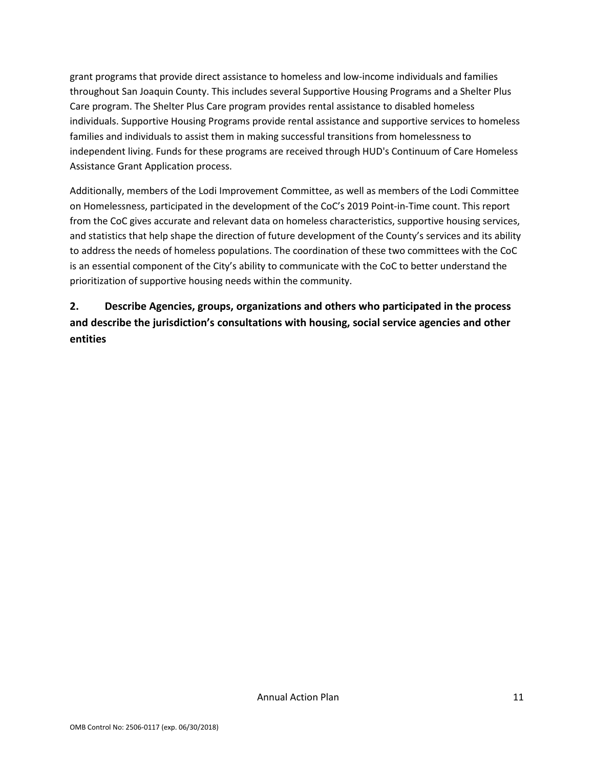grant programs that provide direct assistance to homeless and low-income individuals and families throughout San Joaquin County. This includes several Supportive Housing Programs and a Shelter Plus Care program. The Shelter Plus Care program provides rental assistance to disabled homeless individuals. Supportive Housing Programs provide rental assistance and supportive services to homeless families and individuals to assist them in making successful transitions from homelessness to independent living. Funds for these programs are received through HUD's Continuum of Care Homeless Assistance Grant Application process.

Additionally, members of the Lodi Improvement Committee, as well as members of the Lodi Committee on Homelessness, participated in the development of the CoC's 2019 Point-in-Time count. This report from the CoC gives accurate and relevant data on homeless characteristics, supportive housing services, and statistics that help shape the direction of future development of the County's services and its ability to address the needs of homeless populations. The coordination of these two committees with the CoC is an essential component of the City's ability to communicate with the CoC to better understand the prioritization of supportive housing needs within the community.

### **2. Describe Agencies, groups, organizations and others who participated in the process and describe the jurisdiction's consultations with housing, social service agencies and other entities**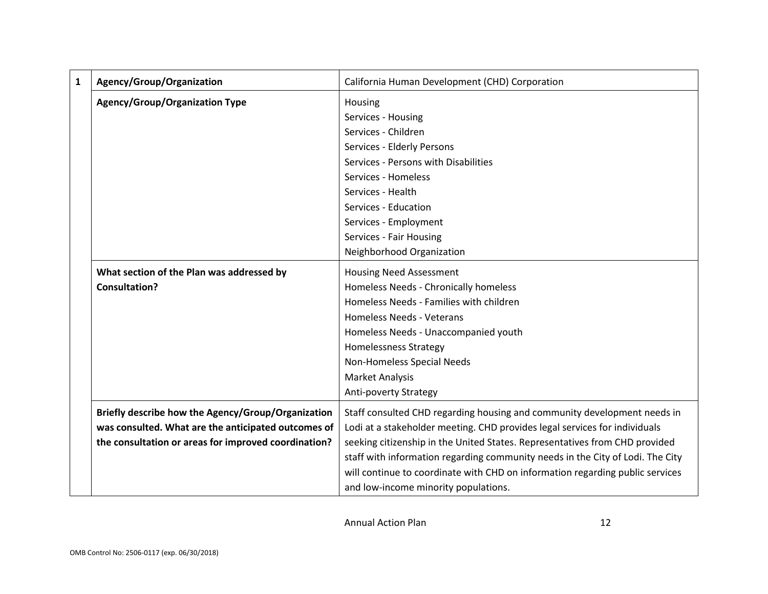| $\mathbf{1}$ | Agency/Group/Organization                            | California Human Development (CHD) Corporation                                 |  |  |  |
|--------------|------------------------------------------------------|--------------------------------------------------------------------------------|--|--|--|
|              | <b>Agency/Group/Organization Type</b>                | Housing                                                                        |  |  |  |
|              |                                                      | Services - Housing                                                             |  |  |  |
|              |                                                      | Services - Children                                                            |  |  |  |
|              |                                                      | Services - Elderly Persons                                                     |  |  |  |
|              |                                                      | Services - Persons with Disabilities                                           |  |  |  |
|              |                                                      | Services - Homeless                                                            |  |  |  |
|              |                                                      | Services - Health                                                              |  |  |  |
|              |                                                      | Services - Education                                                           |  |  |  |
|              |                                                      | Services - Employment                                                          |  |  |  |
|              |                                                      | Services - Fair Housing                                                        |  |  |  |
|              |                                                      | Neighborhood Organization                                                      |  |  |  |
|              | What section of the Plan was addressed by            | <b>Housing Need Assessment</b>                                                 |  |  |  |
|              | <b>Consultation?</b>                                 | Homeless Needs - Chronically homeless                                          |  |  |  |
|              |                                                      | Homeless Needs - Families with children                                        |  |  |  |
|              |                                                      | <b>Homeless Needs - Veterans</b>                                               |  |  |  |
|              |                                                      | Homeless Needs - Unaccompanied youth                                           |  |  |  |
|              |                                                      | <b>Homelessness Strategy</b>                                                   |  |  |  |
|              |                                                      | Non-Homeless Special Needs                                                     |  |  |  |
|              |                                                      | <b>Market Analysis</b>                                                         |  |  |  |
|              |                                                      | <b>Anti-poverty Strategy</b>                                                   |  |  |  |
|              | Briefly describe how the Agency/Group/Organization   | Staff consulted CHD regarding housing and community development needs in       |  |  |  |
|              | was consulted. What are the anticipated outcomes of  | Lodi at a stakeholder meeting. CHD provides legal services for individuals     |  |  |  |
|              | the consultation or areas for improved coordination? | seeking citizenship in the United States. Representatives from CHD provided    |  |  |  |
|              |                                                      | staff with information regarding community needs in the City of Lodi. The City |  |  |  |
|              |                                                      | will continue to coordinate with CHD on information regarding public services  |  |  |  |
|              |                                                      | and low-income minority populations.                                           |  |  |  |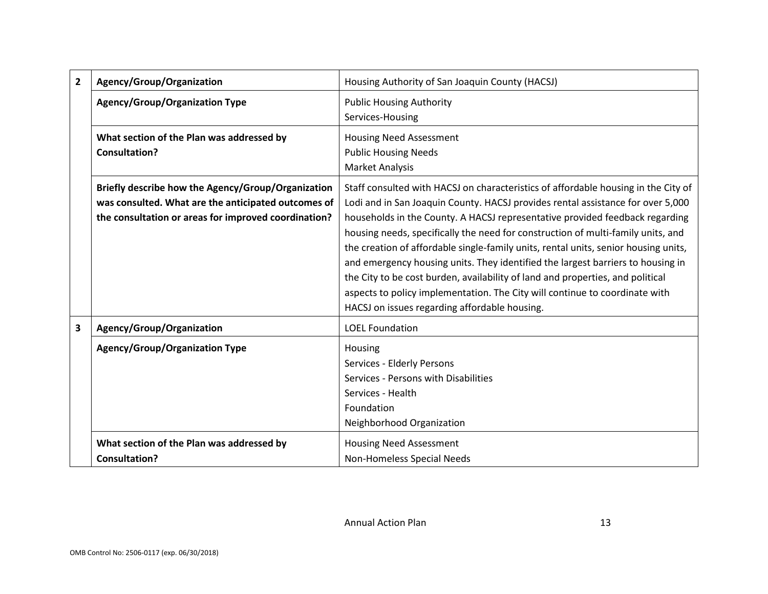| 2 | Agency/Group/Organization                                                                                                                                         | Housing Authority of San Joaquin County (HACSJ)                                                                                                                                                                                                                                                                                                                                                                                                                                                                                                                                                                                                                                                                                       |  |  |
|---|-------------------------------------------------------------------------------------------------------------------------------------------------------------------|---------------------------------------------------------------------------------------------------------------------------------------------------------------------------------------------------------------------------------------------------------------------------------------------------------------------------------------------------------------------------------------------------------------------------------------------------------------------------------------------------------------------------------------------------------------------------------------------------------------------------------------------------------------------------------------------------------------------------------------|--|--|
|   | <b>Agency/Group/Organization Type</b>                                                                                                                             | <b>Public Housing Authority</b><br>Services-Housing                                                                                                                                                                                                                                                                                                                                                                                                                                                                                                                                                                                                                                                                                   |  |  |
|   | What section of the Plan was addressed by<br><b>Consultation?</b>                                                                                                 | <b>Housing Need Assessment</b><br><b>Public Housing Needs</b><br><b>Market Analysis</b>                                                                                                                                                                                                                                                                                                                                                                                                                                                                                                                                                                                                                                               |  |  |
|   | Briefly describe how the Agency/Group/Organization<br>was consulted. What are the anticipated outcomes of<br>the consultation or areas for improved coordination? | Staff consulted with HACSJ on characteristics of affordable housing in the City of<br>Lodi and in San Joaquin County. HACSJ provides rental assistance for over 5,000<br>households in the County. A HACSJ representative provided feedback regarding<br>housing needs, specifically the need for construction of multi-family units, and<br>the creation of affordable single-family units, rental units, senior housing units,<br>and emergency housing units. They identified the largest barriers to housing in<br>the City to be cost burden, availability of land and properties, and political<br>aspects to policy implementation. The City will continue to coordinate with<br>HACSJ on issues regarding affordable housing. |  |  |
| 3 | Agency/Group/Organization                                                                                                                                         | <b>LOEL Foundation</b>                                                                                                                                                                                                                                                                                                                                                                                                                                                                                                                                                                                                                                                                                                                |  |  |
|   | <b>Agency/Group/Organization Type</b>                                                                                                                             | Housing<br>Services - Elderly Persons<br>Services - Persons with Disabilities<br>Services - Health<br>Foundation<br>Neighborhood Organization                                                                                                                                                                                                                                                                                                                                                                                                                                                                                                                                                                                         |  |  |
|   | What section of the Plan was addressed by<br><b>Consultation?</b>                                                                                                 | <b>Housing Need Assessment</b><br>Non-Homeless Special Needs                                                                                                                                                                                                                                                                                                                                                                                                                                                                                                                                                                                                                                                                          |  |  |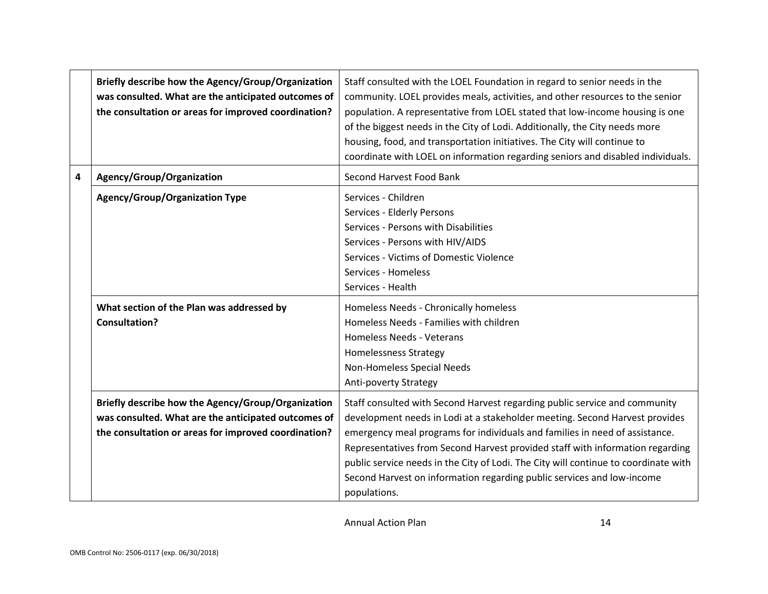|   | Briefly describe how the Agency/Group/Organization<br>was consulted. What are the anticipated outcomes of<br>the consultation or areas for improved coordination? | Staff consulted with the LOEL Foundation in regard to senior needs in the<br>community. LOEL provides meals, activities, and other resources to the senior<br>population. A representative from LOEL stated that low-income housing is one<br>of the biggest needs in the City of Lodi. Additionally, the City needs more<br>housing, food, and transportation initiatives. The City will continue to<br>coordinate with LOEL on information regarding seniors and disabled individuals.                   |
|---|-------------------------------------------------------------------------------------------------------------------------------------------------------------------|------------------------------------------------------------------------------------------------------------------------------------------------------------------------------------------------------------------------------------------------------------------------------------------------------------------------------------------------------------------------------------------------------------------------------------------------------------------------------------------------------------|
| 4 | Agency/Group/Organization                                                                                                                                         | Second Harvest Food Bank                                                                                                                                                                                                                                                                                                                                                                                                                                                                                   |
|   | <b>Agency/Group/Organization Type</b>                                                                                                                             | Services - Children<br>Services - Elderly Persons<br>Services - Persons with Disabilities<br>Services - Persons with HIV/AIDS<br>Services - Victims of Domestic Violence<br>Services - Homeless<br>Services - Health                                                                                                                                                                                                                                                                                       |
|   | What section of the Plan was addressed by<br><b>Consultation?</b>                                                                                                 | Homeless Needs - Chronically homeless<br>Homeless Needs - Families with children<br><b>Homeless Needs - Veterans</b><br><b>Homelessness Strategy</b><br>Non-Homeless Special Needs<br>Anti-poverty Strategy                                                                                                                                                                                                                                                                                                |
|   | Briefly describe how the Agency/Group/Organization<br>was consulted. What are the anticipated outcomes of<br>the consultation or areas for improved coordination? | Staff consulted with Second Harvest regarding public service and community<br>development needs in Lodi at a stakeholder meeting. Second Harvest provides<br>emergency meal programs for individuals and families in need of assistance.<br>Representatives from Second Harvest provided staff with information regarding<br>public service needs in the City of Lodi. The City will continue to coordinate with<br>Second Harvest on information regarding public services and low-income<br>populations. |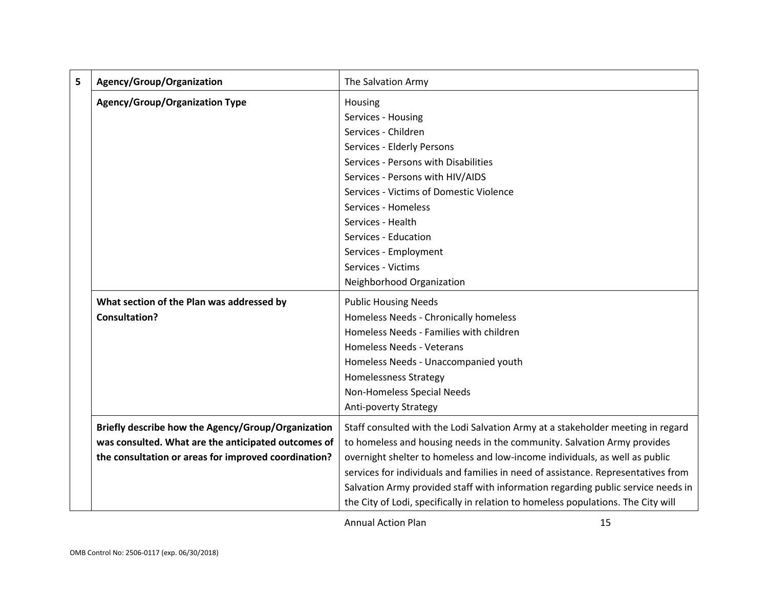| 5 | Agency/Group/Organization                            | The Salvation Army                                                                |  |  |  |
|---|------------------------------------------------------|-----------------------------------------------------------------------------------|--|--|--|
|   | <b>Agency/Group/Organization Type</b>                | Housing                                                                           |  |  |  |
|   |                                                      | Services - Housing                                                                |  |  |  |
|   |                                                      | Services - Children                                                               |  |  |  |
|   |                                                      | Services - Elderly Persons                                                        |  |  |  |
|   |                                                      | Services - Persons with Disabilities                                              |  |  |  |
|   |                                                      | Services - Persons with HIV/AIDS                                                  |  |  |  |
|   |                                                      | Services - Victims of Domestic Violence                                           |  |  |  |
|   |                                                      | Services - Homeless                                                               |  |  |  |
|   |                                                      | Services - Health                                                                 |  |  |  |
|   |                                                      | Services - Education                                                              |  |  |  |
|   |                                                      | Services - Employment                                                             |  |  |  |
|   |                                                      | Services - Victims                                                                |  |  |  |
|   |                                                      | Neighborhood Organization                                                         |  |  |  |
|   | What section of the Plan was addressed by            | <b>Public Housing Needs</b>                                                       |  |  |  |
|   | <b>Consultation?</b>                                 | Homeless Needs - Chronically homeless                                             |  |  |  |
|   |                                                      | Homeless Needs - Families with children                                           |  |  |  |
|   |                                                      | <b>Homeless Needs - Veterans</b>                                                  |  |  |  |
|   |                                                      | Homeless Needs - Unaccompanied youth                                              |  |  |  |
|   |                                                      | <b>Homelessness Strategy</b>                                                      |  |  |  |
|   |                                                      | Non-Homeless Special Needs                                                        |  |  |  |
|   |                                                      | Anti-poverty Strategy                                                             |  |  |  |
|   | Briefly describe how the Agency/Group/Organization   | Staff consulted with the Lodi Salvation Army at a stakeholder meeting in regard   |  |  |  |
|   | was consulted. What are the anticipated outcomes of  | to homeless and housing needs in the community. Salvation Army provides           |  |  |  |
|   | the consultation or areas for improved coordination? | overnight shelter to homeless and low-income individuals, as well as public       |  |  |  |
|   |                                                      | services for individuals and families in need of assistance. Representatives from |  |  |  |
|   |                                                      | Salvation Army provided staff with information regarding public service needs in  |  |  |  |
|   |                                                      | the City of Lodi, specifically in relation to homeless populations. The City will |  |  |  |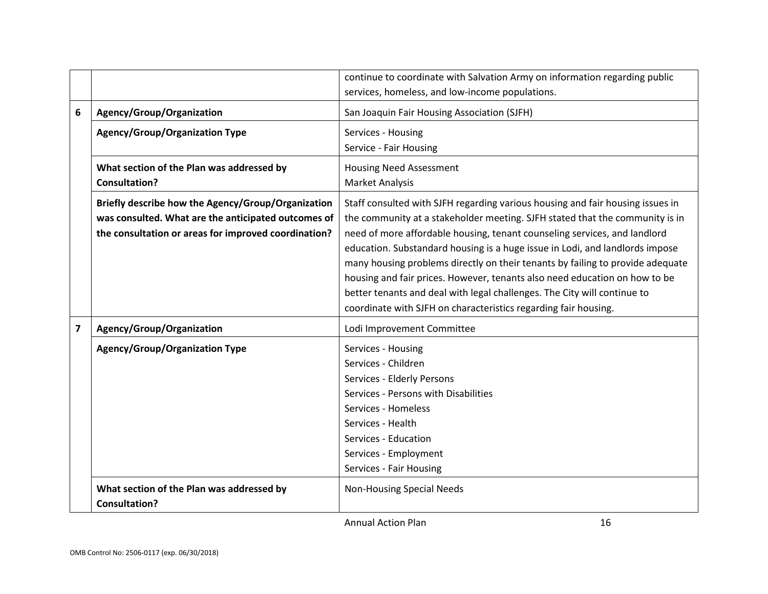|   |                                                                   | continue to coordinate with Salvation Army on information regarding public     |
|---|-------------------------------------------------------------------|--------------------------------------------------------------------------------|
|   |                                                                   | services, homeless, and low-income populations.                                |
| 6 | Agency/Group/Organization                                         | San Joaquin Fair Housing Association (SJFH)                                    |
|   | <b>Agency/Group/Organization Type</b>                             | Services - Housing                                                             |
|   |                                                                   | Service - Fair Housing                                                         |
|   | What section of the Plan was addressed by                         | <b>Housing Need Assessment</b>                                                 |
|   | <b>Consultation?</b>                                              | <b>Market Analysis</b>                                                         |
|   | Briefly describe how the Agency/Group/Organization                | Staff consulted with SJFH regarding various housing and fair housing issues in |
|   | was consulted. What are the anticipated outcomes of               | the community at a stakeholder meeting. SJFH stated that the community is in   |
|   | the consultation or areas for improved coordination?              | need of more affordable housing, tenant counseling services, and landlord      |
|   |                                                                   | education. Substandard housing is a huge issue in Lodi, and landlords impose   |
|   |                                                                   | many housing problems directly on their tenants by failing to provide adequate |
|   |                                                                   | housing and fair prices. However, tenants also need education on how to be     |
|   |                                                                   | better tenants and deal with legal challenges. The City will continue to       |
|   |                                                                   | coordinate with SJFH on characteristics regarding fair housing.                |
| 7 | Agency/Group/Organization                                         | Lodi Improvement Committee                                                     |
|   | <b>Agency/Group/Organization Type</b>                             | Services - Housing                                                             |
|   |                                                                   | Services - Children                                                            |
|   |                                                                   | Services - Elderly Persons                                                     |
|   |                                                                   | Services - Persons with Disabilities                                           |
|   |                                                                   | Services - Homeless                                                            |
|   |                                                                   | Services - Health                                                              |
|   |                                                                   | Services - Education                                                           |
|   |                                                                   | Services - Employment<br>Services - Fair Housing                               |
|   |                                                                   |                                                                                |
|   | What section of the Plan was addressed by<br><b>Consultation?</b> | <b>Non-Housing Special Needs</b>                                               |
|   |                                                                   | <b>Annual Action Plan</b><br>16                                                |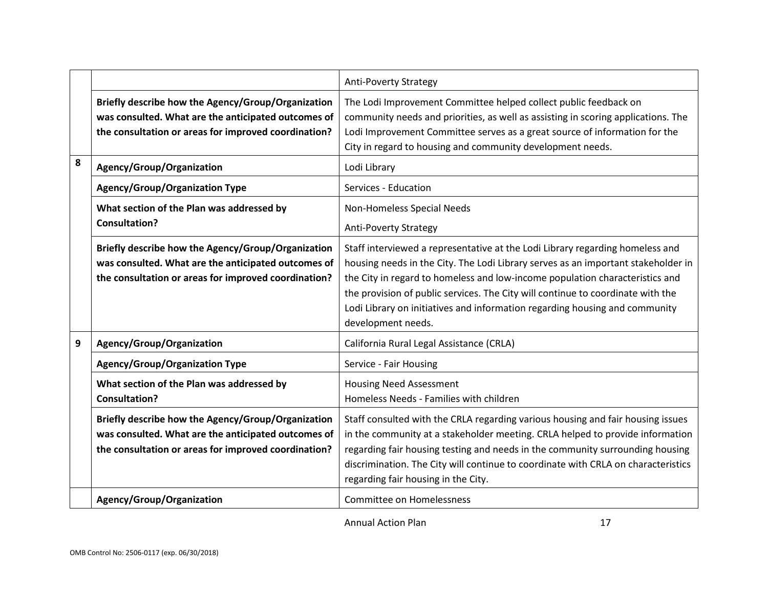|   |                                                                                                                                                                   | <b>Anti-Poverty Strategy</b>                                                                                                                                                                                                                                                                                                                                                                                                               |
|---|-------------------------------------------------------------------------------------------------------------------------------------------------------------------|--------------------------------------------------------------------------------------------------------------------------------------------------------------------------------------------------------------------------------------------------------------------------------------------------------------------------------------------------------------------------------------------------------------------------------------------|
|   | Briefly describe how the Agency/Group/Organization<br>was consulted. What are the anticipated outcomes of<br>the consultation or areas for improved coordination? | The Lodi Improvement Committee helped collect public feedback on<br>community needs and priorities, as well as assisting in scoring applications. The<br>Lodi Improvement Committee serves as a great source of information for the<br>City in regard to housing and community development needs.                                                                                                                                          |
| 8 | Agency/Group/Organization                                                                                                                                         | Lodi Library                                                                                                                                                                                                                                                                                                                                                                                                                               |
|   | <b>Agency/Group/Organization Type</b>                                                                                                                             | Services - Education                                                                                                                                                                                                                                                                                                                                                                                                                       |
|   | What section of the Plan was addressed by<br><b>Consultation?</b>                                                                                                 | Non-Homeless Special Needs<br><b>Anti-Poverty Strategy</b>                                                                                                                                                                                                                                                                                                                                                                                 |
|   | Briefly describe how the Agency/Group/Organization<br>was consulted. What are the anticipated outcomes of<br>the consultation or areas for improved coordination? | Staff interviewed a representative at the Lodi Library regarding homeless and<br>housing needs in the City. The Lodi Library serves as an important stakeholder in<br>the City in regard to homeless and low-income population characteristics and<br>the provision of public services. The City will continue to coordinate with the<br>Lodi Library on initiatives and information regarding housing and community<br>development needs. |
| 9 | Agency/Group/Organization                                                                                                                                         | California Rural Legal Assistance (CRLA)                                                                                                                                                                                                                                                                                                                                                                                                   |
|   | <b>Agency/Group/Organization Type</b>                                                                                                                             | Service - Fair Housing                                                                                                                                                                                                                                                                                                                                                                                                                     |
|   | What section of the Plan was addressed by<br><b>Consultation?</b>                                                                                                 | <b>Housing Need Assessment</b><br>Homeless Needs - Families with children                                                                                                                                                                                                                                                                                                                                                                  |
|   | Briefly describe how the Agency/Group/Organization<br>was consulted. What are the anticipated outcomes of<br>the consultation or areas for improved coordination? | Staff consulted with the CRLA regarding various housing and fair housing issues<br>in the community at a stakeholder meeting. CRLA helped to provide information<br>regarding fair housing testing and needs in the community surrounding housing<br>discrimination. The City will continue to coordinate with CRLA on characteristics<br>regarding fair housing in the City.                                                              |
|   | Agency/Group/Organization                                                                                                                                         | Committee on Homelessness                                                                                                                                                                                                                                                                                                                                                                                                                  |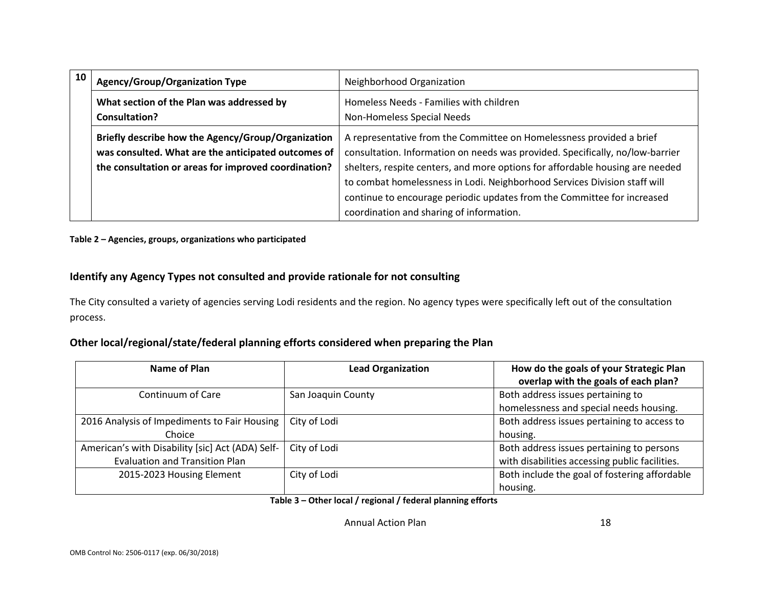| 10 | <b>Agency/Group/Organization Type</b>                                                                                                                             | Neighborhood Organization                                                                                                                                                                                                                                                                                                                                                                                                                  |  |  |
|----|-------------------------------------------------------------------------------------------------------------------------------------------------------------------|--------------------------------------------------------------------------------------------------------------------------------------------------------------------------------------------------------------------------------------------------------------------------------------------------------------------------------------------------------------------------------------------------------------------------------------------|--|--|
|    | What section of the Plan was addressed by<br><b>Consultation?</b>                                                                                                 | Homeless Needs - Families with children<br>Non-Homeless Special Needs                                                                                                                                                                                                                                                                                                                                                                      |  |  |
|    | Briefly describe how the Agency/Group/Organization<br>was consulted. What are the anticipated outcomes of<br>the consultation or areas for improved coordination? | A representative from the Committee on Homelessness provided a brief<br>consultation. Information on needs was provided. Specifically, no/low-barrier<br>shelters, respite centers, and more options for affordable housing are needed<br>to combat homelessness in Lodi. Neighborhood Services Division staff will<br>continue to encourage periodic updates from the Committee for increased<br>coordination and sharing of information. |  |  |

**Table 2 – Agencies, groups, organizations who participated**

### **Identify any Agency Types not consulted and provide rationale for not consulting**

The City consulted a variety of agencies serving Lodi residents and the region. No agency types were specifically left out of the consultation process.

### **Other local/regional/state/federal planning efforts considered when preparing the Plan**

| Name of Plan                                     | <b>Lead Organization</b> | How do the goals of your Strategic Plan        |  |
|--------------------------------------------------|--------------------------|------------------------------------------------|--|
|                                                  |                          | overlap with the goals of each plan?           |  |
| Continuum of Care                                | San Joaquin County       | Both address issues pertaining to              |  |
|                                                  |                          | homelessness and special needs housing.        |  |
| 2016 Analysis of Impediments to Fair Housing     | City of Lodi             | Both address issues pertaining to access to    |  |
| Choice                                           |                          | housing.                                       |  |
| American's with Disability [sic] Act (ADA) Self- | City of Lodi             | Both address issues pertaining to persons      |  |
| <b>Evaluation and Transition Plan</b>            |                          | with disabilities accessing public facilities. |  |
| 2015-2023 Housing Element                        | City of Lodi             | Both include the goal of fostering affordable  |  |
|                                                  |                          | housing.                                       |  |

**Table 3 – Other local / regional / federal planning efforts**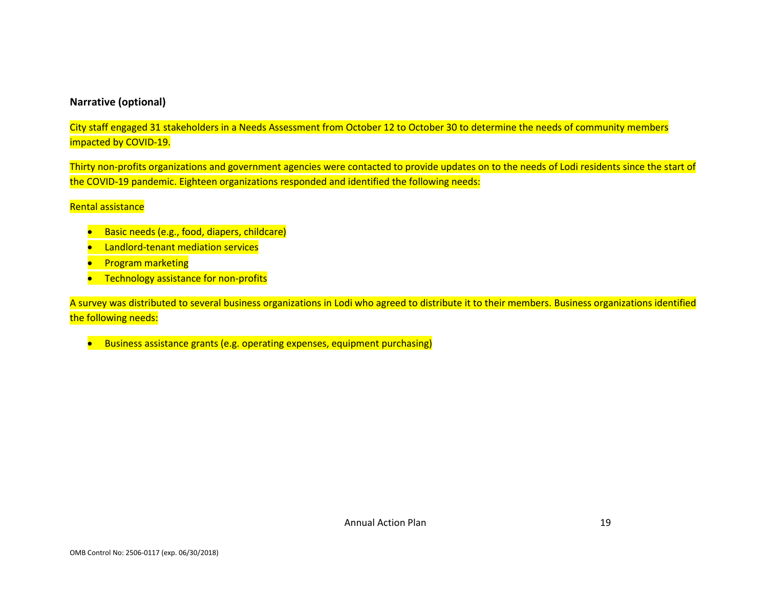#### **Narrative (optional)**

City staff engaged 31 stakeholders in a Needs Assessment from October 12 to October 30 to determine the needs of community members impacted by COVID-19.

Thirty non-profits organizations and government agencies were contacted to provide updates on to the needs of Lodi residents since the start of the COVID-19 pandemic. Eighteen organizations responded and identified the following needs:

#### Rental assistance

- Basic needs (e.g., food, diapers, childcare)
- Landlord-tenant mediation services
- **•** Program marketing
- **•** Technology assistance for non-profits

A survey was distributed to several business organizations in Lodi who agreed to distribute it to their members. Business organizations identified the following needs:

• Business assistance grants (e.g. operating expenses, equipment purchasing)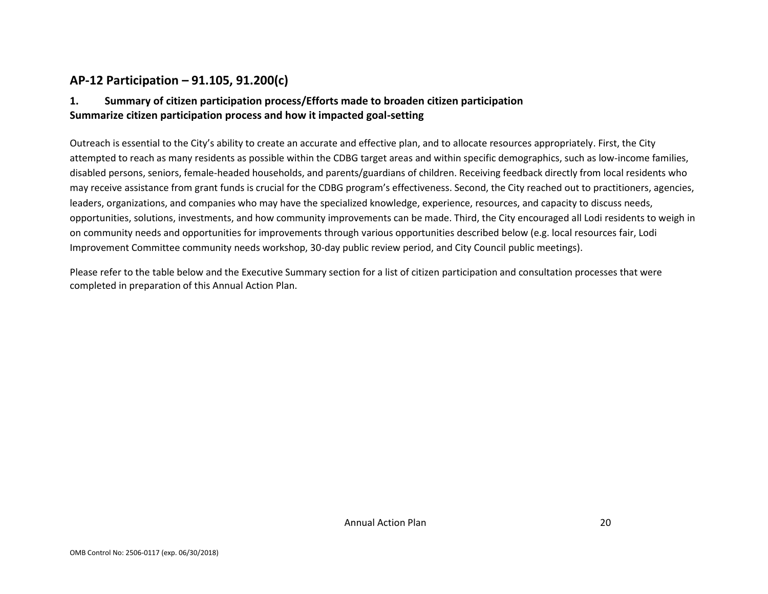### **AP-12 Participation – 91.105, 91.200(c)**

### **1. Summary of citizen participation process/Efforts made to broaden citizen participation Summarize citizen participation process and how it impacted goal-setting**

Outreach is essential to the City's ability to create an accurate and effective plan, and to allocate resources appropriately. First, the City attempted to reach as many residents as possible within the CDBG target areas and within specific demographics, such as low-income families, disabled persons, seniors, female-headed households, and parents/guardians of children. Receiving feedback directly from local residents who may receive assistance from grant funds is crucial for the CDBG program's effectiveness. Second, the City reached out to practitioners, agencies, leaders, organizations, and companies who may have the specialized knowledge, experience, resources, and capacity to discuss needs, opportunities, solutions, investments, and how community improvements can be made. Third, the City encouraged all Lodi residents to weigh in on community needs and opportunities for improvements through various opportunities described below (e.g. local resources fair, Lodi Improvement Committee community needs workshop, 30-day public review period, and City Council public meetings).

Please refer to the table below and the Executive Summary section for a list of citizen participation and consultation processes that were completed in preparation of this Annual Action Plan.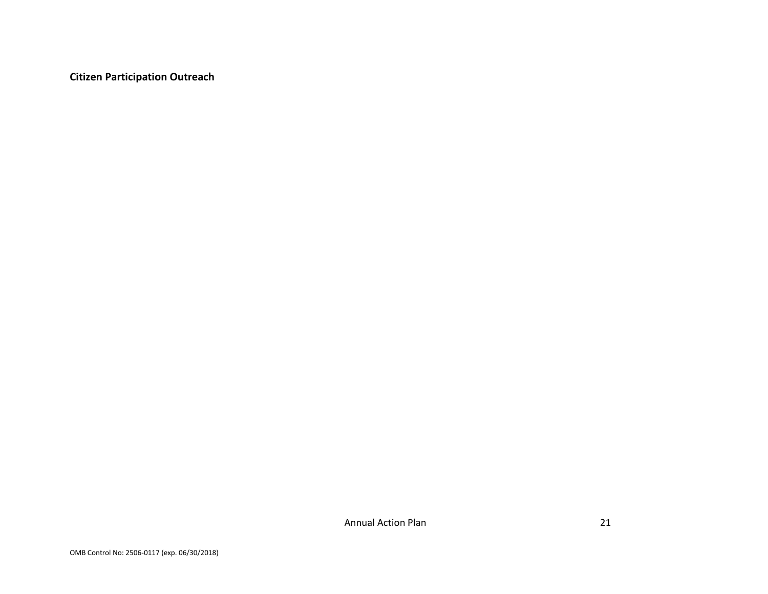**Citizen Participation Outreach**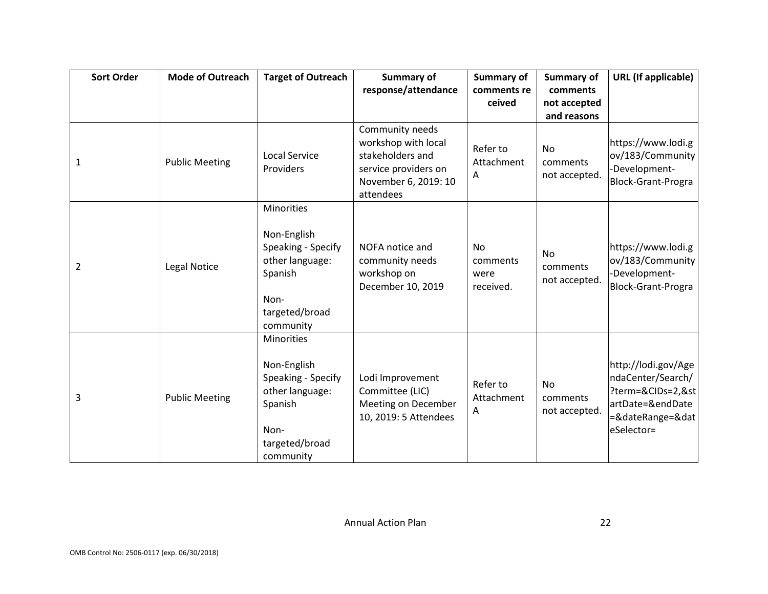| <b>Sort Order</b> | <b>Mode of Outreach</b> | <b>Target of Outreach</b>                                                                                                   | Summary of                                                                                                              | Summary of                          | <b>Summary of</b>                      | URL (If applicable)                                                                                                 |
|-------------------|-------------------------|-----------------------------------------------------------------------------------------------------------------------------|-------------------------------------------------------------------------------------------------------------------------|-------------------------------------|----------------------------------------|---------------------------------------------------------------------------------------------------------------------|
|                   |                         |                                                                                                                             | response/attendance                                                                                                     | comments re                         | comments                               |                                                                                                                     |
|                   |                         |                                                                                                                             |                                                                                                                         | ceived                              | not accepted                           |                                                                                                                     |
|                   |                         |                                                                                                                             |                                                                                                                         |                                     | and reasons                            |                                                                                                                     |
| 1                 | <b>Public Meeting</b>   | <b>Local Service</b><br>Providers                                                                                           | Community needs<br>workshop with local<br>stakeholders and<br>service providers on<br>November 6, 2019: 10<br>attendees | Refer to<br>Attachment<br>Α         | <b>No</b><br>comments<br>not accepted. | https://www.lodi.g<br>ov/183/Community<br>-Development-<br>Block-Grant-Progra                                       |
| 2                 | Legal Notice            | <b>Minorities</b><br>Non-English<br>Speaking - Specify<br>other language:<br>Spanish<br>Non-<br>targeted/broad<br>community | NOFA notice and<br>community needs<br>workshop on<br>December 10, 2019                                                  | No<br>comments<br>were<br>received. | <b>No</b><br>comments<br>not accepted. | https://www.lodi.g<br>ov/183/Community<br>-Development-<br><b>Block-Grant-Progra</b>                                |
| 3                 | <b>Public Meeting</b>   | Minorities<br>Non-English<br>Speaking - Specify<br>other language:<br>Spanish<br>Non-<br>targeted/broad<br>community        | Lodi Improvement<br>Committee (LIC)<br>Meeting on December<br>10, 2019: 5 Attendees                                     | Refer to<br>Attachment<br>Α         | No<br>comments<br>not accepted.        | http://lodi.gov/Age<br>ndaCenter/Search/<br>?term=&CIDs=2,&st<br>artDate=&endDate<br>=&dateRange=&dat<br>eSelector= |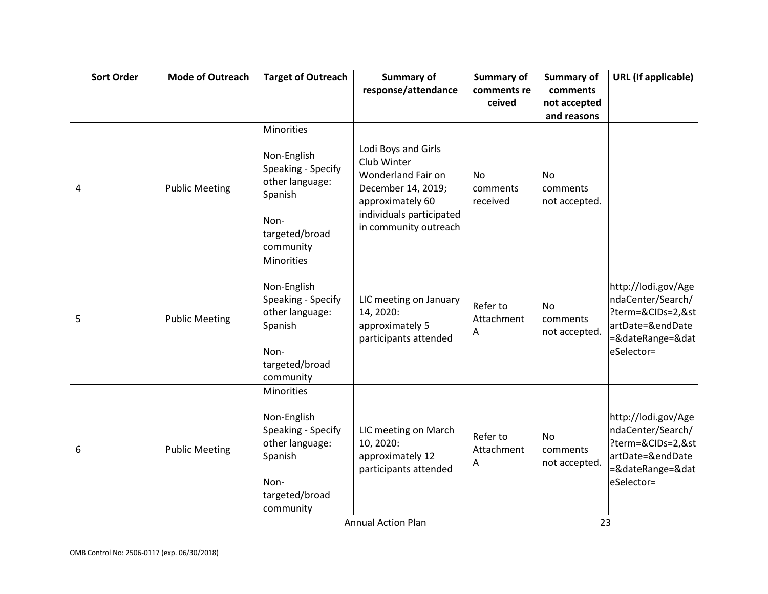| <b>Sort Order</b> | <b>Mode of Outreach</b> | <b>Target of Outreach</b>                                                                                                   | Summary of                                                                                                                     | Summary of                        | <b>Summary of</b>                      | <b>URL</b> (If applicable)                                                                                          |
|-------------------|-------------------------|-----------------------------------------------------------------------------------------------------------------------------|--------------------------------------------------------------------------------------------------------------------------------|-----------------------------------|----------------------------------------|---------------------------------------------------------------------------------------------------------------------|
|                   |                         |                                                                                                                             | response/attendance                                                                                                            | comments re                       | comments                               |                                                                                                                     |
|                   |                         |                                                                                                                             |                                                                                                                                | ceived                            | not accepted                           |                                                                                                                     |
|                   |                         |                                                                                                                             |                                                                                                                                |                                   | and reasons                            |                                                                                                                     |
|                   |                         | Minorities                                                                                                                  |                                                                                                                                |                                   |                                        |                                                                                                                     |
| 4                 | <b>Public Meeting</b>   | Non-English<br>Speaking - Specify<br>other language:<br>Spanish<br>Non-                                                     | Lodi Boys and Girls<br>Club Winter<br>Wonderland Fair on<br>December 14, 2019;<br>approximately 60<br>individuals participated | <b>No</b><br>comments<br>received | <b>No</b><br>comments<br>not accepted. |                                                                                                                     |
|                   |                         | targeted/broad<br>community                                                                                                 | in community outreach                                                                                                          |                                   |                                        |                                                                                                                     |
| 5                 | <b>Public Meeting</b>   | <b>Minorities</b><br>Non-English<br>Speaking - Specify<br>other language:<br>Spanish<br>Non-<br>targeted/broad<br>community | LIC meeting on January<br>14, 2020:<br>approximately 5<br>participants attended                                                | Refer to<br>Attachment<br>Α       | <b>No</b><br>comments<br>not accepted. | http://lodi.gov/Age<br>ndaCenter/Search/<br>?term=&CIDs=2,&st<br>artDate=&endDate<br>=&dateRange=&dat<br>eSelector= |
| 6                 | <b>Public Meeting</b>   | <b>Minorities</b><br>Non-English<br>Speaking - Specify<br>other language:<br>Spanish<br>Non-<br>targeted/broad<br>community | LIC meeting on March<br>10, 2020:<br>approximately 12<br>participants attended                                                 | Refer to<br>Attachment<br>Α       | No<br>comments<br>not accepted.        | http://lodi.gov/Age<br>ndaCenter/Search/<br>?term=&CIDs=2,&st<br>artDate=&endDate<br>=&dateRange=&dat<br>eSelector= |
|                   |                         |                                                                                                                             | <b>Annual Action Plan</b>                                                                                                      |                                   | 23                                     |                                                                                                                     |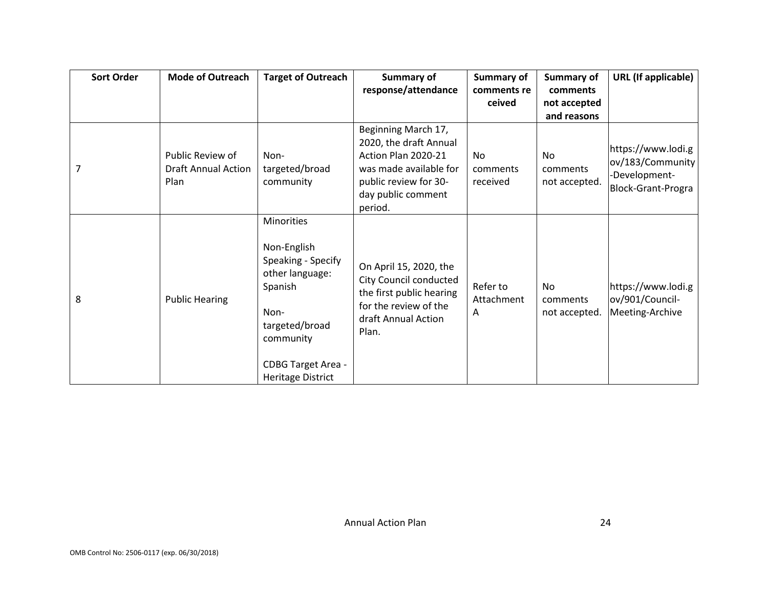| <b>Sort Order</b> | <b>Mode of Outreach</b>                                       | <b>Target of Outreach</b>                                                                                                                                              | Summary of                                                                                                                                               | Summary of                        | Summary of                       | <b>URL</b> (If applicable)                                                    |
|-------------------|---------------------------------------------------------------|------------------------------------------------------------------------------------------------------------------------------------------------------------------------|----------------------------------------------------------------------------------------------------------------------------------------------------------|-----------------------------------|----------------------------------|-------------------------------------------------------------------------------|
|                   |                                                               |                                                                                                                                                                        | response/attendance                                                                                                                                      | comments re                       | comments                         |                                                                               |
|                   |                                                               |                                                                                                                                                                        |                                                                                                                                                          | ceived                            | not accepted<br>and reasons      |                                                                               |
|                   | Public Review of<br><b>Draft Annual Action</b><br><b>Plan</b> | Non-<br>targeted/broad<br>community                                                                                                                                    | Beginning March 17,<br>2020, the draft Annual<br>Action Plan 2020-21<br>was made available for<br>public review for 30-<br>day public comment<br>period. | <b>No</b><br>comments<br>received | No.<br>comments<br>not accepted. | https://www.lodi.g<br>ov/183/Community<br>-Development-<br>Block-Grant-Progra |
| 8                 | <b>Public Hearing</b>                                         | <b>Minorities</b><br>Non-English<br>Speaking - Specify<br>other language:<br>Spanish<br>Non-<br>targeted/broad<br>community<br>CDBG Target Area -<br>Heritage District | On April 15, 2020, the<br>City Council conducted<br>the first public hearing<br>for the review of the<br>draft Annual Action<br>Plan.                    | Refer to<br>Attachment<br>Α       | No.<br>comments<br>not accepted. | https://www.lodi.g<br>ov/901/Council-<br>Meeting-Archive                      |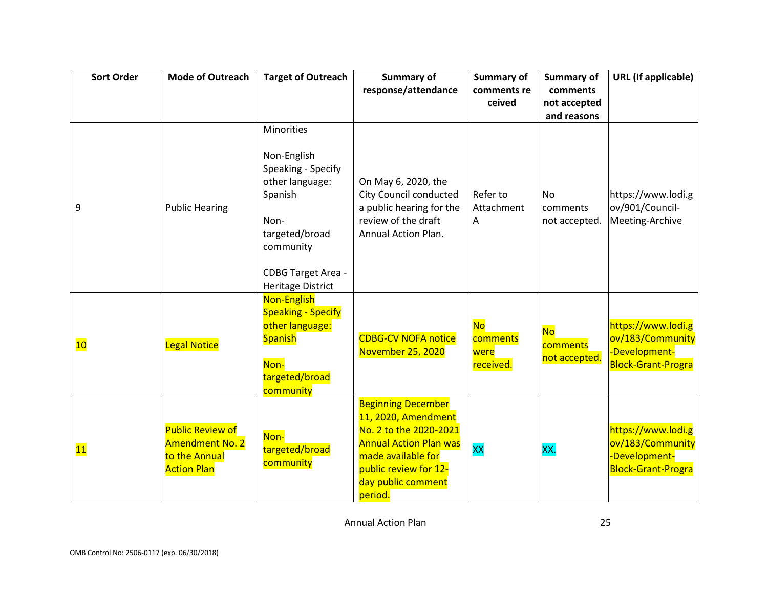| <b>Sort Order</b> | <b>Mode of Outreach</b>                                                                  | <b>Target of Outreach</b>                                                                                                                                                            | <b>Summary of</b>                                                                                                                                                                           | <b>Summary of</b>                          | Summary of                             | <b>URL</b> (If applicable)                                                           |
|-------------------|------------------------------------------------------------------------------------------|--------------------------------------------------------------------------------------------------------------------------------------------------------------------------------------|---------------------------------------------------------------------------------------------------------------------------------------------------------------------------------------------|--------------------------------------------|----------------------------------------|--------------------------------------------------------------------------------------|
|                   |                                                                                          |                                                                                                                                                                                      | response/attendance                                                                                                                                                                         | comments re                                | comments                               |                                                                                      |
|                   |                                                                                          |                                                                                                                                                                                      |                                                                                                                                                                                             | ceived                                     | not accepted                           |                                                                                      |
|                   |                                                                                          |                                                                                                                                                                                      |                                                                                                                                                                                             |                                            | and reasons                            |                                                                                      |
| 9                 | <b>Public Hearing</b>                                                                    | <b>Minorities</b><br>Non-English<br>Speaking - Specify<br>other language:<br>Spanish<br>Non-<br>targeted/broad<br>community<br><b>CDBG Target Area -</b><br><b>Heritage District</b> | On May 6, 2020, the<br><b>City Council conducted</b><br>a public hearing for the<br>review of the draft<br><b>Annual Action Plan.</b>                                                       | Refer to<br>Attachment<br>A                | <b>No</b><br>comments<br>not accepted. | https://www.lodi.g<br>ov/901/Council-<br>Meeting-Archive                             |
| 10                | <b>Legal Notice</b>                                                                      | Non-English<br><b>Speaking - Specify</b><br>other language:<br><b>Spanish</b><br>Non-<br>targeted/broad<br>community                                                                 | <b>CDBG-CV NOFA notice</b><br>November 25, 2020                                                                                                                                             | <b>No</b><br>comments<br>were<br>received. | <b>No</b><br>comments<br>not accepted. | https://www.lodi.g<br>ov/183/Community<br>-Development-<br><b>Block-Grant-Progra</b> |
| 11                | <b>Public Review of</b><br><b>Amendment No. 2</b><br>to the Annual<br><b>Action Plan</b> | Non-<br>targeted/broad<br>community                                                                                                                                                  | <b>Beginning December</b><br>11, 2020, Amendment<br>No. 2 to the 2020-2021<br><b>Annual Action Plan was</b><br>made available for<br>public review for 12-<br>day public comment<br>period. | <b>XX</b>                                  | XX.                                    | https://www.lodi.g<br>ov/183/Community<br>-Development-<br><b>Block-Grant-Progra</b> |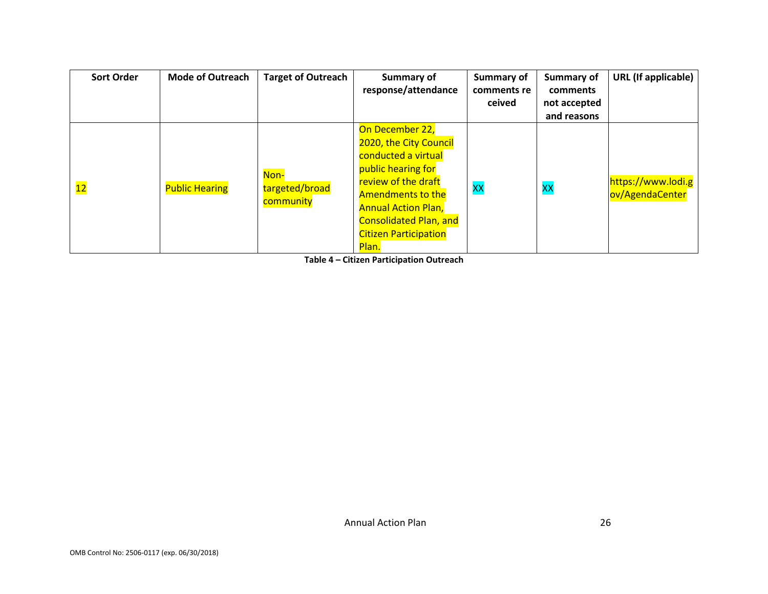| <b>Sort Order</b> | <b>Mode of Outreach</b> | <b>Target of Outreach</b>           | Summary of<br>response/attendance                                                                                                                                                                                                                 | <b>Summary of</b><br>comments re<br>ceived | <b>Summary of</b><br>comments<br>not accepted<br>and reasons | <b>URL</b> (If applicable)            |
|-------------------|-------------------------|-------------------------------------|---------------------------------------------------------------------------------------------------------------------------------------------------------------------------------------------------------------------------------------------------|--------------------------------------------|--------------------------------------------------------------|---------------------------------------|
| 12                | <b>Public Hearing</b>   | Non-<br>targeted/broad<br>community | On December 22,<br>2020, the City Council<br>conducted a virtual<br>public hearing for<br>review of the draft<br><b>Amendments to the</b><br><b>Annual Action Plan,</b><br><b>Consolidated Plan, and</b><br><b>Citizen Participation</b><br>Plan. | <b>XX</b>                                  | <b>XX</b>                                                    | https://www.lodi.g<br>ov/AgendaCenter |

**Table 4 – Citizen Participation Outreach**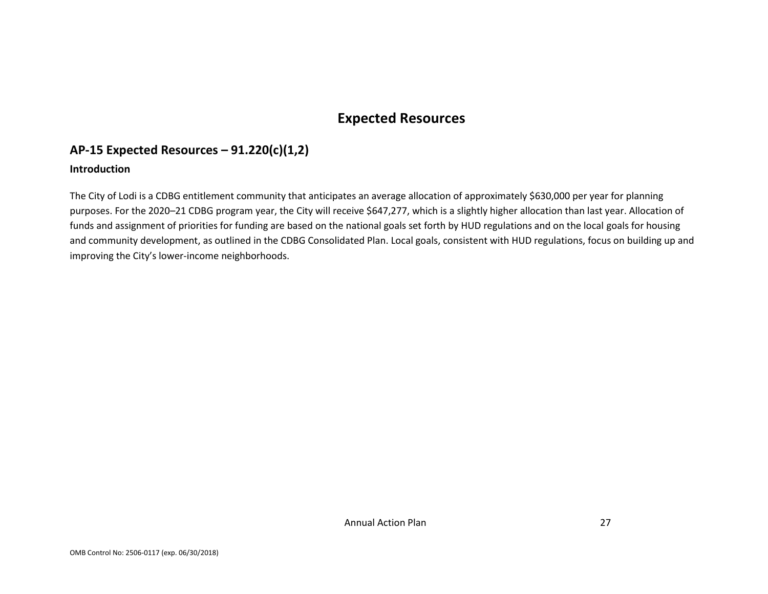### **Expected Resources**

### **AP-15 Expected Resources – 91.220(c)(1,2)**

### **Introduction**

The City of Lodi is a CDBG entitlement community that anticipates an average allocation of approximately \$630,000 per year for planning purposes. For the 2020–21 CDBG program year, the City will receive \$647,277, which is a slightly higher allocation than last year. Allocation of funds and assignment of priorities for funding are based on the national goals set forth by HUD regulations and on the local goals for housing and community development, as outlined in the CDBG Consolidated Plan. Local goals, consistent with HUD regulations, focus on building up and improving the City's lower-income neighborhoods.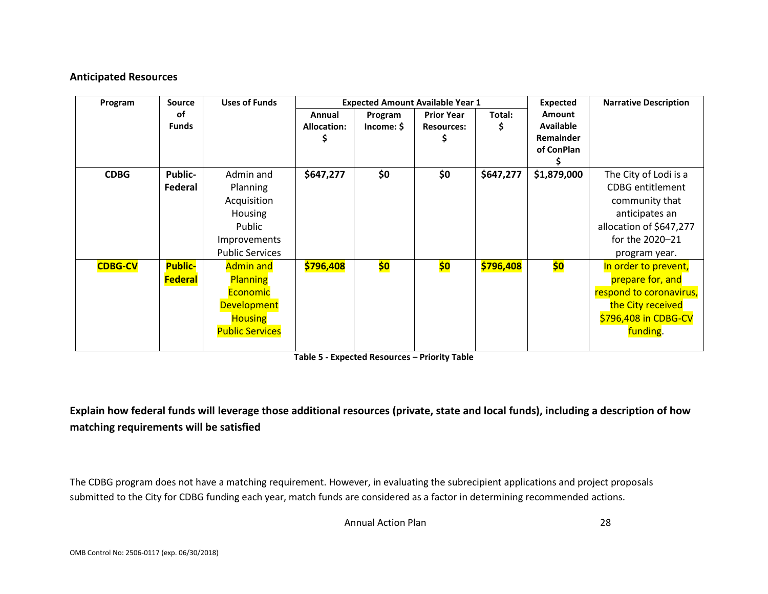#### **Anticipated Resources**

| Program        | <b>Source</b>                    | <b>Uses of Funds</b>                                                                                                     |                              |                       | <b>Expected Amount Available Year 1</b> |           | <b>Expected</b>                                              | <b>Narrative Description</b>                                                                                                                        |
|----------------|----------------------------------|--------------------------------------------------------------------------------------------------------------------------|------------------------------|-----------------------|-----------------------------------------|-----------|--------------------------------------------------------------|-----------------------------------------------------------------------------------------------------------------------------------------------------|
|                | оf<br><b>Funds</b>               |                                                                                                                          | Annual<br><b>Allocation:</b> | Program<br>Income: \$ | <b>Prior Year</b><br><b>Resources:</b>  | Total:    | <b>Amount</b><br><b>Available</b><br>Remainder<br>of ConPlan |                                                                                                                                                     |
| <b>CDBG</b>    | Public-<br>Federal               | Admin and<br>Planning<br>Acquisition<br>Housing<br>Public<br><b>Improvements</b><br><b>Public Services</b>               | \$647,277                    | \$0                   | \$0                                     | \$647,277 | \$1,879,000                                                  | The City of Lodi is a<br><b>CDBG</b> entitlement<br>community that<br>anticipates an<br>allocation of \$647,277<br>for the 2020-21<br>program year. |
| <b>CDBG-CV</b> | <b>Public-</b><br><b>Federal</b> | <b>Admin and</b><br><b>Planning</b><br><b>Economic</b><br><b>Development</b><br><b>Housing</b><br><b>Public Services</b> | \$796,408                    | \$0                   | \$0                                     | \$796,408 | \$0                                                          | In order to prevent,<br>prepare for, and<br>respond to coronavirus,<br>the City received<br>\$796,408 in CDBG-CV<br>funding.                        |

**Table 5 - Expected Resources – Priority Table**

### **Explain how federal funds will leverage those additional resources (private, state and local funds), including a description of how matching requirements will be satisfied**

The CDBG program does not have a matching requirement. However, in evaluating the subrecipient applications and project proposals submitted to the City for CDBG funding each year, match funds are considered as a factor in determining recommended actions.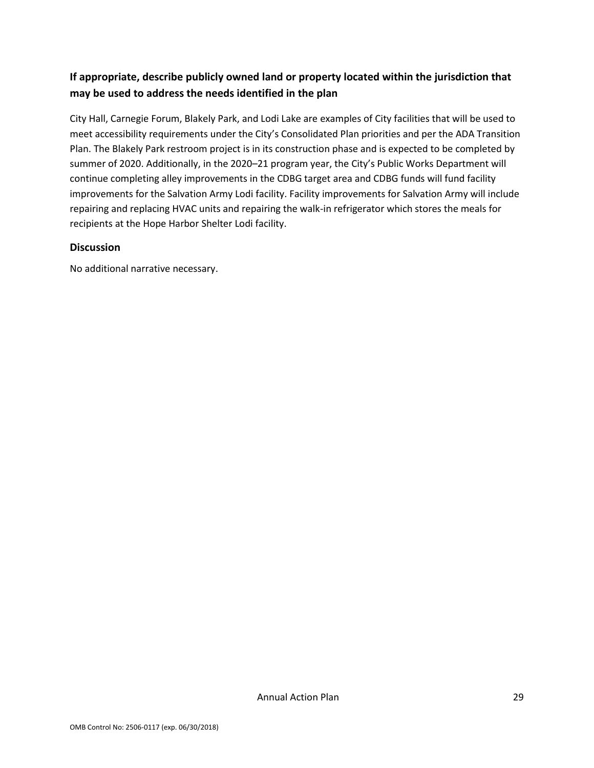### **If appropriate, describe publicly owned land or property located within the jurisdiction that may be used to address the needs identified in the plan**

City Hall, Carnegie Forum, Blakely Park, and Lodi Lake are examples of City facilities that will be used to meet accessibility requirements under the City's Consolidated Plan priorities and per the ADA Transition Plan. The Blakely Park restroom project is in its construction phase and is expected to be completed by summer of 2020. Additionally, in the 2020–21 program year, the City's Public Works Department will continue completing alley improvements in the CDBG target area and CDBG funds will fund facility improvements for the Salvation Army Lodi facility. Facility improvements for Salvation Army will include repairing and replacing HVAC units and repairing the walk-in refrigerator which stores the meals for recipients at the Hope Harbor Shelter Lodi facility.

#### **Discussion**

No additional narrative necessary.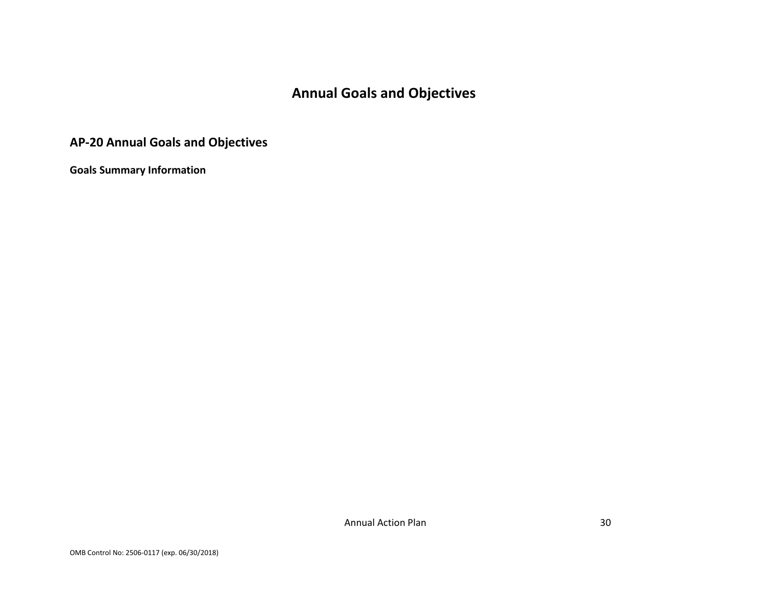# **Annual Goals and Objectives**

# **AP-20 Annual Goals and Objectives**

**Goals Summary Information**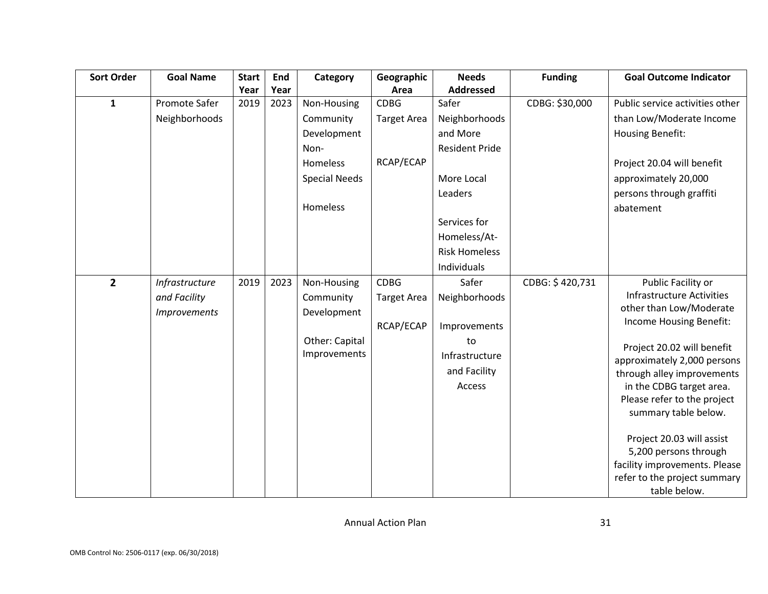| <b>Sort Order</b> | <b>Goal Name</b>    | <b>Start</b> | End  | Category             | Geographic         | <b>Needs</b>          | <b>Funding</b>  | <b>Goal Outcome Indicator</b>    |
|-------------------|---------------------|--------------|------|----------------------|--------------------|-----------------------|-----------------|----------------------------------|
|                   |                     | Year         | Year |                      | Area               | <b>Addressed</b>      |                 |                                  |
| $\mathbf{1}$      | Promote Safer       | 2019         | 2023 | Non-Housing          | <b>CDBG</b>        | Safer                 | CDBG: \$30,000  | Public service activities other  |
|                   | Neighborhoods       |              |      | Community            | <b>Target Area</b> | Neighborhoods         |                 | than Low/Moderate Income         |
|                   |                     |              |      | Development          |                    | and More              |                 | <b>Housing Benefit:</b>          |
|                   |                     |              |      | Non-                 |                    | <b>Resident Pride</b> |                 |                                  |
|                   |                     |              |      | Homeless             | RCAP/ECAP          |                       |                 | Project 20.04 will benefit       |
|                   |                     |              |      | <b>Special Needs</b> |                    | More Local            |                 | approximately 20,000             |
|                   |                     |              |      |                      |                    | Leaders               |                 | persons through graffiti         |
|                   |                     |              |      | Homeless             |                    |                       |                 | abatement                        |
|                   |                     |              |      |                      |                    | Services for          |                 |                                  |
|                   |                     |              |      |                      |                    | Homeless/At-          |                 |                                  |
|                   |                     |              |      |                      |                    | <b>Risk Homeless</b>  |                 |                                  |
|                   |                     |              |      |                      |                    | Individuals           |                 |                                  |
| $\overline{2}$    | Infrastructure      | 2019         | 2023 | Non-Housing          | <b>CDBG</b>        | Safer                 | CDBG: \$420,731 | Public Facility or               |
|                   | and Facility        |              |      | Community            | <b>Target Area</b> | Neighborhoods         |                 | <b>Infrastructure Activities</b> |
|                   | <b>Improvements</b> |              |      | Development          |                    |                       |                 | other than Low/Moderate          |
|                   |                     |              |      |                      | RCAP/ECAP          | Improvements          |                 | Income Housing Benefit:          |
|                   |                     |              |      | Other: Capital       |                    | to                    |                 | Project 20.02 will benefit       |
|                   |                     |              |      | Improvements         |                    | Infrastructure        |                 | approximately 2,000 persons      |
|                   |                     |              |      |                      |                    | and Facility          |                 | through alley improvements       |
|                   |                     |              |      |                      |                    | Access                |                 | in the CDBG target area.         |
|                   |                     |              |      |                      |                    |                       |                 | Please refer to the project      |
|                   |                     |              |      |                      |                    |                       |                 | summary table below.             |
|                   |                     |              |      |                      |                    |                       |                 | Project 20.03 will assist        |
|                   |                     |              |      |                      |                    |                       |                 | 5,200 persons through            |
|                   |                     |              |      |                      |                    |                       |                 | facility improvements. Please    |
|                   |                     |              |      |                      |                    |                       |                 | refer to the project summary     |
|                   |                     |              |      |                      |                    |                       |                 | table below.                     |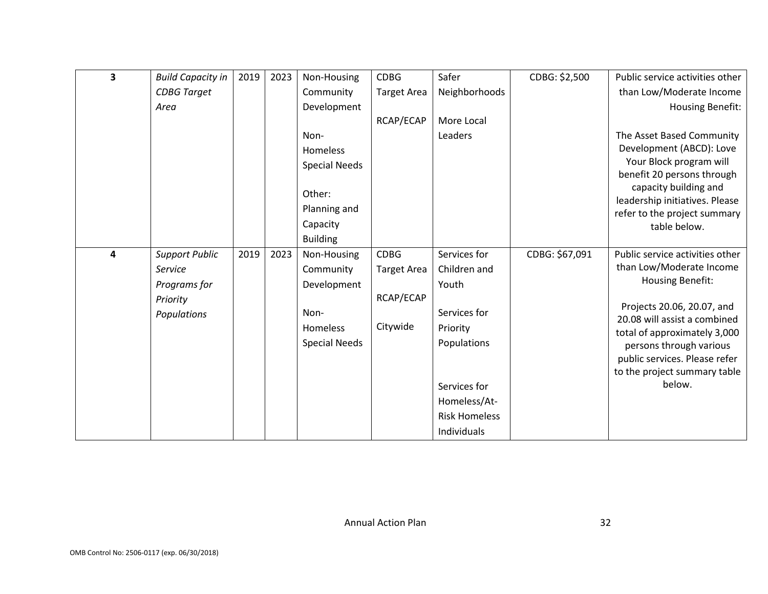| 3 | <b>Build Capacity in</b> | 2019 | 2023 | Non-Housing          | <b>CDBG</b>        | Safer                | CDBG: \$2,500  | Public service activities other                         |
|---|--------------------------|------|------|----------------------|--------------------|----------------------|----------------|---------------------------------------------------------|
|   | <b>CDBG</b> Target       |      |      | Community            | <b>Target Area</b> | Neighborhoods        |                | than Low/Moderate Income                                |
|   | Area                     |      |      | Development          |                    |                      |                | Housing Benefit:                                        |
|   |                          |      |      |                      | RCAP/ECAP          | More Local           |                |                                                         |
|   |                          |      |      | Non-                 |                    | Leaders              |                | The Asset Based Community                               |
|   |                          |      |      | Homeless             |                    |                      |                | Development (ABCD): Love                                |
|   |                          |      |      | <b>Special Needs</b> |                    |                      |                | Your Block program will                                 |
|   |                          |      |      |                      |                    |                      |                | benefit 20 persons through                              |
|   |                          |      |      | Other:               |                    |                      |                | capacity building and<br>leadership initiatives. Please |
|   |                          |      |      | Planning and         |                    |                      |                | refer to the project summary                            |
|   |                          |      |      | Capacity             |                    |                      |                | table below.                                            |
|   |                          |      |      | <b>Building</b>      |                    |                      |                |                                                         |
| 4 | <b>Support Public</b>    | 2019 | 2023 | Non-Housing          | <b>CDBG</b>        | Services for         | CDBG: \$67,091 | Public service activities other                         |
|   | Service                  |      |      | Community            | <b>Target Area</b> | Children and         |                | than Low/Moderate Income                                |
|   | Programs for             |      |      | Development          |                    | Youth                |                | Housing Benefit:                                        |
|   | Priority                 |      |      |                      | RCAP/ECAP          |                      |                | Projects 20.06, 20.07, and                              |
|   | Populations              |      |      | Non-                 |                    | Services for         |                | 20.08 will assist a combined                            |
|   |                          |      |      | <b>Homeless</b>      | Citywide           | Priority             |                | total of approximately 3,000                            |
|   |                          |      |      | <b>Special Needs</b> |                    | Populations          |                | persons through various                                 |
|   |                          |      |      |                      |                    |                      |                | public services. Please refer                           |
|   |                          |      |      |                      |                    |                      |                | to the project summary table                            |
|   |                          |      |      |                      |                    | Services for         |                | below.                                                  |
|   |                          |      |      |                      |                    | Homeless/At-         |                |                                                         |
|   |                          |      |      |                      |                    | <b>Risk Homeless</b> |                |                                                         |
|   |                          |      |      |                      |                    | Individuals          |                |                                                         |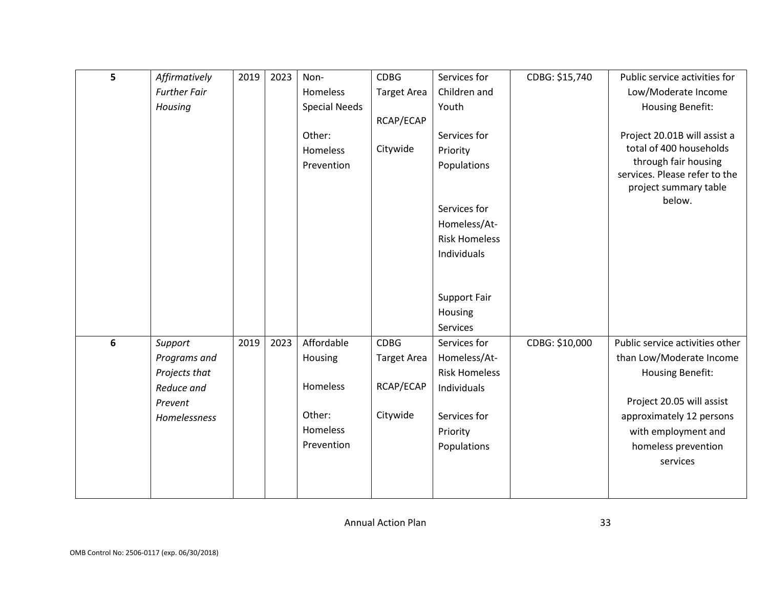| 5 | Affirmatively       | 2019 | 2023 | Non-                 | <b>CDBG</b>        | Services for         | CDBG: \$15,740 | Public service activities for                         |
|---|---------------------|------|------|----------------------|--------------------|----------------------|----------------|-------------------------------------------------------|
|   | <b>Further Fair</b> |      |      | Homeless             | <b>Target Area</b> | Children and         |                | Low/Moderate Income                                   |
|   | Housing             |      |      | <b>Special Needs</b> |                    | Youth                |                | <b>Housing Benefit:</b>                               |
|   |                     |      |      |                      | RCAP/ECAP          |                      |                |                                                       |
|   |                     |      |      | Other:               |                    | Services for         |                | Project 20.01B will assist a                          |
|   |                     |      |      | Homeless             | Citywide           | Priority             |                | total of 400 households                               |
|   |                     |      |      | Prevention           |                    | Populations          |                | through fair housing<br>services. Please refer to the |
|   |                     |      |      |                      |                    |                      |                | project summary table                                 |
|   |                     |      |      |                      |                    |                      |                | below.                                                |
|   |                     |      |      |                      |                    | Services for         |                |                                                       |
|   |                     |      |      |                      |                    | Homeless/At-         |                |                                                       |
|   |                     |      |      |                      |                    | <b>Risk Homeless</b> |                |                                                       |
|   |                     |      |      |                      |                    | Individuals          |                |                                                       |
|   |                     |      |      |                      |                    |                      |                |                                                       |
|   |                     |      |      |                      |                    | Support Fair         |                |                                                       |
|   |                     |      |      |                      |                    | Housing              |                |                                                       |
|   |                     |      |      |                      |                    | <b>Services</b>      |                |                                                       |
| 6 | Support             | 2019 | 2023 | Affordable           | <b>CDBG</b>        | Services for         | CDBG: \$10,000 | Public service activities other                       |
|   | Programs and        |      |      | Housing              | <b>Target Area</b> | Homeless/At-         |                | than Low/Moderate Income                              |
|   | Projects that       |      |      |                      |                    | <b>Risk Homeless</b> |                | <b>Housing Benefit:</b>                               |
|   | Reduce and          |      |      | Homeless             | RCAP/ECAP          | Individuals          |                |                                                       |
|   | Prevent             |      |      |                      |                    |                      |                | Project 20.05 will assist                             |
|   | Homelessness        |      |      | Other:               | Citywide           | Services for         |                | approximately 12 persons                              |
|   |                     |      |      | Homeless             |                    | Priority             |                | with employment and                                   |
|   |                     |      |      | Prevention           |                    | Populations          |                | homeless prevention                                   |
|   |                     |      |      |                      |                    |                      |                | services                                              |
|   |                     |      |      |                      |                    |                      |                |                                                       |
|   |                     |      |      |                      |                    |                      |                |                                                       |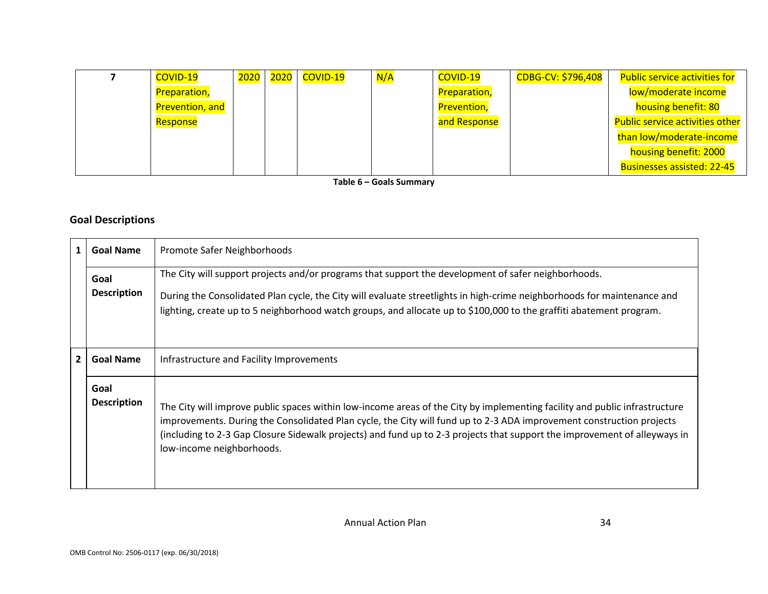| <b>COVID-19</b>        | 2020 2020 L | COVID-19 | N/A | COVID-19            | CDBG-CV: \$796,408 | <b>Public service activities for</b>   |
|------------------------|-------------|----------|-----|---------------------|--------------------|----------------------------------------|
| <b>Preparation,</b>    |             |          |     | <b>Preparation,</b> |                    | low/moderate income                    |
| <b>Prevention, and</b> |             |          |     | <b>Prevention,</b>  |                    | housing benefit: 80                    |
| Response               |             |          |     | and Response        |                    | <b>Public service activities other</b> |
|                        |             |          |     |                     |                    | than low/moderate-income               |
|                        |             |          |     |                     |                    | housing benefit: 2000                  |
|                        |             |          |     |                     |                    | <b>Businesses assisted: 22-45</b>      |

**Table 6 – Goals Summary**

### **Goal Descriptions**

| 1            | <b>Goal Name</b>           | Promote Safer Neighborhoods                                                                                                                                                                                                                                                                                                                                                                                  |
|--------------|----------------------------|--------------------------------------------------------------------------------------------------------------------------------------------------------------------------------------------------------------------------------------------------------------------------------------------------------------------------------------------------------------------------------------------------------------|
|              | Goal<br><b>Description</b> | The City will support projects and/or programs that support the development of safer neighborhoods.<br>During the Consolidated Plan cycle, the City will evaluate streetlights in high-crime neighborhoods for maintenance and<br>lighting, create up to 5 neighborhood watch groups, and allocate up to \$100,000 to the graffiti abatement program.                                                        |
| $\mathbf{2}$ | <b>Goal Name</b>           | Infrastructure and Facility Improvements                                                                                                                                                                                                                                                                                                                                                                     |
|              | Goal<br><b>Description</b> | The City will improve public spaces within low-income areas of the City by implementing facility and public infrastructure<br>improvements. During the Consolidated Plan cycle, the City will fund up to 2-3 ADA improvement construction projects<br>(including to 2-3 Gap Closure Sidewalk projects) and fund up to 2-3 projects that support the improvement of alleyways in<br>low-income neighborhoods. |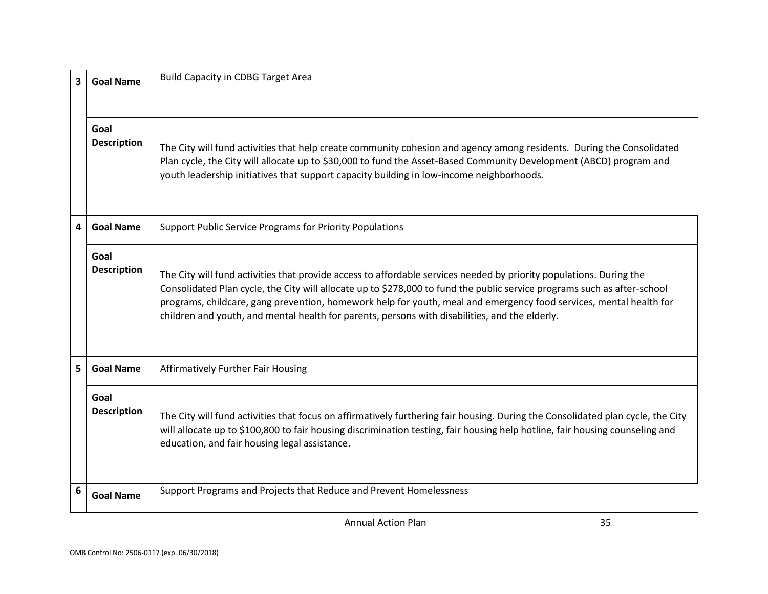| 3                       | <b>Goal Name</b>           | <b>Build Capacity in CDBG Target Area</b>                                                                                                                                                                                                                                                                                                                                                                                                                               |
|-------------------------|----------------------------|-------------------------------------------------------------------------------------------------------------------------------------------------------------------------------------------------------------------------------------------------------------------------------------------------------------------------------------------------------------------------------------------------------------------------------------------------------------------------|
|                         | Goal<br><b>Description</b> | The City will fund activities that help create community cohesion and agency among residents. During the Consolidated<br>Plan cycle, the City will allocate up to \$30,000 to fund the Asset-Based Community Development (ABCD) program and<br>youth leadership initiatives that support capacity building in low-income neighborhoods.                                                                                                                                 |
| $\overline{\mathbf{4}}$ | <b>Goal Name</b>           | Support Public Service Programs for Priority Populations                                                                                                                                                                                                                                                                                                                                                                                                                |
|                         | Goal<br><b>Description</b> | The City will fund activities that provide access to affordable services needed by priority populations. During the<br>Consolidated Plan cycle, the City will allocate up to \$278,000 to fund the public service programs such as after-school<br>programs, childcare, gang prevention, homework help for youth, meal and emergency food services, mental health for<br>children and youth, and mental health for parents, persons with disabilities, and the elderly. |
| 5                       | <b>Goal Name</b>           | Affirmatively Further Fair Housing                                                                                                                                                                                                                                                                                                                                                                                                                                      |
|                         | Goal<br><b>Description</b> | The City will fund activities that focus on affirmatively furthering fair housing. During the Consolidated plan cycle, the City<br>will allocate up to \$100,800 to fair housing discrimination testing, fair housing help hotline, fair housing counseling and<br>education, and fair housing legal assistance.                                                                                                                                                        |
| 6                       | <b>Goal Name</b>           | Support Programs and Projects that Reduce and Prevent Homelessness                                                                                                                                                                                                                                                                                                                                                                                                      |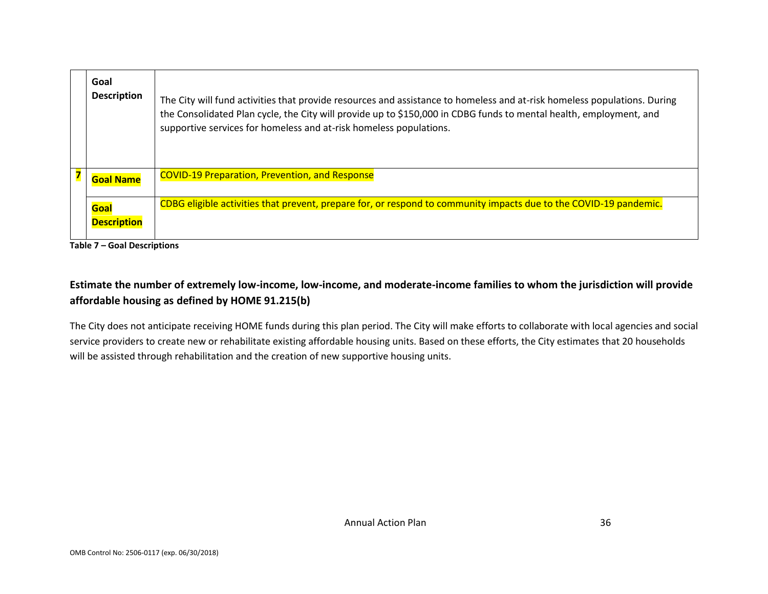| Goal<br><b>Description</b> | The City will fund activities that provide resources and assistance to homeless and at-risk homeless populations. During<br>the Consolidated Plan cycle, the City will provide up to \$150,000 in CDBG funds to mental health, employment, and<br>supportive services for homeless and at-risk homeless populations. |
|----------------------------|----------------------------------------------------------------------------------------------------------------------------------------------------------------------------------------------------------------------------------------------------------------------------------------------------------------------|
| <b>Goal Name</b>           | <b>COVID-19 Preparation, Prevention, and Response</b>                                                                                                                                                                                                                                                                |
| Goal<br><b>Description</b> | CDBG eligible activities that prevent, prepare for, or respond to community impacts due to the COVID-19 pandemic.                                                                                                                                                                                                    |

**Table 7 – Goal Descriptions**

### **Estimate the number of extremely low-income, low-income, and moderate-income families to whom the jurisdiction will provide affordable housing as defined by HOME 91.215(b)**

The City does not anticipate receiving HOME funds during this plan period. The City will make efforts to collaborate with local agencies and social service providers to create new or rehabilitate existing affordable housing units. Based on these efforts, the City estimates that 20 households will be assisted through rehabilitation and the creation of new supportive housing units.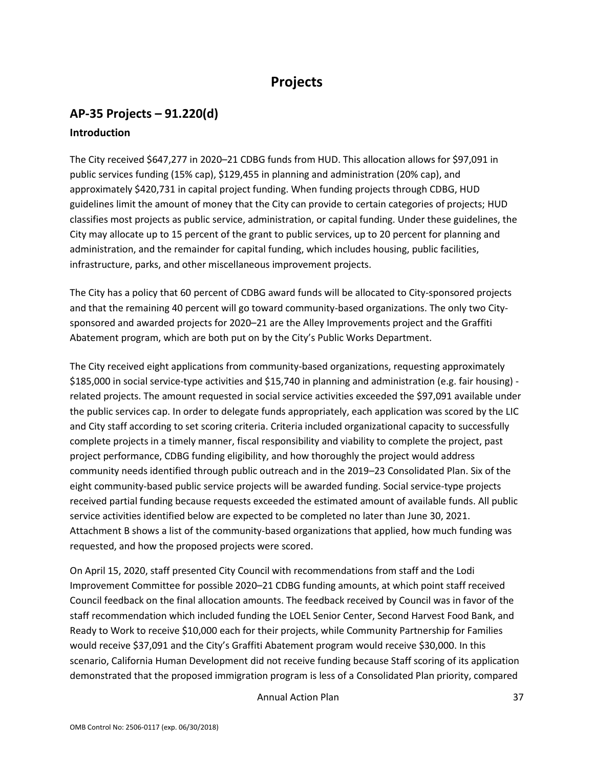# **Projects**

# **AP-35 Projects – 91.220(d) Introduction**

The City received \$647,277 in 2020–21 CDBG funds from HUD. This allocation allows for \$97,091 in public services funding (15% cap), \$129,455 in planning and administration (20% cap), and approximately \$420,731 in capital project funding. When funding projects through CDBG, HUD guidelines limit the amount of money that the City can provide to certain categories of projects; HUD classifies most projects as public service, administration, or capital funding. Under these guidelines, the City may allocate up to 15 percent of the grant to public services, up to 20 percent for planning and administration, and the remainder for capital funding, which includes housing, public facilities, infrastructure, parks, and other miscellaneous improvement projects.

The City has a policy that 60 percent of CDBG award funds will be allocated to City-sponsored projects and that the remaining 40 percent will go toward community-based organizations. The only two Citysponsored and awarded projects for 2020–21 are the Alley Improvements project and the Graffiti Abatement program, which are both put on by the City's Public Works Department.

The City received eight applications from community-based organizations, requesting approximately \$185,000 in social service-type activities and \$15,740 in planning and administration (e.g. fair housing) related projects. The amount requested in social service activities exceeded the \$97,091 available under the public services cap. In order to delegate funds appropriately, each application was scored by the LIC and City staff according to set scoring criteria. Criteria included organizational capacity to successfully complete projects in a timely manner, fiscal responsibility and viability to complete the project, past project performance, CDBG funding eligibility, and how thoroughly the project would address community needs identified through public outreach and in the 2019–23 Consolidated Plan. Six of the eight community-based public service projects will be awarded funding. Social service-type projects received partial funding because requests exceeded the estimated amount of available funds. All public service activities identified below are expected to be completed no later than June 30, 2021. Attachment B shows a list of the community-based organizations that applied, how much funding was requested, and how the proposed projects were scored.

On April 15, 2020, staff presented City Council with recommendations from staff and the Lodi Improvement Committee for possible 2020–21 CDBG funding amounts, at which point staff received Council feedback on the final allocation amounts. The feedback received by Council was in favor of the staff recommendation which included funding the LOEL Senior Center, Second Harvest Food Bank, and Ready to Work to receive \$10,000 each for their projects, while Community Partnership for Families would receive \$37,091 and the City's Graffiti Abatement program would receive \$30,000. In this scenario, California Human Development did not receive funding because Staff scoring of its application demonstrated that the proposed immigration program is less of a Consolidated Plan priority, compared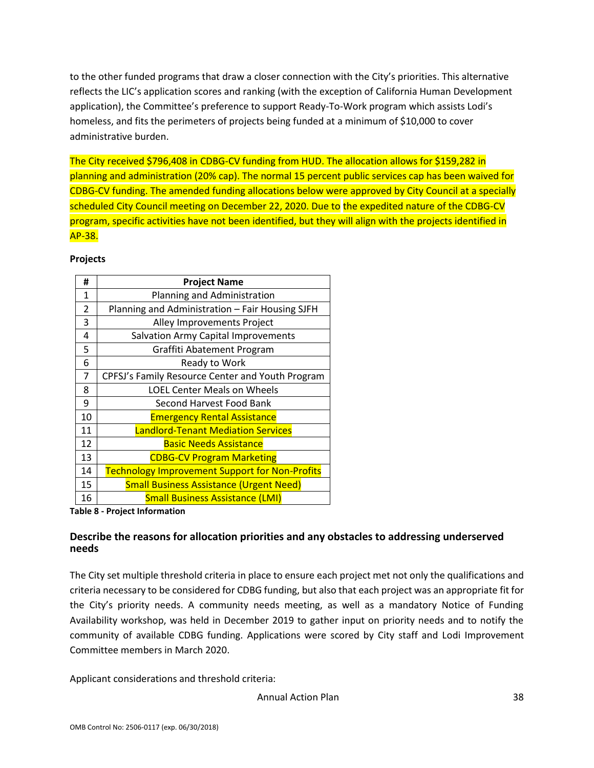to the other funded programs that draw a closer connection with the City's priorities. This alternative reflects the LIC's application scores and ranking (with the exception of California Human Development application), the Committee's preference to support Ready-To-Work program which assists Lodi's homeless, and fits the perimeters of projects being funded at a minimum of \$10,000 to cover administrative burden.

The City received \$796,408 in CDBG-CV funding from HUD. The allocation allows for \$159,282 in planning and administration (20% cap). The normal 15 percent public services cap has been waived for CDBG-CV funding. The amended funding allocations below were approved by City Council at a specially scheduled City Council meeting on December 22, 2020. Due to the expedited nature of the CDBG-CV program, specific activities have not been identified, but they will align with the projects identified in AP-38.

#### **Projects**

| #              | <b>Project Name</b>                                   |
|----------------|-------------------------------------------------------|
| $\mathbf{1}$   | Planning and Administration                           |
| $\overline{2}$ | Planning and Administration - Fair Housing SJFH       |
| 3              | Alley Improvements Project                            |
| 4              | Salvation Army Capital Improvements                   |
| 5              | Graffiti Abatement Program                            |
| 6              | Ready to Work                                         |
| 7              | CPFSJ's Family Resource Center and Youth Program      |
| 8              | <b>LOEL Center Meals on Wheels</b>                    |
| 9              | Second Harvest Food Bank                              |
| 10             | <b>Emergency Rental Assistance</b>                    |
| 11             | <b>Landlord-Tenant Mediation Services</b>             |
| 12             | <b>Basic Needs Assistance</b>                         |
| 13             | <b>CDBG-CV Program Marketing</b>                      |
| 14             | <b>Technology Improvement Support for Non-Profits</b> |
| 15             | <b>Small Business Assistance (Urgent Need)</b>        |
| 16             | <b>Small Business Assistance (LMI)</b>                |

**Table 8 - Project Information**

### **Describe the reasons for allocation priorities and any obstacles to addressing underserved needs**

The City set multiple threshold criteria in place to ensure each project met not only the qualifications and criteria necessary to be considered for CDBG funding, but also that each project was an appropriate fit for the City's priority needs. A community needs meeting, as well as a mandatory Notice of Funding Availability workshop, was held in December 2019 to gather input on priority needs and to notify the community of available CDBG funding. Applications were scored by City staff and Lodi Improvement Committee members in March 2020.

Applicant considerations and threshold criteria: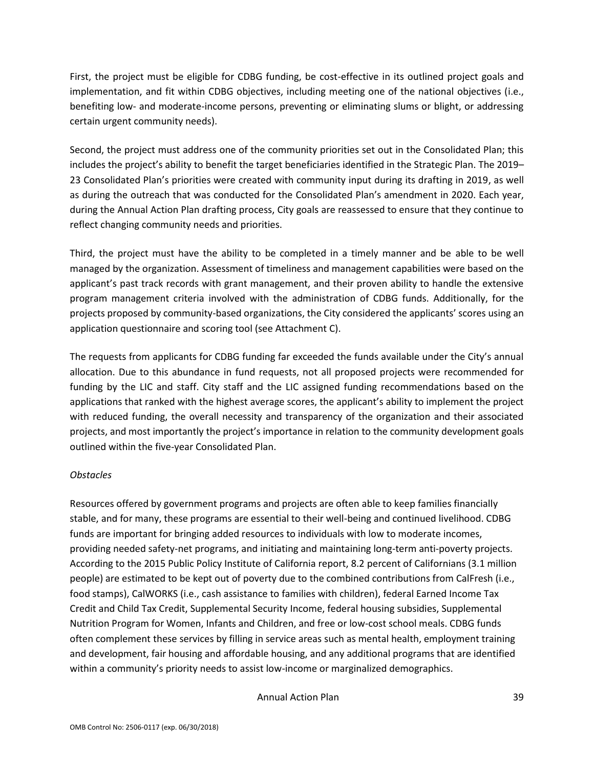First, the project must be eligible for CDBG funding, be cost-effective in its outlined project goals and implementation, and fit within CDBG objectives, including meeting one of the national objectives (i.e., benefiting low- and moderate-income persons, preventing or eliminating slums or blight, or addressing certain urgent community needs).

Second, the project must address one of the community priorities set out in the Consolidated Plan; this includes the project's ability to benefit the target beneficiaries identified in the Strategic Plan. The 2019– 23 Consolidated Plan's priorities were created with community input during its drafting in 2019, as well as during the outreach that was conducted for the Consolidated Plan's amendment in 2020. Each year, during the Annual Action Plan drafting process, City goals are reassessed to ensure that they continue to reflect changing community needs and priorities.

Third, the project must have the ability to be completed in a timely manner and be able to be well managed by the organization. Assessment of timeliness and management capabilities were based on the applicant's past track records with grant management, and their proven ability to handle the extensive program management criteria involved with the administration of CDBG funds. Additionally, for the projects proposed by community-based organizations, the City considered the applicants' scores using an application questionnaire and scoring tool (see Attachment C).

The requests from applicants for CDBG funding far exceeded the funds available under the City's annual allocation. Due to this abundance in fund requests, not all proposed projects were recommended for funding by the LIC and staff. City staff and the LIC assigned funding recommendations based on the applications that ranked with the highest average scores, the applicant's ability to implement the project with reduced funding, the overall necessity and transparency of the organization and their associated projects, and most importantly the project's importance in relation to the community development goals outlined within the five-year Consolidated Plan.

#### *Obstacles*

Resources offered by government programs and projects are often able to keep families financially stable, and for many, these programs are essential to their well-being and continued livelihood. CDBG funds are important for bringing added resources to individuals with low to moderate incomes, providing needed safety-net programs, and initiating and maintaining long-term anti-poverty projects. According to the 2015 Public Policy Institute of California report, 8.2 percent of Californians (3.1 million people) are estimated to be kept out of poverty due to the combined contributions from CalFresh (i.e., food stamps), CalWORKS (i.e., cash assistance to families with children), federal Earned Income Tax Credit and Child Tax Credit, Supplemental Security Income, federal housing subsidies, Supplemental Nutrition Program for Women, Infants and Children, and free or low-cost school meals. CDBG funds often complement these services by filling in service areas such as mental health, employment training and development, fair housing and affordable housing, and any additional programs that are identified within a community's priority needs to assist low-income or marginalized demographics.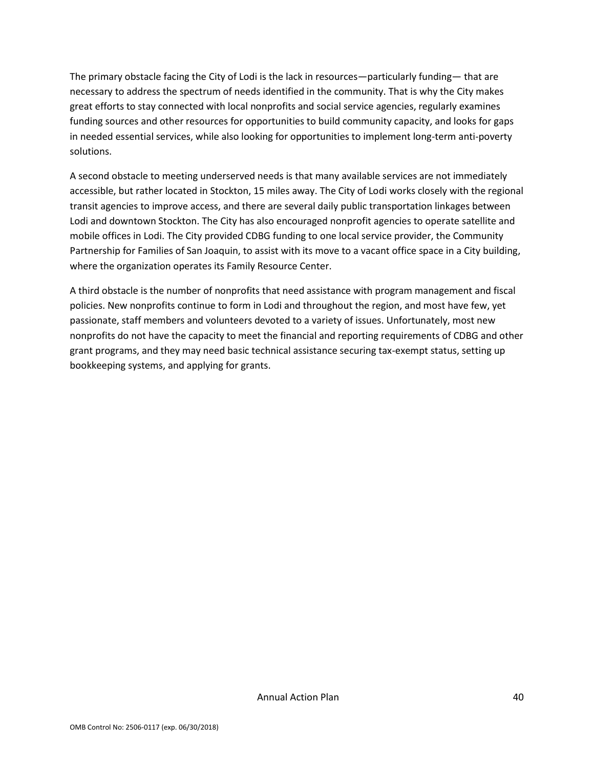The primary obstacle facing the City of Lodi is the lack in resources—particularly funding— that are necessary to address the spectrum of needs identified in the community. That is why the City makes great efforts to stay connected with local nonprofits and social service agencies, regularly examines funding sources and other resources for opportunities to build community capacity, and looks for gaps in needed essential services, while also looking for opportunities to implement long-term anti-poverty solutions.

A second obstacle to meeting underserved needs is that many available services are not immediately accessible, but rather located in Stockton, 15 miles away. The City of Lodi works closely with the regional transit agencies to improve access, and there are several daily public transportation linkages between Lodi and downtown Stockton. The City has also encouraged nonprofit agencies to operate satellite and mobile offices in Lodi. The City provided CDBG funding to one local service provider, the Community Partnership for Families of San Joaquin, to assist with its move to a vacant office space in a City building, where the organization operates its Family Resource Center.

A third obstacle is the number of nonprofits that need assistance with program management and fiscal policies. New nonprofits continue to form in Lodi and throughout the region, and most have few, yet passionate, staff members and volunteers devoted to a variety of issues. Unfortunately, most new nonprofits do not have the capacity to meet the financial and reporting requirements of CDBG and other grant programs, and they may need basic technical assistance securing tax-exempt status, setting up bookkeeping systems, and applying for grants.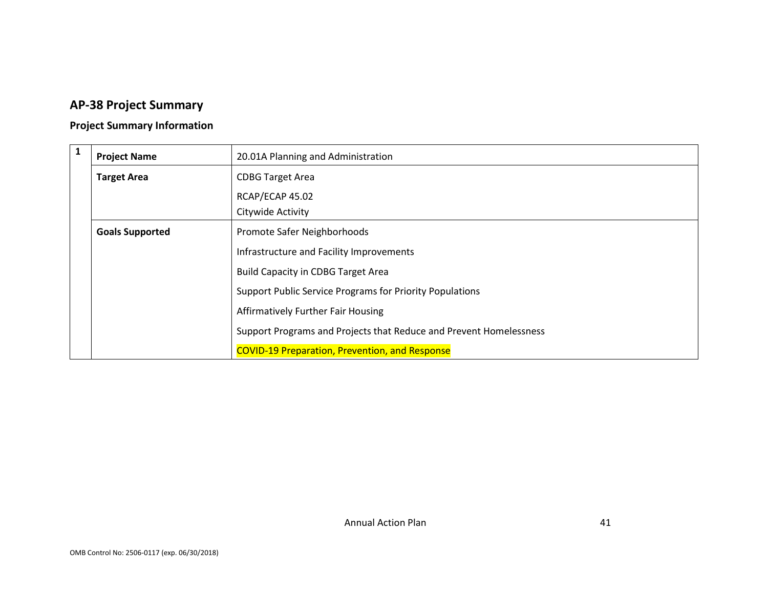# **AP-38 Project Summary**

## **Project Summary Information**

| $\mathbf{1}$ | <b>Project Name</b>    | 20.01A Planning and Administration                                 |
|--------------|------------------------|--------------------------------------------------------------------|
|              | <b>Target Area</b>     | <b>CDBG Target Area</b>                                            |
|              |                        | RCAP/ECAP 45.02                                                    |
|              |                        | Citywide Activity                                                  |
|              | <b>Goals Supported</b> | Promote Safer Neighborhoods                                        |
|              |                        | Infrastructure and Facility Improvements                           |
|              |                        | <b>Build Capacity in CDBG Target Area</b>                          |
|              |                        | <b>Support Public Service Programs for Priority Populations</b>    |
|              |                        | <b>Affirmatively Further Fair Housing</b>                          |
|              |                        | Support Programs and Projects that Reduce and Prevent Homelessness |
|              |                        | <b>COVID-19 Preparation, Prevention, and Response</b>              |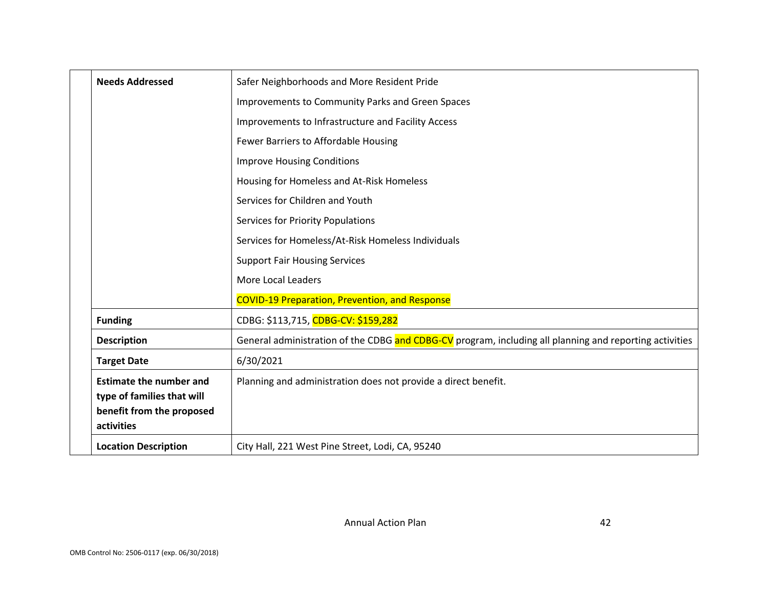| <b>Needs Addressed</b>                  | Safer Neighborhoods and More Resident Pride                                                             |
|-----------------------------------------|---------------------------------------------------------------------------------------------------------|
|                                         | Improvements to Community Parks and Green Spaces                                                        |
|                                         | Improvements to Infrastructure and Facility Access                                                      |
|                                         | Fewer Barriers to Affordable Housing                                                                    |
|                                         | <b>Improve Housing Conditions</b>                                                                       |
|                                         | Housing for Homeless and At-Risk Homeless                                                               |
|                                         | Services for Children and Youth                                                                         |
|                                         | Services for Priority Populations                                                                       |
|                                         | Services for Homeless/At-Risk Homeless Individuals                                                      |
|                                         | <b>Support Fair Housing Services</b>                                                                    |
|                                         | More Local Leaders                                                                                      |
|                                         | <b>COVID-19 Preparation, Prevention, and Response</b>                                                   |
| <b>Funding</b>                          | CDBG: \$113,715, CDBG-CV: \$159,282                                                                     |
| <b>Description</b>                      | General administration of the CDBG and CDBG-CV program, including all planning and reporting activities |
| <b>Target Date</b>                      | 6/30/2021                                                                                               |
| <b>Estimate the number and</b>          | Planning and administration does not provide a direct benefit.                                          |
| type of families that will              |                                                                                                         |
| benefit from the proposed<br>activities |                                                                                                         |
| <b>Location Description</b>             | City Hall, 221 West Pine Street, Lodi, CA, 95240                                                        |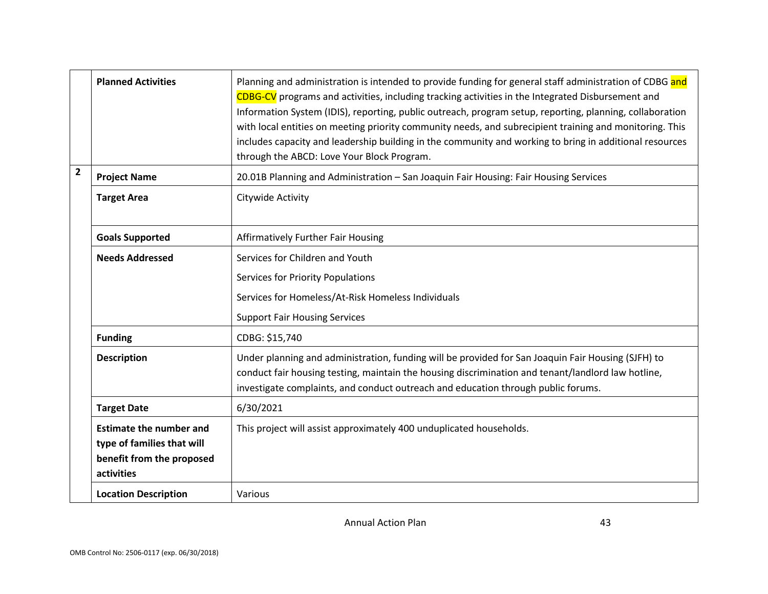|                | <b>Planned Activities</b>                                                                               | Planning and administration is intended to provide funding for general staff administration of CDBG and<br>CDBG-CV programs and activities, including tracking activities in the Integrated Disbursement and<br>Information System (IDIS), reporting, public outreach, program setup, reporting, planning, collaboration<br>with local entities on meeting priority community needs, and subrecipient training and monitoring. This<br>includes capacity and leadership building in the community and working to bring in additional resources<br>through the ABCD: Love Your Block Program. |
|----------------|---------------------------------------------------------------------------------------------------------|----------------------------------------------------------------------------------------------------------------------------------------------------------------------------------------------------------------------------------------------------------------------------------------------------------------------------------------------------------------------------------------------------------------------------------------------------------------------------------------------------------------------------------------------------------------------------------------------|
| $\overline{2}$ | <b>Project Name</b>                                                                                     | 20.01B Planning and Administration - San Joaquin Fair Housing: Fair Housing Services                                                                                                                                                                                                                                                                                                                                                                                                                                                                                                         |
|                | <b>Target Area</b>                                                                                      | Citywide Activity                                                                                                                                                                                                                                                                                                                                                                                                                                                                                                                                                                            |
|                | <b>Goals Supported</b>                                                                                  | <b>Affirmatively Further Fair Housing</b>                                                                                                                                                                                                                                                                                                                                                                                                                                                                                                                                                    |
|                | <b>Needs Addressed</b>                                                                                  | Services for Children and Youth                                                                                                                                                                                                                                                                                                                                                                                                                                                                                                                                                              |
|                |                                                                                                         | <b>Services for Priority Populations</b>                                                                                                                                                                                                                                                                                                                                                                                                                                                                                                                                                     |
|                |                                                                                                         | Services for Homeless/At-Risk Homeless Individuals                                                                                                                                                                                                                                                                                                                                                                                                                                                                                                                                           |
|                |                                                                                                         | <b>Support Fair Housing Services</b>                                                                                                                                                                                                                                                                                                                                                                                                                                                                                                                                                         |
|                | <b>Funding</b>                                                                                          | CDBG: \$15,740                                                                                                                                                                                                                                                                                                                                                                                                                                                                                                                                                                               |
|                | <b>Description</b>                                                                                      | Under planning and administration, funding will be provided for San Joaquin Fair Housing (SJFH) to<br>conduct fair housing testing, maintain the housing discrimination and tenant/landlord law hotline,<br>investigate complaints, and conduct outreach and education through public forums.                                                                                                                                                                                                                                                                                                |
|                | <b>Target Date</b>                                                                                      | 6/30/2021                                                                                                                                                                                                                                                                                                                                                                                                                                                                                                                                                                                    |
|                | <b>Estimate the number and</b><br>type of families that will<br>benefit from the proposed<br>activities | This project will assist approximately 400 unduplicated households.                                                                                                                                                                                                                                                                                                                                                                                                                                                                                                                          |
|                | <b>Location Description</b>                                                                             | Various                                                                                                                                                                                                                                                                                                                                                                                                                                                                                                                                                                                      |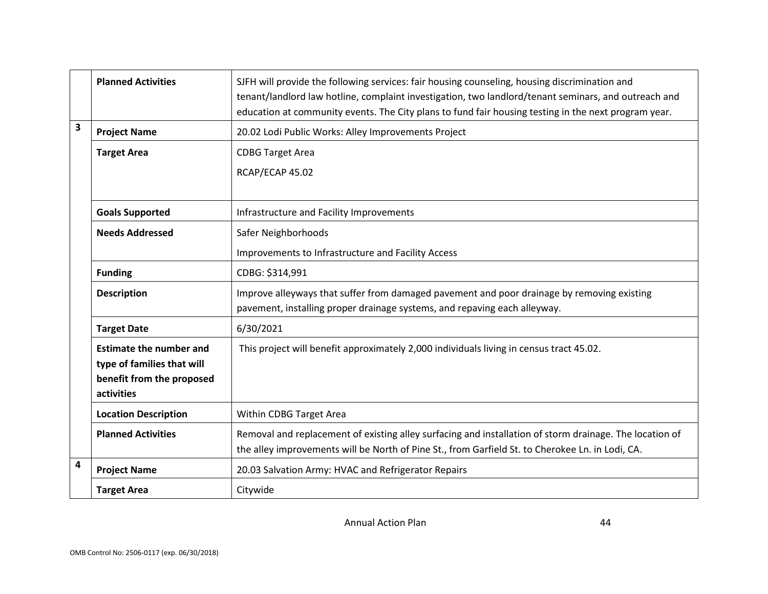|   | <b>Planned Activities</b>                                                                               | SJFH will provide the following services: fair housing counseling, housing discrimination and<br>tenant/landlord law hotline, complaint investigation, two landlord/tenant seminars, and outreach and<br>education at community events. The City plans to fund fair housing testing in the next program year. |
|---|---------------------------------------------------------------------------------------------------------|---------------------------------------------------------------------------------------------------------------------------------------------------------------------------------------------------------------------------------------------------------------------------------------------------------------|
| 3 | <b>Project Name</b>                                                                                     | 20.02 Lodi Public Works: Alley Improvements Project                                                                                                                                                                                                                                                           |
|   | <b>Target Area</b>                                                                                      | <b>CDBG Target Area</b>                                                                                                                                                                                                                                                                                       |
|   |                                                                                                         | RCAP/ECAP 45.02                                                                                                                                                                                                                                                                                               |
|   |                                                                                                         |                                                                                                                                                                                                                                                                                                               |
|   | <b>Goals Supported</b>                                                                                  | Infrastructure and Facility Improvements                                                                                                                                                                                                                                                                      |
|   | <b>Needs Addressed</b>                                                                                  | Safer Neighborhoods                                                                                                                                                                                                                                                                                           |
|   |                                                                                                         | Improvements to Infrastructure and Facility Access                                                                                                                                                                                                                                                            |
|   | <b>Funding</b>                                                                                          | CDBG: \$314,991                                                                                                                                                                                                                                                                                               |
|   | <b>Description</b>                                                                                      | Improve alleyways that suffer from damaged pavement and poor drainage by removing existing<br>pavement, installing proper drainage systems, and repaving each alleyway.                                                                                                                                       |
|   | <b>Target Date</b>                                                                                      | 6/30/2021                                                                                                                                                                                                                                                                                                     |
|   | <b>Estimate the number and</b><br>type of families that will<br>benefit from the proposed<br>activities | This project will benefit approximately 2,000 individuals living in census tract 45.02.                                                                                                                                                                                                                       |
|   | <b>Location Description</b>                                                                             | Within CDBG Target Area                                                                                                                                                                                                                                                                                       |
|   | <b>Planned Activities</b>                                                                               | Removal and replacement of existing alley surfacing and installation of storm drainage. The location of<br>the alley improvements will be North of Pine St., from Garfield St. to Cherokee Ln. in Lodi, CA.                                                                                                   |
| 4 | <b>Project Name</b>                                                                                     | 20.03 Salvation Army: HVAC and Refrigerator Repairs                                                                                                                                                                                                                                                           |
|   | <b>Target Area</b>                                                                                      | Citywide                                                                                                                                                                                                                                                                                                      |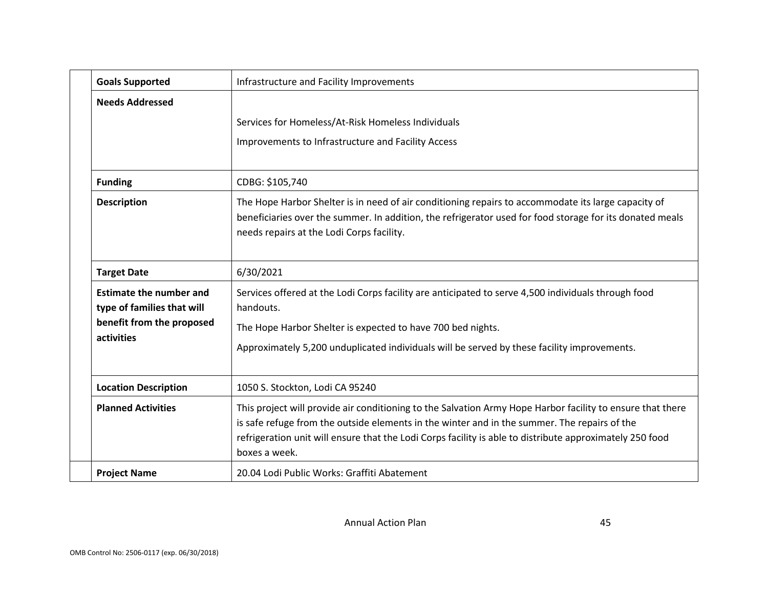| <b>Goals Supported</b>                                       | Infrastructure and Facility Improvements                                                                                                                                                                                                                                                                                                |
|--------------------------------------------------------------|-----------------------------------------------------------------------------------------------------------------------------------------------------------------------------------------------------------------------------------------------------------------------------------------------------------------------------------------|
| <b>Needs Addressed</b>                                       |                                                                                                                                                                                                                                                                                                                                         |
|                                                              | Services for Homeless/At-Risk Homeless Individuals                                                                                                                                                                                                                                                                                      |
|                                                              | Improvements to Infrastructure and Facility Access                                                                                                                                                                                                                                                                                      |
| <b>Funding</b>                                               | CDBG: \$105,740                                                                                                                                                                                                                                                                                                                         |
| <b>Description</b>                                           | The Hope Harbor Shelter is in need of air conditioning repairs to accommodate its large capacity of<br>beneficiaries over the summer. In addition, the refrigerator used for food storage for its donated meals<br>needs repairs at the Lodi Corps facility.                                                                            |
| <b>Target Date</b>                                           | 6/30/2021                                                                                                                                                                                                                                                                                                                               |
| <b>Estimate the number and</b><br>type of families that will | Services offered at the Lodi Corps facility are anticipated to serve 4,500 individuals through food<br>handouts.                                                                                                                                                                                                                        |
| benefit from the proposed                                    | The Hope Harbor Shelter is expected to have 700 bed nights.                                                                                                                                                                                                                                                                             |
| activities                                                   | Approximately 5,200 unduplicated individuals will be served by these facility improvements.                                                                                                                                                                                                                                             |
| <b>Location Description</b>                                  | 1050 S. Stockton, Lodi CA 95240                                                                                                                                                                                                                                                                                                         |
| <b>Planned Activities</b>                                    | This project will provide air conditioning to the Salvation Army Hope Harbor facility to ensure that there<br>is safe refuge from the outside elements in the winter and in the summer. The repairs of the<br>refrigeration unit will ensure that the Lodi Corps facility is able to distribute approximately 250 food<br>boxes a week. |
| <b>Project Name</b>                                          | 20.04 Lodi Public Works: Graffiti Abatement                                                                                                                                                                                                                                                                                             |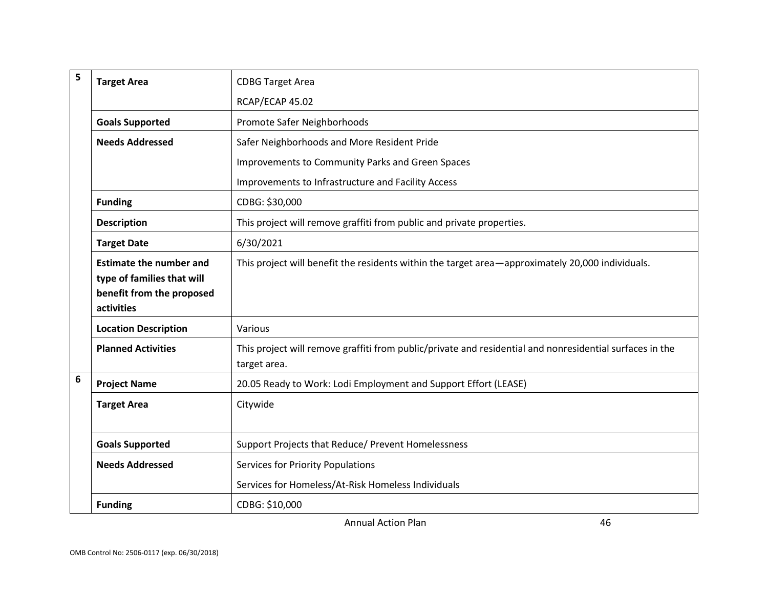| 5 | <b>Target Area</b>                                                                                      | <b>CDBG Target Area</b>                                                                                                  |
|---|---------------------------------------------------------------------------------------------------------|--------------------------------------------------------------------------------------------------------------------------|
|   |                                                                                                         | RCAP/ECAP 45.02                                                                                                          |
|   | <b>Goals Supported</b>                                                                                  | Promote Safer Neighborhoods                                                                                              |
|   | <b>Needs Addressed</b>                                                                                  | Safer Neighborhoods and More Resident Pride                                                                              |
|   |                                                                                                         | Improvements to Community Parks and Green Spaces                                                                         |
|   |                                                                                                         | Improvements to Infrastructure and Facility Access                                                                       |
|   | <b>Funding</b>                                                                                          | CDBG: \$30,000                                                                                                           |
|   | <b>Description</b>                                                                                      | This project will remove graffiti from public and private properties.                                                    |
|   | <b>Target Date</b>                                                                                      | 6/30/2021                                                                                                                |
|   | <b>Estimate the number and</b><br>type of families that will<br>benefit from the proposed<br>activities | This project will benefit the residents within the target area—approximately 20,000 individuals.                         |
|   | <b>Location Description</b>                                                                             | Various                                                                                                                  |
|   | <b>Planned Activities</b>                                                                               | This project will remove graffiti from public/private and residential and nonresidential surfaces in the<br>target area. |
| 6 | <b>Project Name</b>                                                                                     | 20.05 Ready to Work: Lodi Employment and Support Effort (LEASE)                                                          |
|   | <b>Target Area</b>                                                                                      | Citywide                                                                                                                 |
|   | <b>Goals Supported</b>                                                                                  | Support Projects that Reduce/ Prevent Homelessness                                                                       |
|   | <b>Needs Addressed</b>                                                                                  | Services for Priority Populations                                                                                        |
|   |                                                                                                         | Services for Homeless/At-Risk Homeless Individuals                                                                       |
|   | <b>Funding</b>                                                                                          | CDBG: \$10,000                                                                                                           |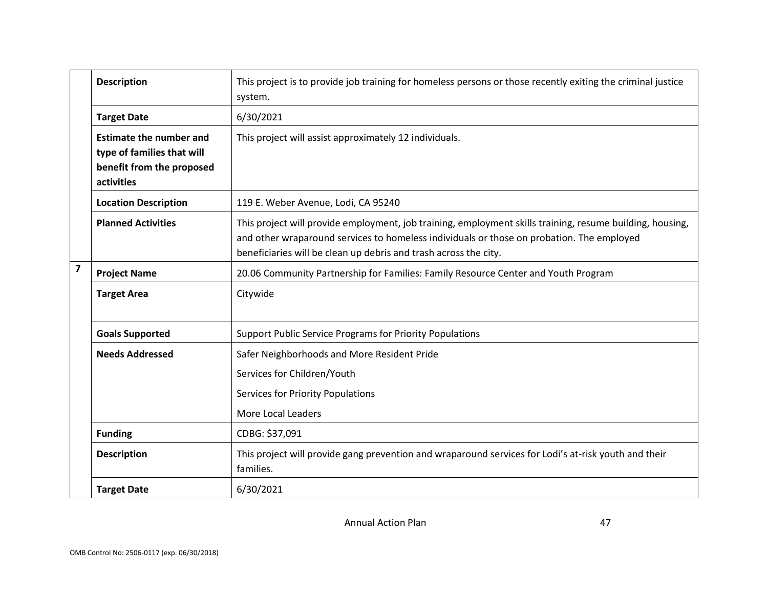|                         | <b>Description</b>                                                                                      | This project is to provide job training for homeless persons or those recently exiting the criminal justice<br>system.                                                                                                                                                     |
|-------------------------|---------------------------------------------------------------------------------------------------------|----------------------------------------------------------------------------------------------------------------------------------------------------------------------------------------------------------------------------------------------------------------------------|
|                         | <b>Target Date</b>                                                                                      | 6/30/2021                                                                                                                                                                                                                                                                  |
|                         | <b>Estimate the number and</b><br>type of families that will<br>benefit from the proposed<br>activities | This project will assist approximately 12 individuals.                                                                                                                                                                                                                     |
|                         | <b>Location Description</b>                                                                             | 119 E. Weber Avenue, Lodi, CA 95240                                                                                                                                                                                                                                        |
|                         | <b>Planned Activities</b>                                                                               | This project will provide employment, job training, employment skills training, resume building, housing,<br>and other wraparound services to homeless individuals or those on probation. The employed<br>beneficiaries will be clean up debris and trash across the city. |
| $\overline{\mathbf{z}}$ | <b>Project Name</b>                                                                                     | 20.06 Community Partnership for Families: Family Resource Center and Youth Program                                                                                                                                                                                         |
|                         | <b>Target Area</b>                                                                                      | Citywide                                                                                                                                                                                                                                                                   |
|                         | <b>Goals Supported</b>                                                                                  | <b>Support Public Service Programs for Priority Populations</b>                                                                                                                                                                                                            |
|                         | <b>Needs Addressed</b>                                                                                  | Safer Neighborhoods and More Resident Pride                                                                                                                                                                                                                                |
|                         |                                                                                                         | Services for Children/Youth                                                                                                                                                                                                                                                |
|                         |                                                                                                         | <b>Services for Priority Populations</b>                                                                                                                                                                                                                                   |
|                         |                                                                                                         | More Local Leaders                                                                                                                                                                                                                                                         |
|                         | <b>Funding</b>                                                                                          | CDBG: \$37,091                                                                                                                                                                                                                                                             |
|                         | <b>Description</b>                                                                                      | This project will provide gang prevention and wraparound services for Lodi's at-risk youth and their<br>families.                                                                                                                                                          |
|                         | <b>Target Date</b>                                                                                      | 6/30/2021                                                                                                                                                                                                                                                                  |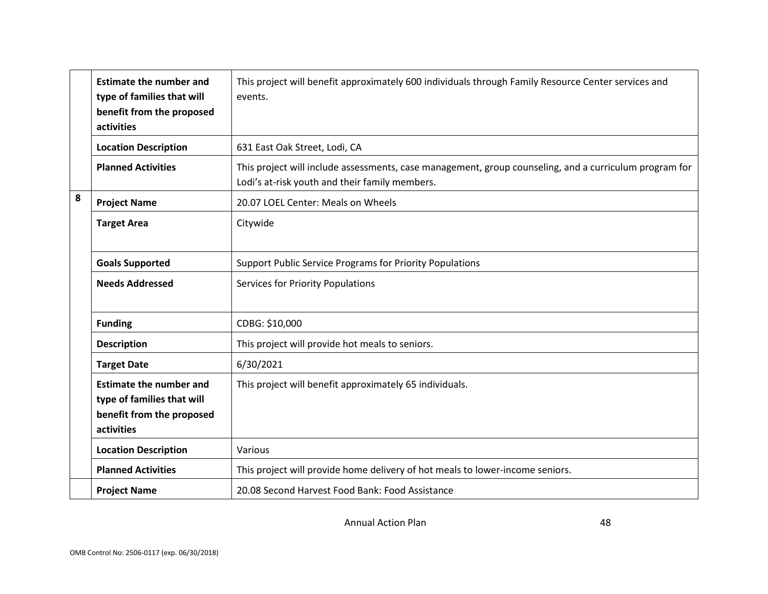|   | <b>Estimate the number and</b><br>type of families that will<br>benefit from the proposed<br>activities | This project will benefit approximately 600 individuals through Family Resource Center services and<br>events.                                           |
|---|---------------------------------------------------------------------------------------------------------|----------------------------------------------------------------------------------------------------------------------------------------------------------|
|   | <b>Location Description</b>                                                                             | 631 East Oak Street, Lodi, CA                                                                                                                            |
|   | <b>Planned Activities</b>                                                                               | This project will include assessments, case management, group counseling, and a curriculum program for<br>Lodi's at-risk youth and their family members. |
| 8 | <b>Project Name</b>                                                                                     | 20.07 LOEL Center: Meals on Wheels                                                                                                                       |
|   | <b>Target Area</b>                                                                                      | Citywide                                                                                                                                                 |
|   | <b>Goals Supported</b>                                                                                  | Support Public Service Programs for Priority Populations                                                                                                 |
|   | <b>Needs Addressed</b>                                                                                  | <b>Services for Priority Populations</b>                                                                                                                 |
|   | <b>Funding</b>                                                                                          | CDBG: \$10,000                                                                                                                                           |
|   | <b>Description</b>                                                                                      | This project will provide hot meals to seniors.                                                                                                          |
|   | <b>Target Date</b>                                                                                      | 6/30/2021                                                                                                                                                |
|   | <b>Estimate the number and</b><br>type of families that will<br>benefit from the proposed<br>activities | This project will benefit approximately 65 individuals.                                                                                                  |
|   | <b>Location Description</b>                                                                             | Various                                                                                                                                                  |
|   | <b>Planned Activities</b>                                                                               | This project will provide home delivery of hot meals to lower-income seniors.                                                                            |
|   | <b>Project Name</b>                                                                                     | 20.08 Second Harvest Food Bank: Food Assistance                                                                                                          |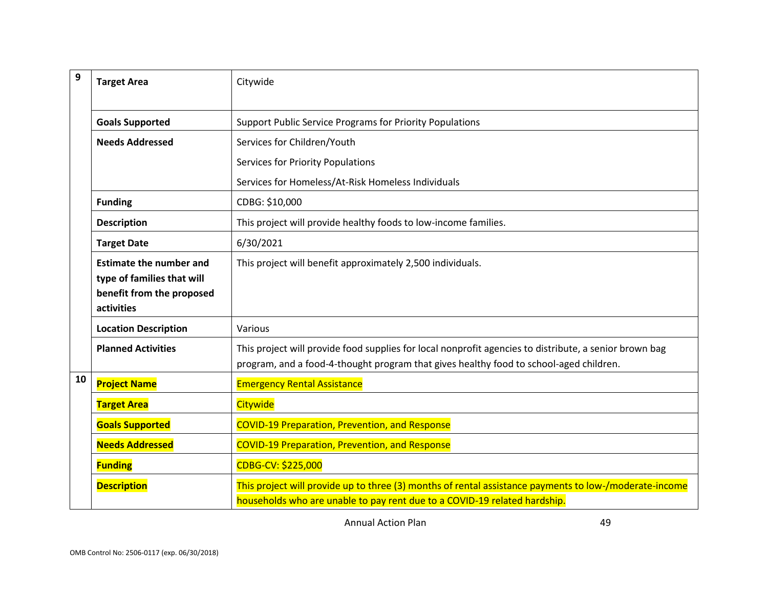| 9  | <b>Target Area</b>                                                                                      | Citywide                                                                                                                                                                                         |
|----|---------------------------------------------------------------------------------------------------------|--------------------------------------------------------------------------------------------------------------------------------------------------------------------------------------------------|
|    | <b>Goals Supported</b>                                                                                  | Support Public Service Programs for Priority Populations                                                                                                                                         |
|    | <b>Needs Addressed</b>                                                                                  | Services for Children/Youth                                                                                                                                                                      |
|    |                                                                                                         | <b>Services for Priority Populations</b>                                                                                                                                                         |
|    |                                                                                                         | Services for Homeless/At-Risk Homeless Individuals                                                                                                                                               |
|    | <b>Funding</b>                                                                                          | CDBG: \$10,000                                                                                                                                                                                   |
|    | <b>Description</b>                                                                                      | This project will provide healthy foods to low-income families.                                                                                                                                  |
|    | <b>Target Date</b>                                                                                      | 6/30/2021                                                                                                                                                                                        |
|    | <b>Estimate the number and</b><br>type of families that will<br>benefit from the proposed<br>activities | This project will benefit approximately 2,500 individuals.                                                                                                                                       |
|    | <b>Location Description</b>                                                                             | Various                                                                                                                                                                                          |
|    | <b>Planned Activities</b>                                                                               | This project will provide food supplies for local nonprofit agencies to distribute, a senior brown bag<br>program, and a food-4-thought program that gives healthy food to school-aged children. |
| 10 | <b>Project Name</b>                                                                                     | <b>Emergency Rental Assistance</b>                                                                                                                                                               |
|    | <b>Target Area</b>                                                                                      | Citywide                                                                                                                                                                                         |
|    | <b>Goals Supported</b>                                                                                  | <b>COVID-19 Preparation, Prevention, and Response</b>                                                                                                                                            |
|    | <b>Needs Addressed</b>                                                                                  | <b>COVID-19 Preparation, Prevention, and Response</b>                                                                                                                                            |
|    | <b>Funding</b>                                                                                          | CDBG-CV: \$225,000                                                                                                                                                                               |
|    | <b>Description</b>                                                                                      | This project will provide up to three (3) months of rental assistance payments to low-/moderate-income<br>households who are unable to pay rent due to a COVID-19 related hardship.              |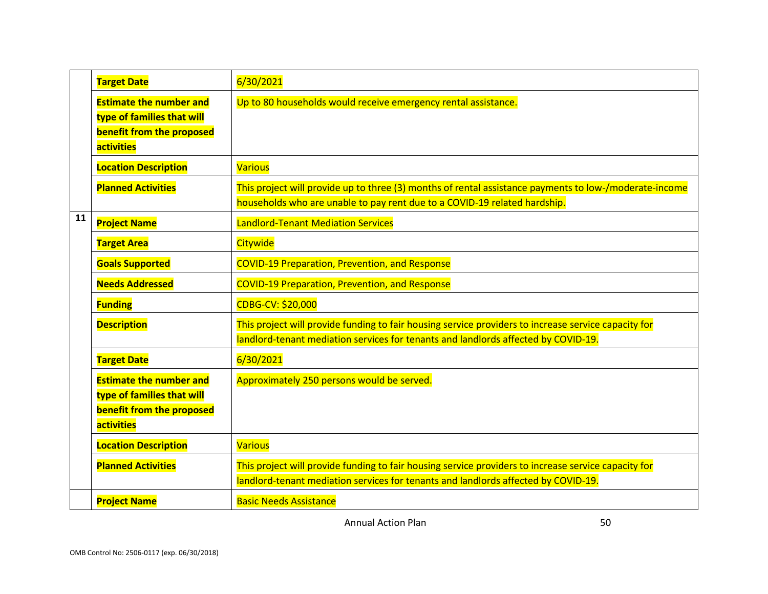|    | <b>Target Date</b>                                                                                             | 6/30/2021                                                                                                                                                                                  |
|----|----------------------------------------------------------------------------------------------------------------|--------------------------------------------------------------------------------------------------------------------------------------------------------------------------------------------|
|    | <b>Estimate the number and</b><br>type of families that will<br>benefit from the proposed<br><b>activities</b> | Up to 80 households would receive emergency rental assistance.                                                                                                                             |
|    | <b>Location Description</b>                                                                                    | <b>Various</b>                                                                                                                                                                             |
|    | <b>Planned Activities</b>                                                                                      | This project will provide up to three (3) months of rental assistance payments to low-/moderate-income<br>households who are unable to pay rent due to a COVID-19 related hardship.        |
| 11 | <b>Project Name</b>                                                                                            | <b>Landlord-Tenant Mediation Services</b>                                                                                                                                                  |
|    | <b>Target Area</b>                                                                                             | Citywide                                                                                                                                                                                   |
|    | <b>Goals Supported</b>                                                                                         | <b>COVID-19 Preparation, Prevention, and Response</b>                                                                                                                                      |
|    | <b>Needs Addressed</b>                                                                                         | <b>COVID-19 Preparation, Prevention, and Response</b>                                                                                                                                      |
|    | <b>Funding</b>                                                                                                 | CDBG-CV: \$20,000                                                                                                                                                                          |
|    | <b>Description</b>                                                                                             | This project will provide funding to fair housing service providers to increase service capacity for<br>landlord-tenant mediation services for tenants and landlords affected by COVID-19. |
|    | <b>Target Date</b>                                                                                             | 6/30/2021                                                                                                                                                                                  |
|    | <b>Estimate the number and</b><br>type of families that will<br>benefit from the proposed<br><b>activities</b> | Approximately 250 persons would be served.                                                                                                                                                 |
|    | <b>Location Description</b>                                                                                    | <b>Various</b>                                                                                                                                                                             |
|    | <b>Planned Activities</b>                                                                                      | This project will provide funding to fair housing service providers to increase service capacity for<br>landlord-tenant mediation services for tenants and landlords affected by COVID-19. |
|    | <b>Project Name</b>                                                                                            | <b>Basic Needs Assistance</b>                                                                                                                                                              |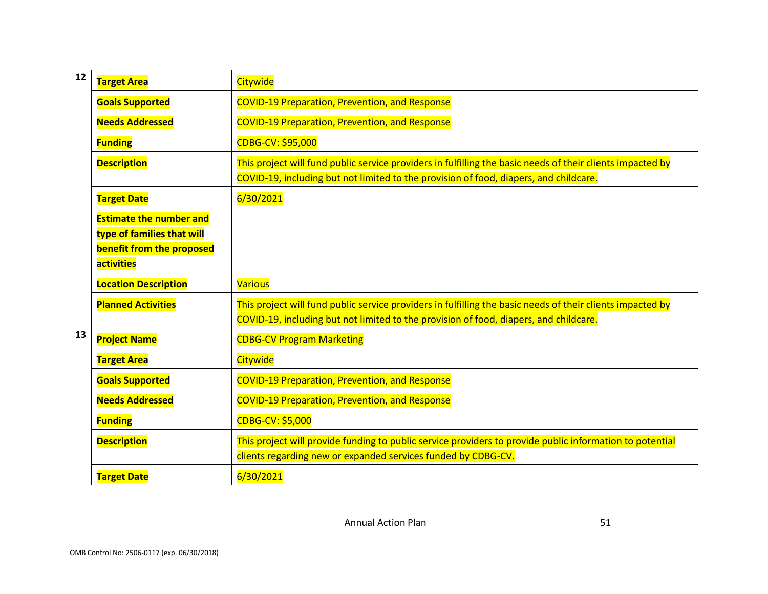| 12 | <b>Target Area</b>                                                                                             | Citywide                                                                                                                                                                                            |
|----|----------------------------------------------------------------------------------------------------------------|-----------------------------------------------------------------------------------------------------------------------------------------------------------------------------------------------------|
|    | <b>Goals Supported</b>                                                                                         | <b>COVID-19 Preparation, Prevention, and Response</b>                                                                                                                                               |
|    | <b>Needs Addressed</b>                                                                                         | <b>COVID-19 Preparation, Prevention, and Response</b>                                                                                                                                               |
|    | <b>Funding</b>                                                                                                 | CDBG-CV: \$95,000                                                                                                                                                                                   |
|    | <b>Description</b>                                                                                             | This project will fund public service providers in fulfilling the basic needs of their clients impacted by<br>COVID-19, including but not limited to the provision of food, diapers, and childcare. |
|    | <b>Target Date</b>                                                                                             | 6/30/2021                                                                                                                                                                                           |
|    | <b>Estimate the number and</b><br>type of families that will<br>benefit from the proposed<br><b>activities</b> |                                                                                                                                                                                                     |
|    | <b>Location Description</b>                                                                                    | <b>Various</b>                                                                                                                                                                                      |
|    | <b>Planned Activities</b>                                                                                      | This project will fund public service providers in fulfilling the basic needs of their clients impacted by<br>COVID-19, including but not limited to the provision of food, diapers, and childcare. |
| 13 |                                                                                                                |                                                                                                                                                                                                     |
|    | <b>Project Name</b>                                                                                            | <b>CDBG-CV Program Marketing</b>                                                                                                                                                                    |
|    | <b>Target Area</b>                                                                                             | Citywide                                                                                                                                                                                            |
|    | <b>Goals Supported</b>                                                                                         | <b>COVID-19 Preparation, Prevention, and Response</b>                                                                                                                                               |
|    | <b>Needs Addressed</b>                                                                                         | <b>COVID-19 Preparation, Prevention, and Response</b>                                                                                                                                               |
|    | <b>Funding</b>                                                                                                 | CDBG-CV: \$5,000                                                                                                                                                                                    |
|    | <b>Description</b>                                                                                             | This project will provide funding to public service providers to provide public information to potential<br>clients regarding new or expanded services funded by CDBG-CV.                           |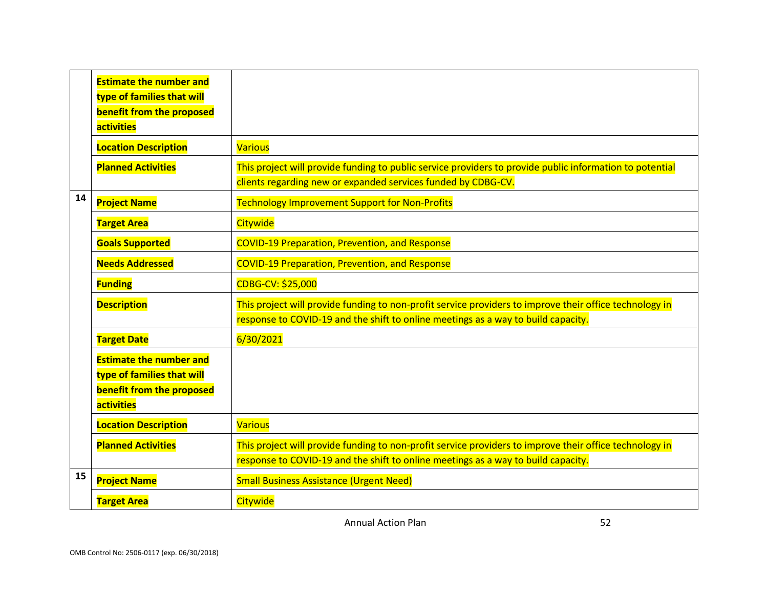|    | <b>Estimate the number and</b><br>type of families that will<br>benefit from the proposed<br>activities |                                                                                                                                                                                              |
|----|---------------------------------------------------------------------------------------------------------|----------------------------------------------------------------------------------------------------------------------------------------------------------------------------------------------|
|    | <b>Location Description</b>                                                                             | <b>Various</b>                                                                                                                                                                               |
|    | <b>Planned Activities</b>                                                                               | This project will provide funding to public service providers to provide public information to potential<br>clients regarding new or expanded services funded by CDBG-CV.                    |
| 14 | <b>Project Name</b>                                                                                     | <b>Technology Improvement Support for Non-Profits</b>                                                                                                                                        |
|    | <b>Target Area</b>                                                                                      | Citywide                                                                                                                                                                                     |
|    | <b>Goals Supported</b>                                                                                  | <b>COVID-19 Preparation, Prevention, and Response</b>                                                                                                                                        |
|    | <b>Needs Addressed</b>                                                                                  | <b>COVID-19 Preparation, Prevention, and Response</b>                                                                                                                                        |
|    | <b>Funding</b>                                                                                          | CDBG-CV: \$25,000                                                                                                                                                                            |
|    | <b>Description</b>                                                                                      | This project will provide funding to non-profit service providers to improve their office technology in<br>response to COVID-19 and the shift to online meetings as a way to build capacity. |
|    | <b>Target Date</b>                                                                                      | 6/30/2021                                                                                                                                                                                    |
|    | <b>Estimate the number and</b><br>type of families that will<br>benefit from the proposed<br>activities |                                                                                                                                                                                              |
|    | <b>Location Description</b>                                                                             | <b>Various</b>                                                                                                                                                                               |
|    | <b>Planned Activities</b>                                                                               | This project will provide funding to non-profit service providers to improve their office technology in<br>response to COVID-19 and the shift to online meetings as a way to build capacity. |
| 15 | <b>Project Name</b>                                                                                     | <b>Small Business Assistance (Urgent Need)</b>                                                                                                                                               |
|    | <b>Target Area</b>                                                                                      | Citywide                                                                                                                                                                                     |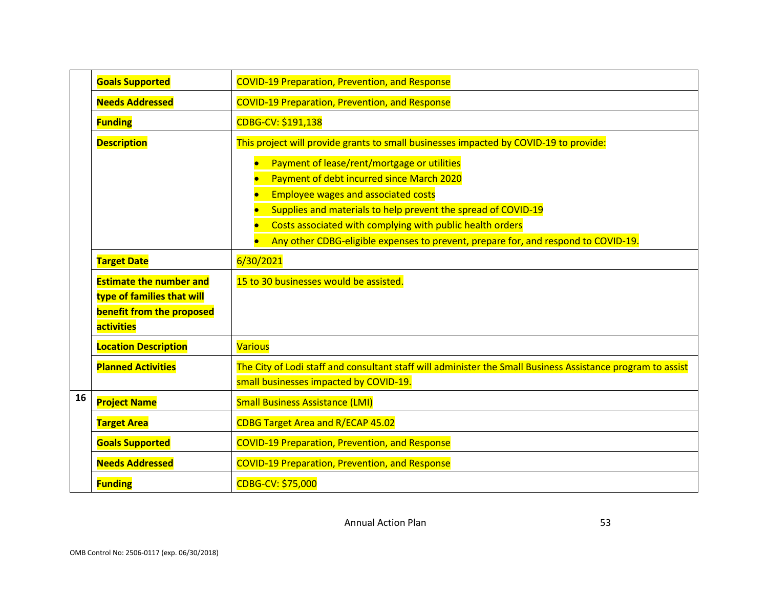|    | <b>Goals Supported</b>                                                                                   | <b>COVID-19 Preparation, Prevention, and Response</b>                                                                                                                                                                                                                                                                                                                                                                                                                                                      |  |  |  |
|----|----------------------------------------------------------------------------------------------------------|------------------------------------------------------------------------------------------------------------------------------------------------------------------------------------------------------------------------------------------------------------------------------------------------------------------------------------------------------------------------------------------------------------------------------------------------------------------------------------------------------------|--|--|--|
|    | <b>Needs Addressed</b>                                                                                   | <b>COVID-19 Preparation, Prevention, and Response</b>                                                                                                                                                                                                                                                                                                                                                                                                                                                      |  |  |  |
|    | <b>Funding</b>                                                                                           | CDBG-CV: \$191,138                                                                                                                                                                                                                                                                                                                                                                                                                                                                                         |  |  |  |
|    | <b>Description</b><br><b>Target Date</b><br><b>Estimate the number and</b><br>type of families that will | This project will provide grants to small businesses impacted by COVID-19 to provide:<br>Payment of lease/rent/mortgage or utilities<br>Payment of debt incurred since March 2020<br><b>Employee wages and associated costs</b><br>Supplies and materials to help prevent the spread of COVID-19<br>Costs associated with complying with public health orders<br>Any other CDBG-eligible expenses to prevent, prepare for, and respond to COVID-19.<br>6/30/2021<br>15 to 30 businesses would be assisted. |  |  |  |
|    | benefit from the proposed<br><b>activities</b>                                                           |                                                                                                                                                                                                                                                                                                                                                                                                                                                                                                            |  |  |  |
|    | <b>Location Description</b>                                                                              | <b>Various</b>                                                                                                                                                                                                                                                                                                                                                                                                                                                                                             |  |  |  |
|    | <b>Planned Activities</b>                                                                                | The City of Lodi staff and consultant staff will administer the Small Business Assistance program to assist<br>small businesses impacted by COVID-19.                                                                                                                                                                                                                                                                                                                                                      |  |  |  |
| 16 | <b>Project Name</b>                                                                                      | <b>Small Business Assistance (LMI)</b>                                                                                                                                                                                                                                                                                                                                                                                                                                                                     |  |  |  |
|    | <b>Target Area</b>                                                                                       | CDBG Target Area and R/ECAP 45.02                                                                                                                                                                                                                                                                                                                                                                                                                                                                          |  |  |  |
|    | <b>Goals Supported</b>                                                                                   | <b>COVID-19 Preparation, Prevention, and Response</b>                                                                                                                                                                                                                                                                                                                                                                                                                                                      |  |  |  |
|    | <b>Needs Addressed</b>                                                                                   | <b>COVID-19 Preparation, Prevention, and Response</b>                                                                                                                                                                                                                                                                                                                                                                                                                                                      |  |  |  |
|    | <b>Funding</b>                                                                                           | CDBG-CV: \$75,000                                                                                                                                                                                                                                                                                                                                                                                                                                                                                          |  |  |  |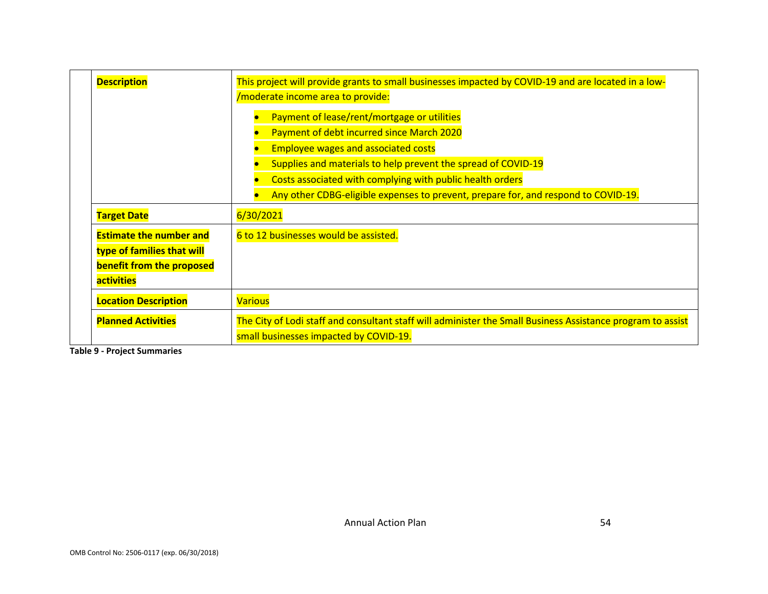| <b>Description</b>             | This project will provide grants to small businesses impacted by COVID-19 and are located in a low-         |  |
|--------------------------------|-------------------------------------------------------------------------------------------------------------|--|
|                                | /moderate income area to provide:                                                                           |  |
|                                | Payment of lease/rent/mortgage or utilities                                                                 |  |
|                                | Payment of debt incurred since March 2020                                                                   |  |
|                                | <b>Employee wages and associated costs</b>                                                                  |  |
|                                | Supplies and materials to help prevent the spread of COVID-19                                               |  |
|                                | Costs associated with complying with public health orders                                                   |  |
|                                | Any other CDBG-eligible expenses to prevent, prepare for, and respond to COVID-19.                          |  |
| <b>Target Date</b>             | 6/30/2021                                                                                                   |  |
| <b>Estimate the number and</b> | 6 to 12 businesses would be assisted.                                                                       |  |
| type of families that will     |                                                                                                             |  |
| benefit from the proposed      |                                                                                                             |  |
| <b>activities</b>              |                                                                                                             |  |
| <b>Location Description</b>    | <b>Various</b>                                                                                              |  |
| <b>Planned Activities</b>      | The City of Lodi staff and consultant staff will administer the Small Business Assistance program to assist |  |
|                                | small businesses impacted by COVID-19.                                                                      |  |

**Table 9 - Project Summaries**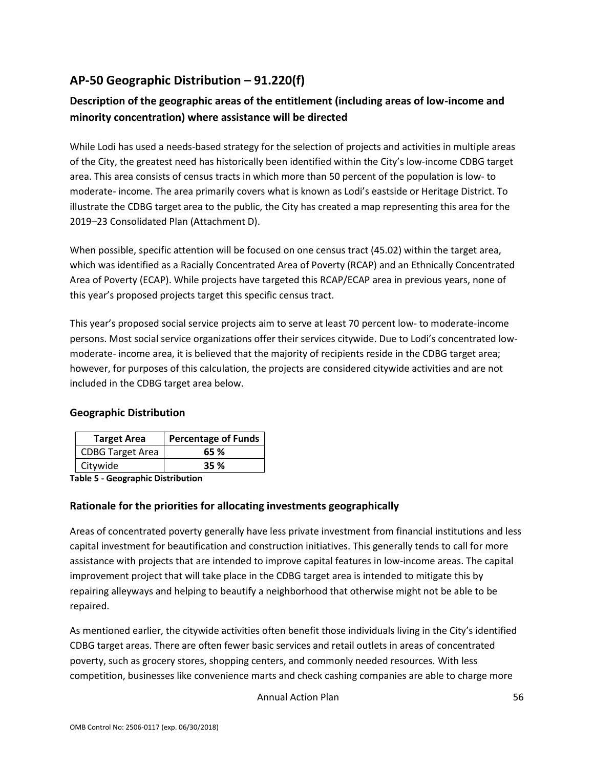# **AP-50 Geographic Distribution – 91.220(f)**

## **Description of the geographic areas of the entitlement (including areas of low-income and minority concentration) where assistance will be directed**

While Lodi has used a needs-based strategy for the selection of projects and activities in multiple areas of the City, the greatest need has historically been identified within the City's low-income CDBG target area. This area consists of census tracts in which more than 50 percent of the population is low- to moderate- income. The area primarily covers what is known as Lodi's eastside or Heritage District. To illustrate the CDBG target area to the public, the City has created a map representing this area for the 2019–23 Consolidated Plan (Attachment D).

When possible, specific attention will be focused on one census tract (45.02) within the target area, which was identified as a Racially Concentrated Area of Poverty (RCAP) and an Ethnically Concentrated Area of Poverty (ECAP). While projects have targeted this RCAP/ECAP area in previous years, none of this year's proposed projects target this specific census tract.

This year's proposed social service projects aim to serve at least 70 percent low- to moderate-income persons. Most social service organizations offer their services citywide. Due to Lodi's concentrated lowmoderate- income area, it is believed that the majority of recipients reside in the CDBG target area; however, for purposes of this calculation, the projects are considered citywide activities and are not included in the CDBG target area below.

### **Geographic Distribution**

| <b>Target Area</b>      | <b>Percentage of Funds</b> |
|-------------------------|----------------------------|
| <b>CDBG Target Area</b> | 65 %                       |
| Citywide                | <b>35 %</b>                |

**Table 5 - Geographic Distribution** 

### **Rationale for the priorities for allocating investments geographically**

Areas of concentrated poverty generally have less private investment from financial institutions and less capital investment for beautification and construction initiatives. This generally tends to call for more assistance with projects that are intended to improve capital features in low-income areas. The capital improvement project that will take place in the CDBG target area is intended to mitigate this by repairing alleyways and helping to beautify a neighborhood that otherwise might not be able to be repaired.

As mentioned earlier, the citywide activities often benefit those individuals living in the City's identified CDBG target areas. There are often fewer basic services and retail outlets in areas of concentrated poverty, such as grocery stores, shopping centers, and commonly needed resources. With less competition, businesses like convenience marts and check cashing companies are able to charge more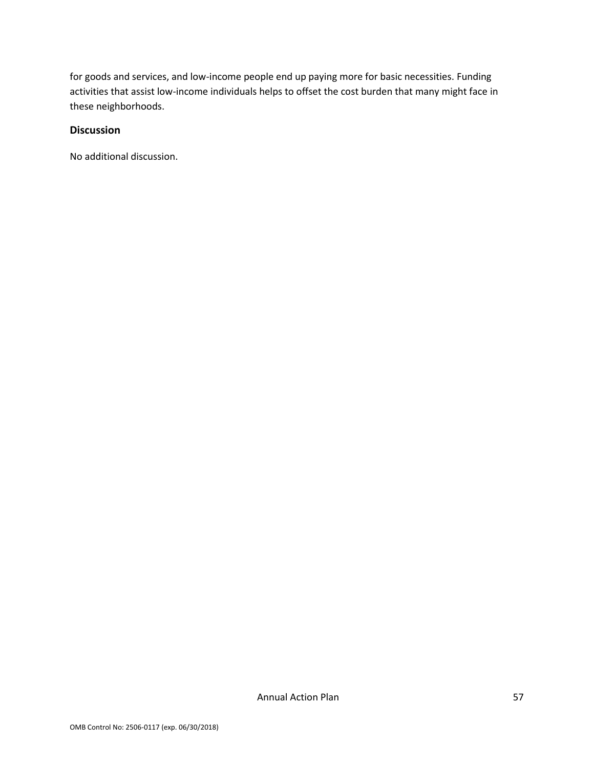for goods and services, and low-income people end up paying more for basic necessities. Funding activities that assist low-income individuals helps to offset the cost burden that many might face in these neighborhoods.

### **Discussion**

No additional discussion.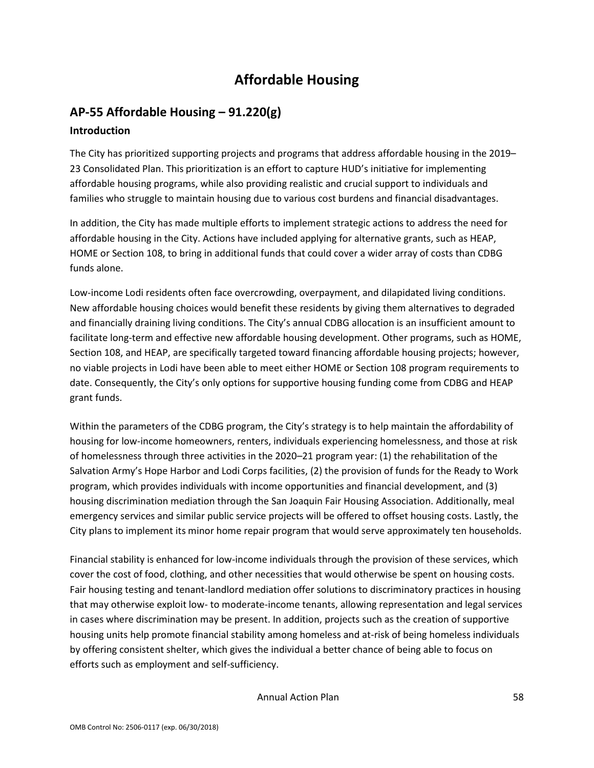# **Affordable Housing**

# **AP-55 Affordable Housing – 91.220(g)**

### **Introduction**

The City has prioritized supporting projects and programs that address affordable housing in the 2019– 23 Consolidated Plan. This prioritization is an effort to capture HUD's initiative for implementing affordable housing programs, while also providing realistic and crucial support to individuals and families who struggle to maintain housing due to various cost burdens and financial disadvantages.

In addition, the City has made multiple efforts to implement strategic actions to address the need for affordable housing in the City. Actions have included applying for alternative grants, such as HEAP, HOME or Section 108, to bring in additional funds that could cover a wider array of costs than CDBG funds alone.

Low-income Lodi residents often face overcrowding, overpayment, and dilapidated living conditions. New affordable housing choices would benefit these residents by giving them alternatives to degraded and financially draining living conditions. The City's annual CDBG allocation is an insufficient amount to facilitate long-term and effective new affordable housing development. Other programs, such as HOME, Section 108, and HEAP, are specifically targeted toward financing affordable housing projects; however, no viable projects in Lodi have been able to meet either HOME or Section 108 program requirements to date. Consequently, the City's only options for supportive housing funding come from CDBG and HEAP grant funds.

Within the parameters of the CDBG program, the City's strategy is to help maintain the affordability of housing for low-income homeowners, renters, individuals experiencing homelessness, and those at risk of homelessness through three activities in the 2020–21 program year: (1) the rehabilitation of the Salvation Army's Hope Harbor and Lodi Corps facilities, (2) the provision of funds for the Ready to Work program, which provides individuals with income opportunities and financial development, and (3) housing discrimination mediation through the San Joaquin Fair Housing Association. Additionally, meal emergency services and similar public service projects will be offered to offset housing costs. Lastly, the City plans to implement its minor home repair program that would serve approximately ten households.

Financial stability is enhanced for low-income individuals through the provision of these services, which cover the cost of food, clothing, and other necessities that would otherwise be spent on housing costs. Fair housing testing and tenant-landlord mediation offer solutions to discriminatory practices in housing that may otherwise exploit low- to moderate-income tenants, allowing representation and legal services in cases where discrimination may be present. In addition, projects such as the creation of supportive housing units help promote financial stability among homeless and at-risk of being homeless individuals by offering consistent shelter, which gives the individual a better chance of being able to focus on efforts such as employment and self-sufficiency.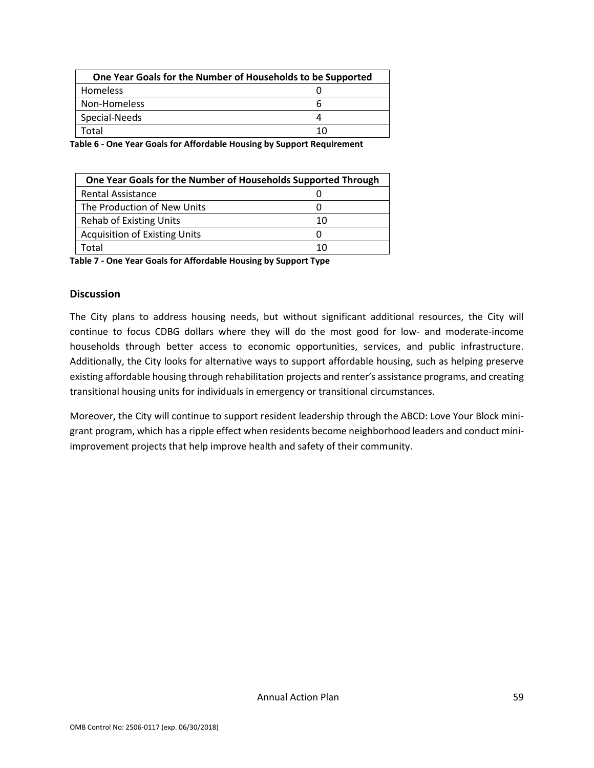| One Year Goals for the Number of Households to be Supported |    |
|-------------------------------------------------------------|----|
| Homeless                                                    |    |
| Non-Homeless                                                | h  |
| Special-Needs                                               | Д  |
| Total                                                       | 10 |

**Table 6 - One Year Goals for Affordable Housing by Support Requirement**

| One Year Goals for the Number of Households Supported Through |    |  |  |
|---------------------------------------------------------------|----|--|--|
| <b>Rental Assistance</b>                                      |    |  |  |
| The Production of New Units                                   | O  |  |  |
| <b>Rehab of Existing Units</b>                                | 10 |  |  |
| <b>Acquisition of Existing Units</b>                          | Ω  |  |  |
| Total                                                         | 10 |  |  |

| Table 7 - One Year Goals for Affordable Housing by Support Type |  |
|-----------------------------------------------------------------|--|
|-----------------------------------------------------------------|--|

#### **Discussion**

The City plans to address housing needs, but without significant additional resources, the City will continue to focus CDBG dollars where they will do the most good for low- and moderate-income households through better access to economic opportunities, services, and public infrastructure. Additionally, the City looks for alternative ways to support affordable housing, such as helping preserve existing affordable housing through rehabilitation projects and renter's assistance programs, and creating transitional housing units for individuals in emergency or transitional circumstances.

Moreover, the City will continue to support resident leadership through the ABCD: Love Your Block minigrant program, which has a ripple effect when residents become neighborhood leaders and conduct miniimprovement projects that help improve health and safety of their community.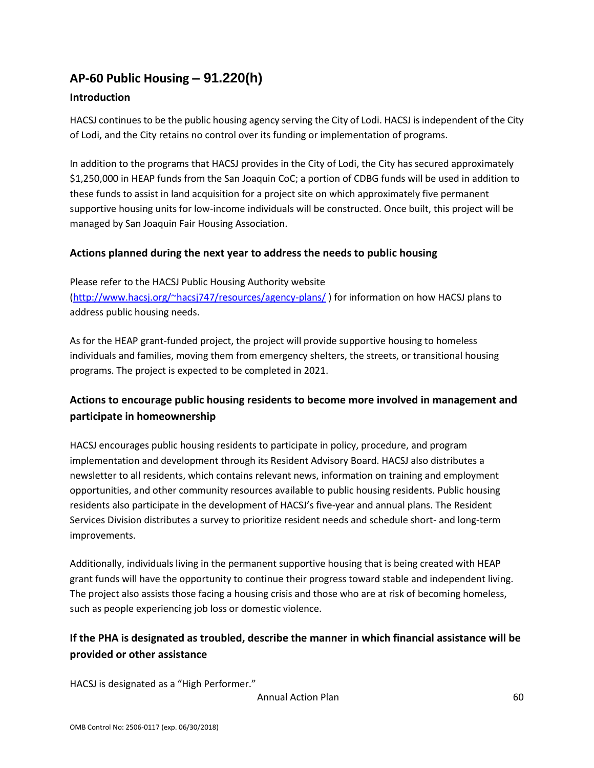# **AP-60 Public Housing** *–* **91.220(h)**

### **Introduction**

HACSJ continues to be the public housing agency serving the City of Lodi. HACSJ is independent of the City of Lodi, and the City retains no control over its funding or implementation of programs.

In addition to the programs that HACSJ provides in the City of Lodi, the City has secured approximately \$1,250,000 in HEAP funds from the San Joaquin CoC; a portion of CDBG funds will be used in addition to these funds to assist in land acquisition for a project site on which approximately five permanent supportive housing units for low-income individuals will be constructed. Once built, this project will be managed by San Joaquin Fair Housing Association.

### **Actions planned during the next year to address the needs to public housing**

Please refer to the HACSJ Public Housing Authority website [\(http://www.hacsj.org/~hacsj747/resources/agency-plans/](http://www.hacsj.org/~hacsj747/resources/agency-plans/) ) for information on how HACSJ plans to address public housing needs.

As for the HEAP grant-funded project, the project will provide supportive housing to homeless individuals and families, moving them from emergency shelters, the streets, or transitional housing programs. The project is expected to be completed in 2021.

## **Actions to encourage public housing residents to become more involved in management and participate in homeownership**

HACSJ encourages public housing residents to participate in policy, procedure, and program implementation and development through its Resident Advisory Board. HACSJ also distributes a newsletter to all residents, which contains relevant news, information on training and employment opportunities, and other community resources available to public housing residents. Public housing residents also participate in the development of HACSJ's five-year and annual plans. The Resident Services Division distributes a survey to prioritize resident needs and schedule short- and long-term improvements.

Additionally, individuals living in the permanent supportive housing that is being created with HEAP grant funds will have the opportunity to continue their progress toward stable and independent living. The project also assists those facing a housing crisis and those who are at risk of becoming homeless, such as people experiencing job loss or domestic violence.

## **If the PHA is designated as troubled, describe the manner in which financial assistance will be provided or other assistance**

HACSJ is designated as a "High Performer."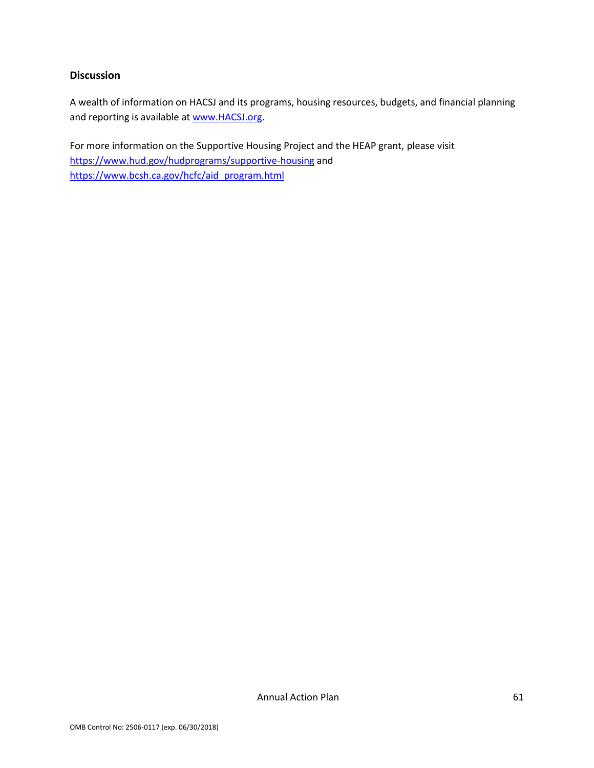#### **Discussion**

A wealth of information on HACSJ and its programs, housing resources, budgets, and financial planning and reporting is available a[t www.HACSJ.org.](http://www.hacsj.org/)

For more information on the Supportive Housing Project and the HEAP grant, please visit <https://www.hud.gov/hudprograms/supportive-housing> and [https://www.bcsh.ca.gov/hcfc/aid\\_program.html](https://www.bcsh.ca.gov/hcfc/aid_program.html)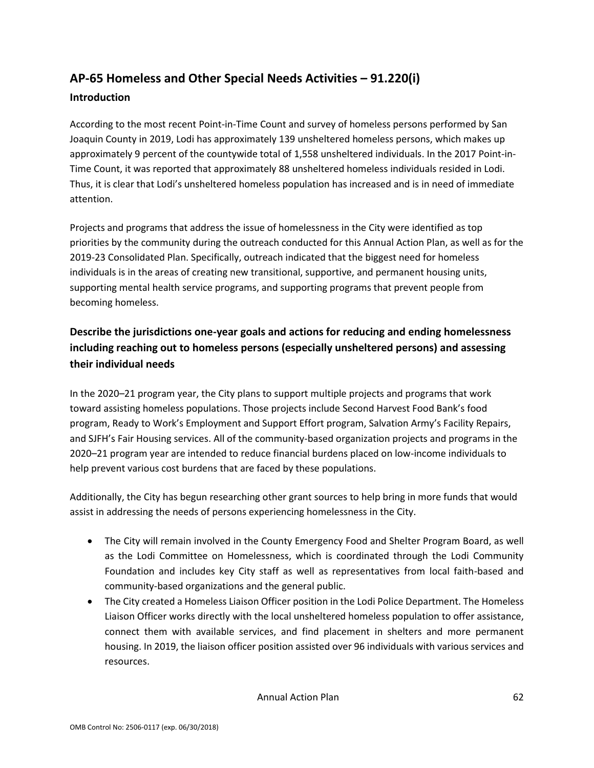# **AP-65 Homeless and Other Special Needs Activities – 91.220(i)**

### **Introduction**

According to the most recent Point-in-Time Count and survey of homeless persons performed by San Joaquin County in 2019, Lodi has approximately 139 unsheltered homeless persons, which makes up approximately 9 percent of the countywide total of 1,558 unsheltered individuals. In the 2017 Point-in-Time Count, it was reported that approximately 88 unsheltered homeless individuals resided in Lodi. Thus, it is clear that Lodi's unsheltered homeless population has increased and is in need of immediate attention.

Projects and programs that address the issue of homelessness in the City were identified as top priorities by the community during the outreach conducted for this Annual Action Plan, as well as for the 2019-23 Consolidated Plan. Specifically, outreach indicated that the biggest need for homeless individuals is in the areas of creating new transitional, supportive, and permanent housing units, supporting mental health service programs, and supporting programs that prevent people from becoming homeless.

# **Describe the jurisdictions one-year goals and actions for reducing and ending homelessness including reaching out to homeless persons (especially unsheltered persons) and assessing their individual needs**

In the 2020–21 program year, the City plans to support multiple projects and programs that work toward assisting homeless populations. Those projects include Second Harvest Food Bank's food program, Ready to Work's Employment and Support Effort program, Salvation Army's Facility Repairs, and SJFH's Fair Housing services. All of the community-based organization projects and programs in the 2020–21 program year are intended to reduce financial burdens placed on low-income individuals to help prevent various cost burdens that are faced by these populations.

Additionally, the City has begun researching other grant sources to help bring in more funds that would assist in addressing the needs of persons experiencing homelessness in the City.

- The City will remain involved in the County Emergency Food and Shelter Program Board, as well as the Lodi Committee on Homelessness, which is coordinated through the Lodi Community Foundation and includes key City staff as well as representatives from local faith-based and community-based organizations and the general public.
- The City created a Homeless Liaison Officer position in the Lodi Police Department. The Homeless Liaison Officer works directly with the local unsheltered homeless population to offer assistance, connect them with available services, and find placement in shelters and more permanent housing. In 2019, the liaison officer position assisted over 96 individuals with various services and resources.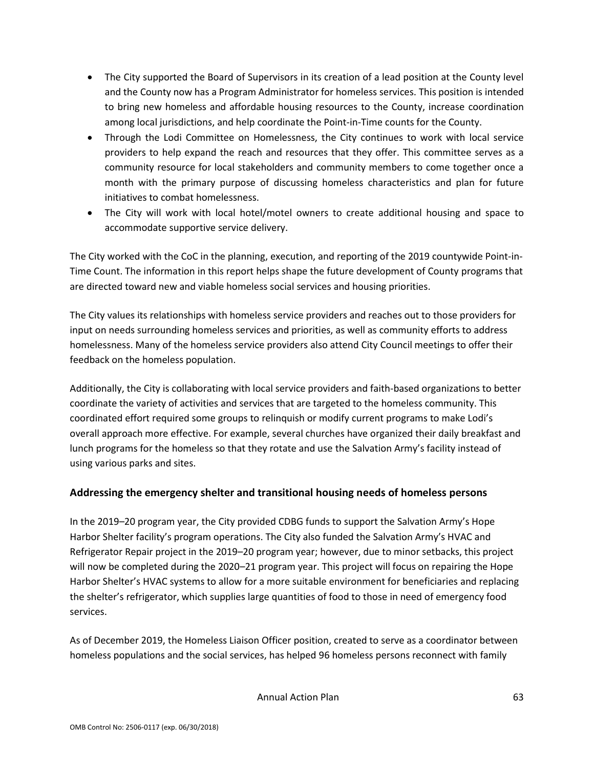- The City supported the Board of Supervisors in its creation of a lead position at the County level and the County now has a Program Administrator for homeless services. This position is intended to bring new homeless and affordable housing resources to the County, increase coordination among local jurisdictions, and help coordinate the Point-in-Time counts for the County.
- Through the Lodi Committee on Homelessness, the City continues to work with local service providers to help expand the reach and resources that they offer. This committee serves as a community resource for local stakeholders and community members to come together once a month with the primary purpose of discussing homeless characteristics and plan for future initiatives to combat homelessness.
- The City will work with local hotel/motel owners to create additional housing and space to accommodate supportive service delivery.

The City worked with the CoC in the planning, execution, and reporting of the 2019 countywide Point-in-Time Count. The information in this report helps shape the future development of County programs that are directed toward new and viable homeless social services and housing priorities.

The City values its relationships with homeless service providers and reaches out to those providers for input on needs surrounding homeless services and priorities, as well as community efforts to address homelessness. Many of the homeless service providers also attend City Council meetings to offer their feedback on the homeless population.

Additionally, the City is collaborating with local service providers and faith-based organizations to better coordinate the variety of activities and services that are targeted to the homeless community. This coordinated effort required some groups to relinquish or modify current programs to make Lodi's overall approach more effective. For example, several churches have organized their daily breakfast and lunch programs for the homeless so that they rotate and use the Salvation Army's facility instead of using various parks and sites.

### **Addressing the emergency shelter and transitional housing needs of homeless persons**

In the 2019–20 program year, the City provided CDBG funds to support the Salvation Army's Hope Harbor Shelter facility's program operations. The City also funded the Salvation Army's HVAC and Refrigerator Repair project in the 2019–20 program year; however, due to minor setbacks, this project will now be completed during the 2020–21 program year. This project will focus on repairing the Hope Harbor Shelter's HVAC systems to allow for a more suitable environment for beneficiaries and replacing the shelter's refrigerator, which supplies large quantities of food to those in need of emergency food services.

As of December 2019, the Homeless Liaison Officer position, created to serve as a coordinator between homeless populations and the social services, has helped 96 homeless persons reconnect with family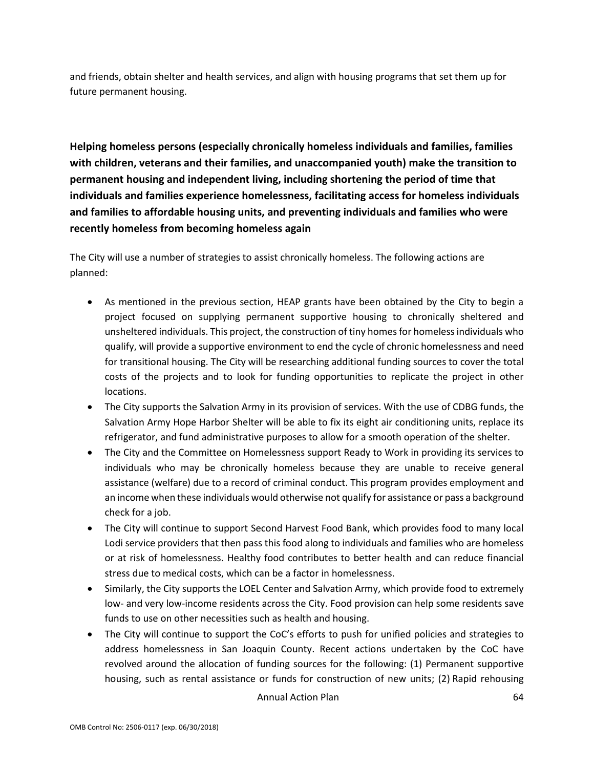and friends, obtain shelter and health services, and align with housing programs that set them up for future permanent housing.

**Helping homeless persons (especially chronically homeless individuals and families, families with children, veterans and their families, and unaccompanied youth) make the transition to permanent housing and independent living, including shortening the period of time that individuals and families experience homelessness, facilitating access for homeless individuals and families to affordable housing units, and preventing individuals and families who were recently homeless from becoming homeless again**

The City will use a number of strategies to assist chronically homeless. The following actions are planned:

- As mentioned in the previous section, HEAP grants have been obtained by the City to begin a project focused on supplying permanent supportive housing to chronically sheltered and unsheltered individuals. This project, the construction of tiny homes for homeless individuals who qualify, will provide a supportive environment to end the cycle of chronic homelessness and need for transitional housing. The City will be researching additional funding sources to cover the total costs of the projects and to look for funding opportunities to replicate the project in other locations.
- The City supports the Salvation Army in its provision of services. With the use of CDBG funds, the Salvation Army Hope Harbor Shelter will be able to fix its eight air conditioning units, replace its refrigerator, and fund administrative purposes to allow for a smooth operation of the shelter.
- The City and the Committee on Homelessness support Ready to Work in providing its services to individuals who may be chronically homeless because they are unable to receive general assistance (welfare) due to a record of criminal conduct. This program provides employment and an income when these individuals would otherwise not qualify for assistance or pass a background check for a job.
- The City will continue to support Second Harvest Food Bank, which provides food to many local Lodi service providers that then pass this food along to individuals and families who are homeless or at risk of homelessness. Healthy food contributes to better health and can reduce financial stress due to medical costs, which can be a factor in homelessness.
- Similarly, the City supports the LOEL Center and Salvation Army, which provide food to extremely low- and very low-income residents across the City. Food provision can help some residents save funds to use on other necessities such as health and housing.
- The City will continue to support the CoC's efforts to push for unified policies and strategies to address homelessness in San Joaquin County. Recent actions undertaken by the CoC have revolved around the allocation of funding sources for the following: (1) Permanent supportive housing, such as rental assistance or funds for construction of new units; (2) Rapid rehousing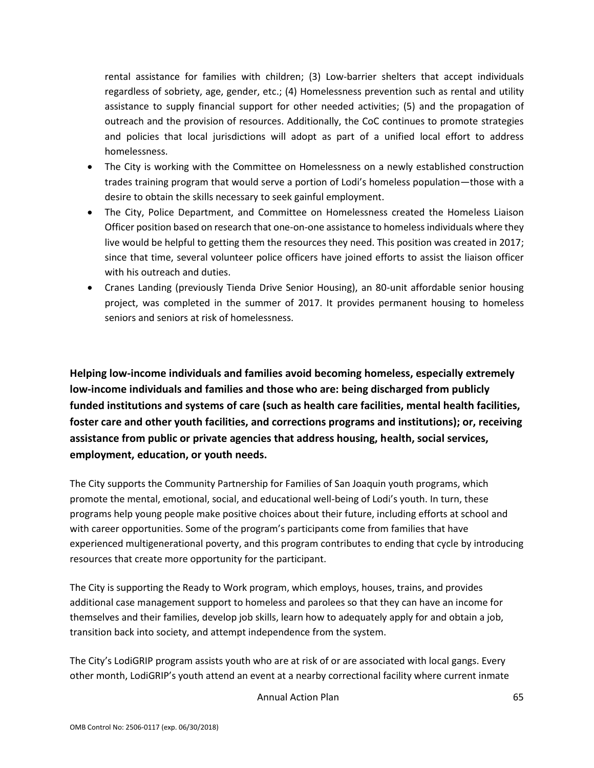rental assistance for families with children; (3) Low-barrier shelters that accept individuals regardless of sobriety, age, gender, etc.; (4) Homelessness prevention such as rental and utility assistance to supply financial support for other needed activities; (5) and the propagation of outreach and the provision of resources. Additionally, the CoC continues to promote strategies and policies that local jurisdictions will adopt as part of a unified local effort to address homelessness.

- The City is working with the Committee on Homelessness on a newly established construction trades training program that would serve a portion of Lodi's homeless population—those with a desire to obtain the skills necessary to seek gainful employment.
- The City, Police Department, and Committee on Homelessness created the Homeless Liaison Officer position based on research that one-on-one assistance to homeless individuals where they live would be helpful to getting them the resources they need. This position was created in 2017; since that time, several volunteer police officers have joined efforts to assist the liaison officer with his outreach and duties.
- Cranes Landing (previously Tienda Drive Senior Housing), an 80-unit affordable senior housing project, was completed in the summer of 2017. It provides permanent housing to homeless seniors and seniors at risk of homelessness.

**Helping low-income individuals and families avoid becoming homeless, especially extremely low-income individuals and families and those who are: being discharged from publicly funded institutions and systems of care (such as health care facilities, mental health facilities, foster care and other youth facilities, and corrections programs and institutions); or, receiving assistance from public or private agencies that address housing, health, social services, employment, education, or youth needs.**

The City supports the Community Partnership for Families of San Joaquin youth programs, which promote the mental, emotional, social, and educational well-being of Lodi's youth. In turn, these programs help young people make positive choices about their future, including efforts at school and with career opportunities. Some of the program's participants come from families that have experienced multigenerational poverty, and this program contributes to ending that cycle by introducing resources that create more opportunity for the participant.

The City is supporting the Ready to Work program, which employs, houses, trains, and provides additional case management support to homeless and parolees so that they can have an income for themselves and their families, develop job skills, learn how to adequately apply for and obtain a job, transition back into society, and attempt independence from the system.

The City's LodiGRIP program assists youth who are at risk of or are associated with local gangs. Every other month, LodiGRIP's youth attend an event at a nearby correctional facility where current inmate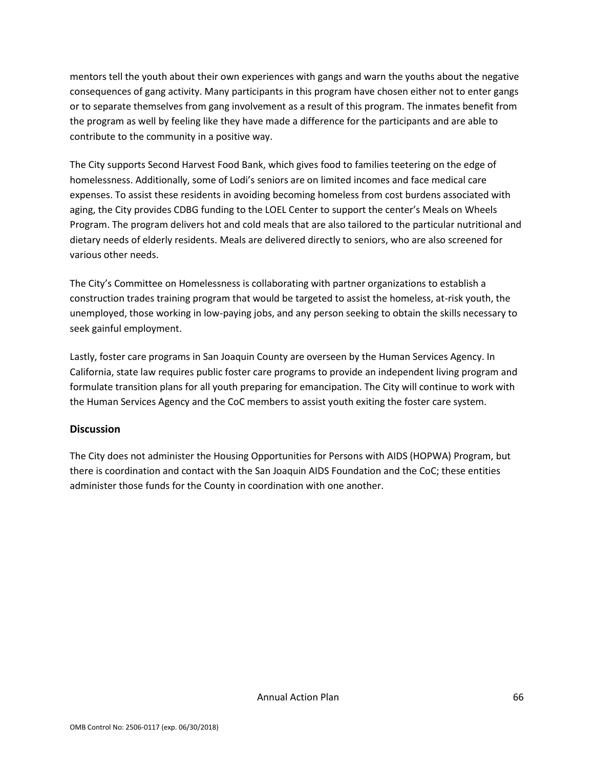mentors tell the youth about their own experiences with gangs and warn the youths about the negative consequences of gang activity. Many participants in this program have chosen either not to enter gangs or to separate themselves from gang involvement as a result of this program. The inmates benefit from the program as well by feeling like they have made a difference for the participants and are able to contribute to the community in a positive way.

The City supports Second Harvest Food Bank, which gives food to families teetering on the edge of homelessness. Additionally, some of Lodi's seniors are on limited incomes and face medical care expenses. To assist these residents in avoiding becoming homeless from cost burdens associated with aging, the City provides CDBG funding to the LOEL Center to support the center's Meals on Wheels Program. The program delivers hot and cold meals that are also tailored to the particular nutritional and dietary needs of elderly residents. Meals are delivered directly to seniors, who are also screened for various other needs.

The City's Committee on Homelessness is collaborating with partner organizations to establish a construction trades training program that would be targeted to assist the homeless, at-risk youth, the unemployed, those working in low-paying jobs, and any person seeking to obtain the skills necessary to seek gainful employment.

Lastly, foster care programs in San Joaquin County are overseen by the Human Services Agency. In California, state law requires public foster care programs to provide an independent living program and formulate transition plans for all youth preparing for emancipation. The City will continue to work with the Human Services Agency and the CoC members to assist youth exiting the foster care system.

#### **Discussion**

The City does not administer the Housing Opportunities for Persons with AIDS (HOPWA) Program, but there is coordination and contact with the San Joaquin AIDS Foundation and the CoC; these entities administer those funds for the County in coordination with one another.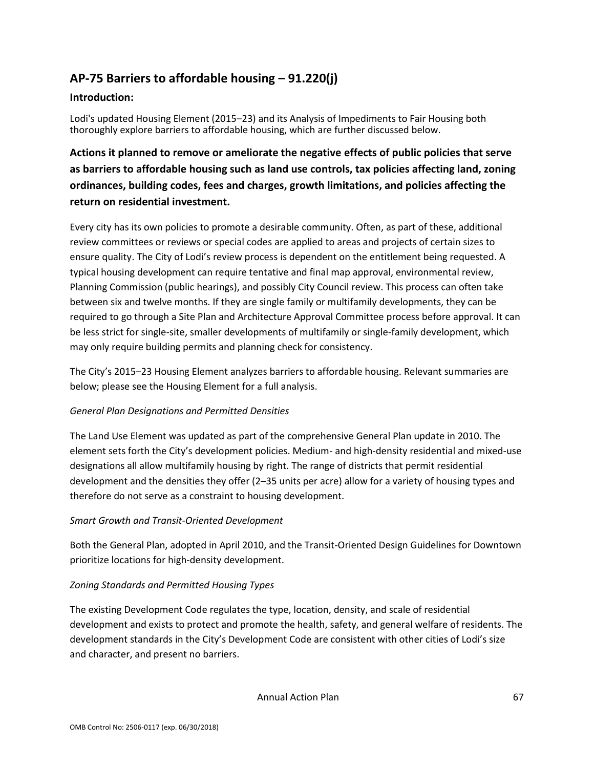# **AP-75 Barriers to affordable housing – 91.220(j)**

#### **Introduction:**

Lodi's updated Housing Element (2015–23) and its Analysis of Impediments to Fair Housing both thoroughly explore barriers to affordable housing, which are further discussed below.

# **Actions it planned to remove or ameliorate the negative effects of public policies that serve as barriers to affordable housing such as land use controls, tax policies affecting land, zoning ordinances, building codes, fees and charges, growth limitations, and policies affecting the return on residential investment.**

Every city has its own policies to promote a desirable community. Often, as part of these, additional review committees or reviews or special codes are applied to areas and projects of certain sizes to ensure quality. The City of Lodi's review process is dependent on the entitlement being requested. A typical housing development can require tentative and final map approval, environmental review, Planning Commission (public hearings), and possibly City Council review. This process can often take between six and twelve months. If they are single family or multifamily developments, they can be required to go through a Site Plan and Architecture Approval Committee process before approval. It can be less strict for single-site, smaller developments of multifamily or single-family development, which may only require building permits and planning check for consistency.

The City's 2015–23 Housing Element analyzes barriers to affordable housing. Relevant summaries are below; please see the Housing Element for a full analysis.

#### *General Plan Designations and Permitted Densities*

The Land Use Element was updated as part of the comprehensive General Plan update in 2010. The element sets forth the City's development policies. Medium- and high-density residential and mixed-use designations all allow multifamily housing by right. The range of districts that permit residential development and the densities they offer (2–35 units per acre) allow for a variety of housing types and therefore do not serve as a constraint to housing development.

#### *Smart Growth and Transit-Oriented Development*

Both the General Plan, adopted in April 2010, and the Transit-Oriented Design Guidelines for Downtown prioritize locations for high-density development.

### *Zoning Standards and Permitted Housing Types*

The existing Development Code regulates the type, location, density, and scale of residential development and exists to protect and promote the health, safety, and general welfare of residents. The development standards in the City's Development Code are consistent with other cities of Lodi's size and character, and present no barriers.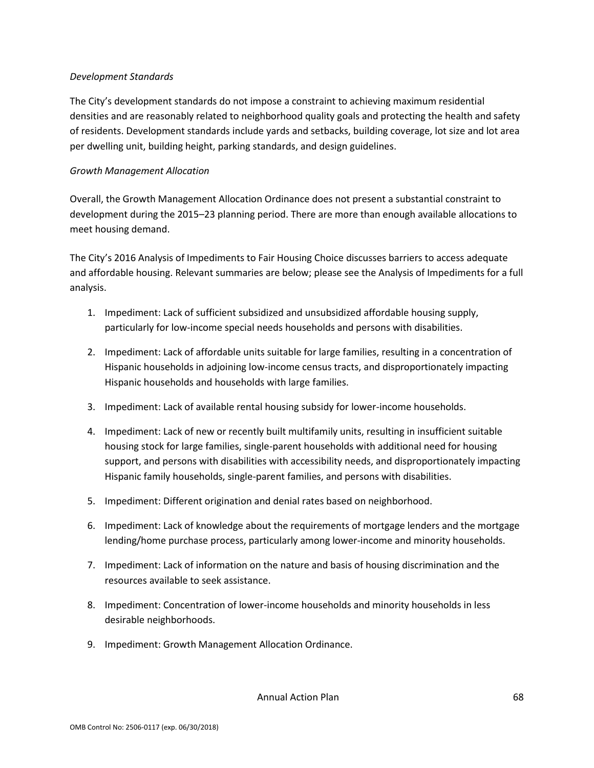#### *Development Standards*

The City's development standards do not impose a constraint to achieving maximum residential densities and are reasonably related to neighborhood quality goals and protecting the health and safety of residents. Development standards include yards and setbacks, building coverage, lot size and lot area per dwelling unit, building height, parking standards, and design guidelines.

#### *Growth Management Allocation*

Overall, the Growth Management Allocation Ordinance does not present a substantial constraint to development during the 2015–23 planning period. There are more than enough available allocations to meet housing demand.

The City's 2016 Analysis of Impediments to Fair Housing Choice discusses barriers to access adequate and affordable housing. Relevant summaries are below; please see the Analysis of Impediments for a full analysis.

- 1. Impediment: Lack of sufficient subsidized and unsubsidized affordable housing supply, particularly for low-income special needs households and persons with disabilities.
- 2. Impediment: Lack of affordable units suitable for large families, resulting in a concentration of Hispanic households in adjoining low-income census tracts, and disproportionately impacting Hispanic households and households with large families.
- 3. Impediment: Lack of available rental housing subsidy for lower-income households.
- 4. Impediment: Lack of new or recently built multifamily units, resulting in insufficient suitable housing stock for large families, single-parent households with additional need for housing support, and persons with disabilities with accessibility needs, and disproportionately impacting Hispanic family households, single-parent families, and persons with disabilities.
- 5. Impediment: Different origination and denial rates based on neighborhood.
- 6. Impediment: Lack of knowledge about the requirements of mortgage lenders and the mortgage lending/home purchase process, particularly among lower-income and minority households.
- 7. Impediment: Lack of information on the nature and basis of housing discrimination and the resources available to seek assistance.
- 8. Impediment: Concentration of lower-income households and minority households in less desirable neighborhoods.
- 9. Impediment: Growth Management Allocation Ordinance.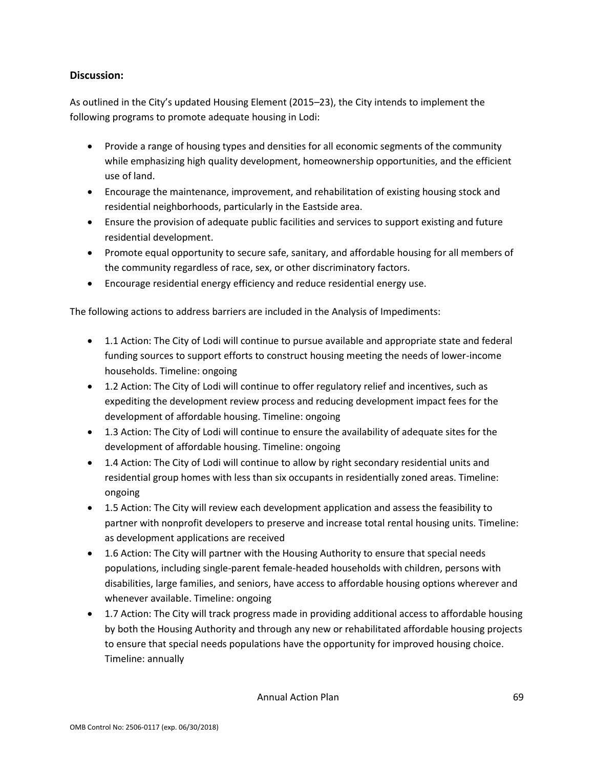### **Discussion:**

As outlined in the City's updated Housing Element (2015–23), the City intends to implement the following programs to promote adequate housing in Lodi:

- Provide a range of housing types and densities for all economic segments of the community while emphasizing high quality development, homeownership opportunities, and the efficient use of land.
- Encourage the maintenance, improvement, and rehabilitation of existing housing stock and residential neighborhoods, particularly in the Eastside area.
- Ensure the provision of adequate public facilities and services to support existing and future residential development.
- Promote equal opportunity to secure safe, sanitary, and affordable housing for all members of the community regardless of race, sex, or other discriminatory factors.
- Encourage residential energy efficiency and reduce residential energy use.

The following actions to address barriers are included in the Analysis of Impediments:

- 1.1 Action: The City of Lodi will continue to pursue available and appropriate state and federal funding sources to support efforts to construct housing meeting the needs of lower-income households. Timeline: ongoing
- 1.2 Action: The City of Lodi will continue to offer regulatory relief and incentives, such as expediting the development review process and reducing development impact fees for the development of affordable housing. Timeline: ongoing
- 1.3 Action: The City of Lodi will continue to ensure the availability of adequate sites for the development of affordable housing. Timeline: ongoing
- 1.4 Action: The City of Lodi will continue to allow by right secondary residential units and residential group homes with less than six occupants in residentially zoned areas. Timeline: ongoing
- 1.5 Action: The City will review each development application and assess the feasibility to partner with nonprofit developers to preserve and increase total rental housing units. Timeline: as development applications are received
- 1.6 Action: The City will partner with the Housing Authority to ensure that special needs populations, including single-parent female-headed households with children, persons with disabilities, large families, and seniors, have access to affordable housing options wherever and whenever available. Timeline: ongoing
- 1.7 Action: The City will track progress made in providing additional access to affordable housing by both the Housing Authority and through any new or rehabilitated affordable housing projects to ensure that special needs populations have the opportunity for improved housing choice. Timeline: annually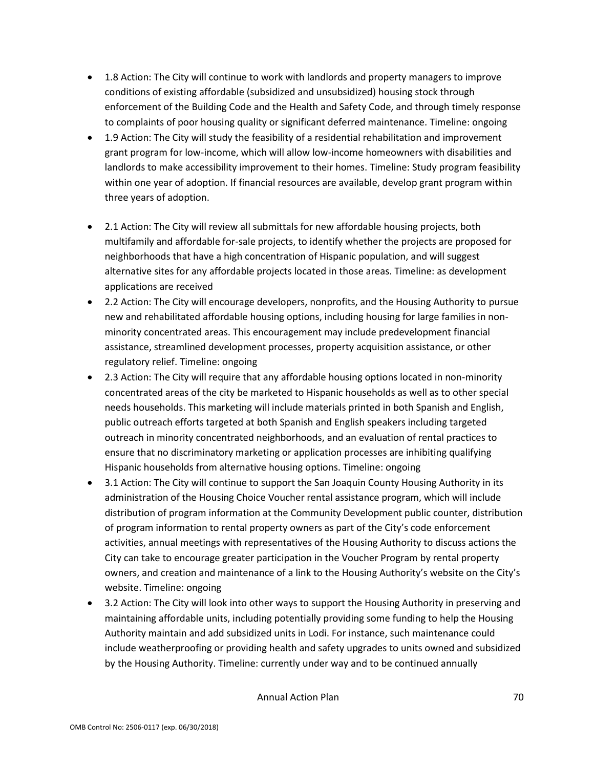- 1.8 Action: The City will continue to work with landlords and property managers to improve conditions of existing affordable (subsidized and unsubsidized) housing stock through enforcement of the Building Code and the Health and Safety Code, and through timely response to complaints of poor housing quality or significant deferred maintenance. Timeline: ongoing
- 1.9 Action: The City will study the feasibility of a residential rehabilitation and improvement grant program for low-income, which will allow low-income homeowners with disabilities and landlords to make accessibility improvement to their homes. Timeline: Study program feasibility within one year of adoption. If financial resources are available, develop grant program within three years of adoption.
- 2.1 Action: The City will review all submittals for new affordable housing projects, both multifamily and affordable for-sale projects, to identify whether the projects are proposed for neighborhoods that have a high concentration of Hispanic population, and will suggest alternative sites for any affordable projects located in those areas. Timeline: as development applications are received
- 2.2 Action: The City will encourage developers, nonprofits, and the Housing Authority to pursue new and rehabilitated affordable housing options, including housing for large families in nonminority concentrated areas. This encouragement may include predevelopment financial assistance, streamlined development processes, property acquisition assistance, or other regulatory relief. Timeline: ongoing
- 2.3 Action: The City will require that any affordable housing options located in non-minority concentrated areas of the city be marketed to Hispanic households as well as to other special needs households. This marketing will include materials printed in both Spanish and English, public outreach efforts targeted at both Spanish and English speakers including targeted outreach in minority concentrated neighborhoods, and an evaluation of rental practices to ensure that no discriminatory marketing or application processes are inhibiting qualifying Hispanic households from alternative housing options. Timeline: ongoing
- 3.1 Action: The City will continue to support the San Joaquin County Housing Authority in its administration of the Housing Choice Voucher rental assistance program, which will include distribution of program information at the Community Development public counter, distribution of program information to rental property owners as part of the City's code enforcement activities, annual meetings with representatives of the Housing Authority to discuss actions the City can take to encourage greater participation in the Voucher Program by rental property owners, and creation and maintenance of a link to the Housing Authority's website on the City's website. Timeline: ongoing
- 3.2 Action: The City will look into other ways to support the Housing Authority in preserving and maintaining affordable units, including potentially providing some funding to help the Housing Authority maintain and add subsidized units in Lodi. For instance, such maintenance could include weatherproofing or providing health and safety upgrades to units owned and subsidized by the Housing Authority. Timeline: currently under way and to be continued annually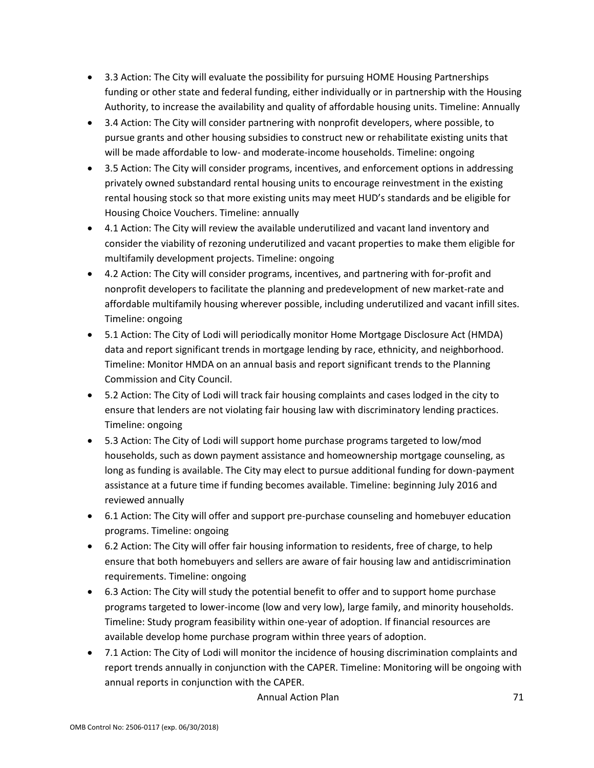- 3.3 Action: The City will evaluate the possibility for pursuing HOME Housing Partnerships funding or other state and federal funding, either individually or in partnership with the Housing Authority, to increase the availability and quality of affordable housing units. Timeline: Annually
- 3.4 Action: The City will consider partnering with nonprofit developers, where possible, to pursue grants and other housing subsidies to construct new or rehabilitate existing units that will be made affordable to low- and moderate-income households. Timeline: ongoing
- 3.5 Action: The City will consider programs, incentives, and enforcement options in addressing privately owned substandard rental housing units to encourage reinvestment in the existing rental housing stock so that more existing units may meet HUD's standards and be eligible for Housing Choice Vouchers. Timeline: annually
- 4.1 Action: The City will review the available underutilized and vacant land inventory and consider the viability of rezoning underutilized and vacant properties to make them eligible for multifamily development projects. Timeline: ongoing
- 4.2 Action: The City will consider programs, incentives, and partnering with for-profit and nonprofit developers to facilitate the planning and predevelopment of new market-rate and affordable multifamily housing wherever possible, including underutilized and vacant infill sites. Timeline: ongoing
- 5.1 Action: The City of Lodi will periodically monitor Home Mortgage Disclosure Act (HMDA) data and report significant trends in mortgage lending by race, ethnicity, and neighborhood. Timeline: Monitor HMDA on an annual basis and report significant trends to the Planning Commission and City Council.
- 5.2 Action: The City of Lodi will track fair housing complaints and cases lodged in the city to ensure that lenders are not violating fair housing law with discriminatory lending practices. Timeline: ongoing
- 5.3 Action: The City of Lodi will support home purchase programs targeted to low/mod households, such as down payment assistance and homeownership mortgage counseling, as long as funding is available. The City may elect to pursue additional funding for down-payment assistance at a future time if funding becomes available. Timeline: beginning July 2016 and reviewed annually
- 6.1 Action: The City will offer and support pre-purchase counseling and homebuyer education programs. Timeline: ongoing
- 6.2 Action: The City will offer fair housing information to residents, free of charge, to help ensure that both homebuyers and sellers are aware of fair housing law and antidiscrimination requirements. Timeline: ongoing
- 6.3 Action: The City will study the potential benefit to offer and to support home purchase programs targeted to lower-income (low and very low), large family, and minority households. Timeline: Study program feasibility within one-year of adoption. If financial resources are available develop home purchase program within three years of adoption.
- 7.1 Action: The City of Lodi will monitor the incidence of housing discrimination complaints and report trends annually in conjunction with the CAPER. Timeline: Monitoring will be ongoing with annual reports in conjunction with the CAPER.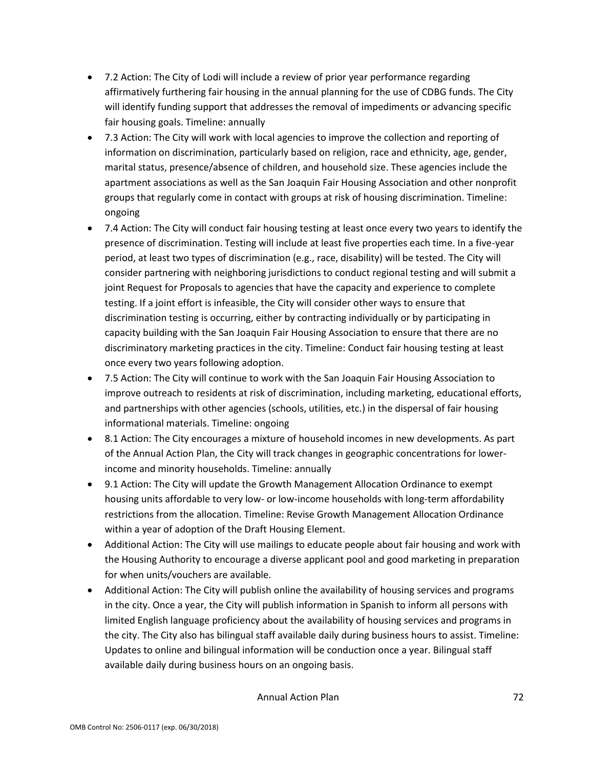- 7.2 Action: The City of Lodi will include a review of prior year performance regarding affirmatively furthering fair housing in the annual planning for the use of CDBG funds. The City will identify funding support that addresses the removal of impediments or advancing specific fair housing goals. Timeline: annually
- 7.3 Action: The City will work with local agencies to improve the collection and reporting of information on discrimination, particularly based on religion, race and ethnicity, age, gender, marital status, presence/absence of children, and household size. These agencies include the apartment associations as well as the San Joaquin Fair Housing Association and other nonprofit groups that regularly come in contact with groups at risk of housing discrimination. Timeline: ongoing
- 7.4 Action: The City will conduct fair housing testing at least once every two years to identify the presence of discrimination. Testing will include at least five properties each time. In a five-year period, at least two types of discrimination (e.g., race, disability) will be tested. The City will consider partnering with neighboring jurisdictions to conduct regional testing and will submit a joint Request for Proposals to agencies that have the capacity and experience to complete testing. If a joint effort is infeasible, the City will consider other ways to ensure that discrimination testing is occurring, either by contracting individually or by participating in capacity building with the San Joaquin Fair Housing Association to ensure that there are no discriminatory marketing practices in the city. Timeline: Conduct fair housing testing at least once every two years following adoption.
- 7.5 Action: The City will continue to work with the San Joaquin Fair Housing Association to improve outreach to residents at risk of discrimination, including marketing, educational efforts, and partnerships with other agencies (schools, utilities, etc.) in the dispersal of fair housing informational materials. Timeline: ongoing
- 8.1 Action: The City encourages a mixture of household incomes in new developments. As part of the Annual Action Plan, the City will track changes in geographic concentrations for lowerincome and minority households. Timeline: annually
- 9.1 Action: The City will update the Growth Management Allocation Ordinance to exempt housing units affordable to very low- or low-income households with long-term affordability restrictions from the allocation. Timeline: Revise Growth Management Allocation Ordinance within a year of adoption of the Draft Housing Element.
- Additional Action: The City will use mailings to educate people about fair housing and work with the Housing Authority to encourage a diverse applicant pool and good marketing in preparation for when units/vouchers are available.
- Additional Action: The City will publish online the availability of housing services and programs in the city. Once a year, the City will publish information in Spanish to inform all persons with limited English language proficiency about the availability of housing services and programs in the city. The City also has bilingual staff available daily during business hours to assist. Timeline: Updates to online and bilingual information will be conduction once a year. Bilingual staff available daily during business hours on an ongoing basis.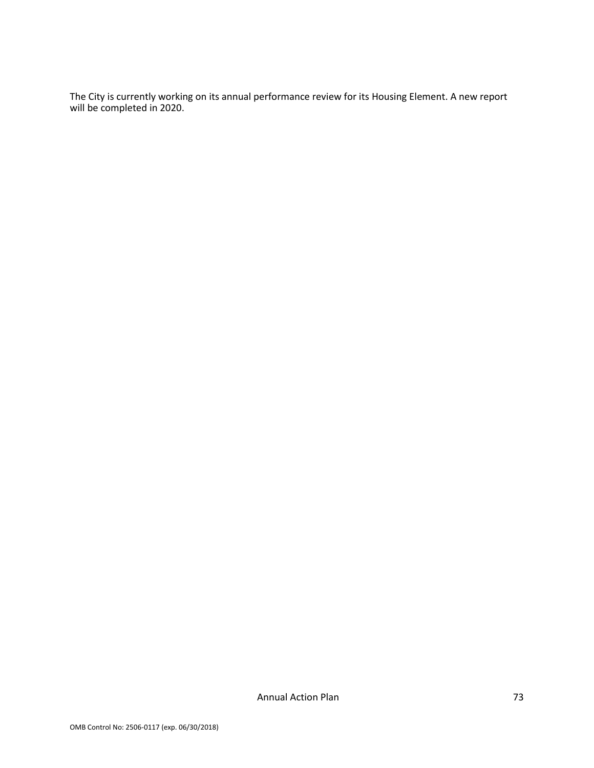The City is currently working on its annual performance review for its Housing Element. A new report will be completed in 2020.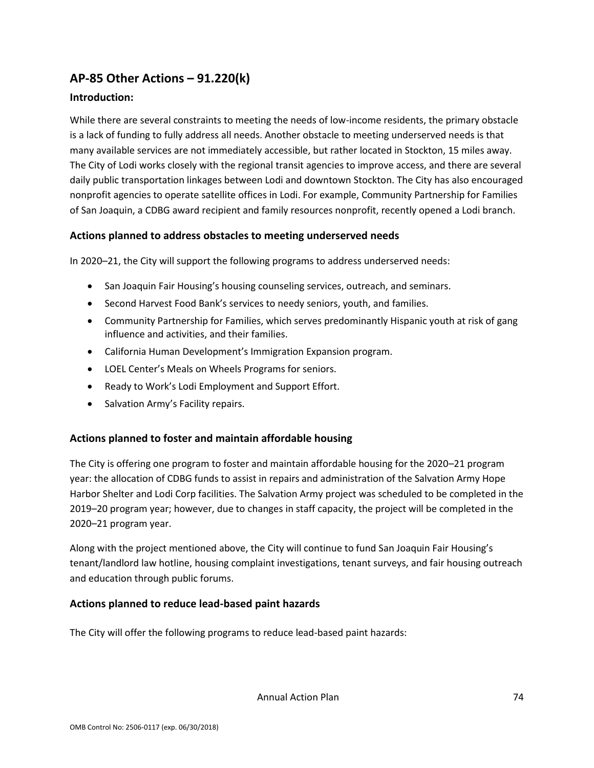# **AP-85 Other Actions – 91.220(k)**

# **Introduction:**

While there are several constraints to meeting the needs of low-income residents, the primary obstacle is a lack of funding to fully address all needs. Another obstacle to meeting underserved needs is that many available services are not immediately accessible, but rather located in Stockton, 15 miles away. The City of Lodi works closely with the regional transit agencies to improve access, and there are several daily public transportation linkages between Lodi and downtown Stockton. The City has also encouraged nonprofit agencies to operate satellite offices in Lodi. For example, Community Partnership for Families of San Joaquin, a CDBG award recipient and family resources nonprofit, recently opened a Lodi branch.

# **Actions planned to address obstacles to meeting underserved needs**

In 2020–21, the City will support the following programs to address underserved needs:

- San Joaquin Fair Housing's housing counseling services, outreach, and seminars.
- Second Harvest Food Bank's services to needy seniors, youth, and families.
- Community Partnership for Families, which serves predominantly Hispanic youth at risk of gang influence and activities, and their families.
- California Human Development's Immigration Expansion program.
- LOEL Center's Meals on Wheels Programs for seniors.
- Ready to Work's Lodi Employment and Support Effort.
- Salvation Army's Facility repairs.

## **Actions planned to foster and maintain affordable housing**

The City is offering one program to foster and maintain affordable housing for the 2020–21 program year: the allocation of CDBG funds to assist in repairs and administration of the Salvation Army Hope Harbor Shelter and Lodi Corp facilities. The Salvation Army project was scheduled to be completed in the 2019–20 program year; however, due to changes in staff capacity, the project will be completed in the 2020–21 program year.

Along with the project mentioned above, the City will continue to fund San Joaquin Fair Housing's tenant/landlord law hotline, housing complaint investigations, tenant surveys, and fair housing outreach and education through public forums.

## **Actions planned to reduce lead-based paint hazards**

The City will offer the following programs to reduce lead-based paint hazards:

Annual Action Plan 74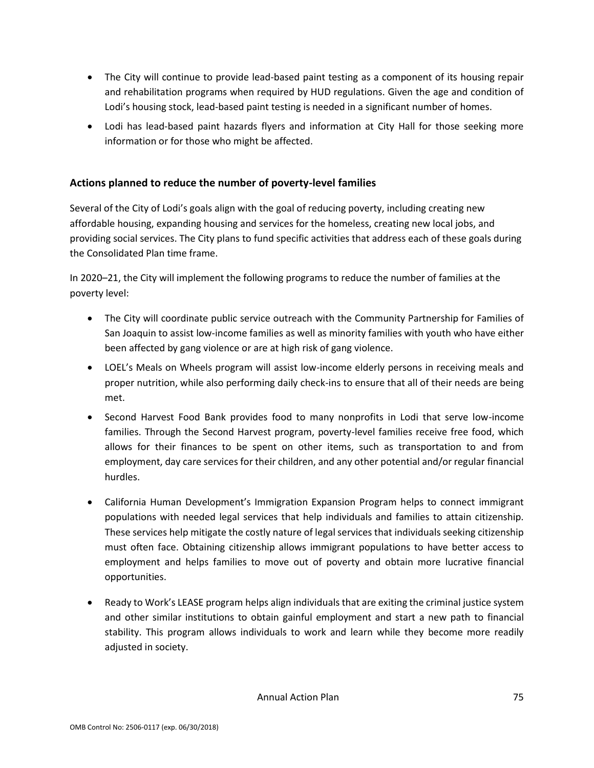- The City will continue to provide lead-based paint testing as a component of its housing repair and rehabilitation programs when required by HUD regulations. Given the age and condition of Lodi's housing stock, lead-based paint testing is needed in a significant number of homes.
- Lodi has lead-based paint hazards flyers and information at City Hall for those seeking more information or for those who might be affected.

# **Actions planned to reduce the number of poverty-level families**

Several of the City of Lodi's goals align with the goal of reducing poverty, including creating new affordable housing, expanding housing and services for the homeless, creating new local jobs, and providing social services. The City plans to fund specific activities that address each of these goals during the Consolidated Plan time frame.

In 2020–21, the City will implement the following programs to reduce the number of families at the poverty level:

- The City will coordinate public service outreach with the Community Partnership for Families of San Joaquin to assist low-income families as well as minority families with youth who have either been affected by gang violence or are at high risk of gang violence.
- LOEL's Meals on Wheels program will assist low-income elderly persons in receiving meals and proper nutrition, while also performing daily check-ins to ensure that all of their needs are being met.
- Second Harvest Food Bank provides food to many nonprofits in Lodi that serve low-income families. Through the Second Harvest program, poverty-level families receive free food, which allows for their finances to be spent on other items, such as transportation to and from employment, day care services for their children, and any other potential and/or regular financial hurdles.
- California Human Development's Immigration Expansion Program helps to connect immigrant populations with needed legal services that help individuals and families to attain citizenship. These services help mitigate the costly nature of legal services that individuals seeking citizenship must often face. Obtaining citizenship allows immigrant populations to have better access to employment and helps families to move out of poverty and obtain more lucrative financial opportunities.
- Ready to Work's LEASE program helps align individuals that are exiting the criminal justice system and other similar institutions to obtain gainful employment and start a new path to financial stability. This program allows individuals to work and learn while they become more readily adjusted in society.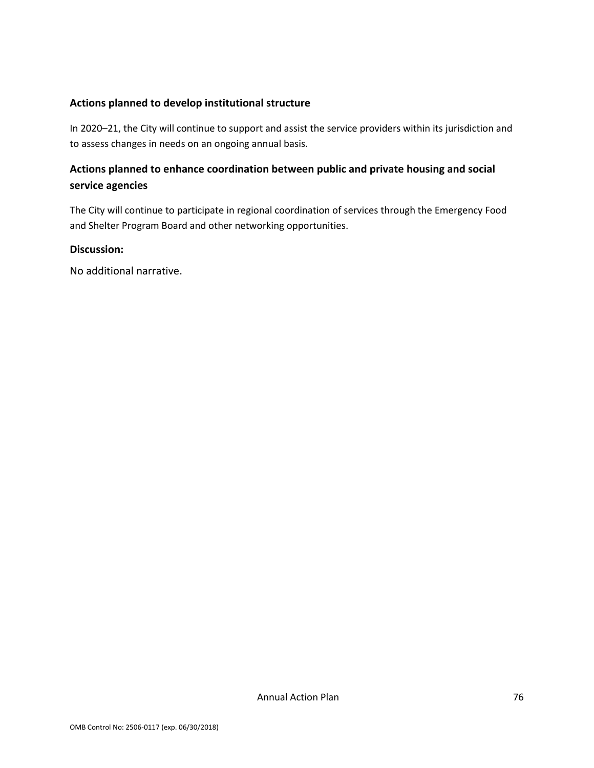### **Actions planned to develop institutional structure**

In 2020–21, the City will continue to support and assist the service providers within its jurisdiction and to assess changes in needs on an ongoing annual basis.

# **Actions planned to enhance coordination between public and private housing and social service agencies**

The City will continue to participate in regional coordination of services through the Emergency Food and Shelter Program Board and other networking opportunities.

#### **Discussion:**

No additional narrative.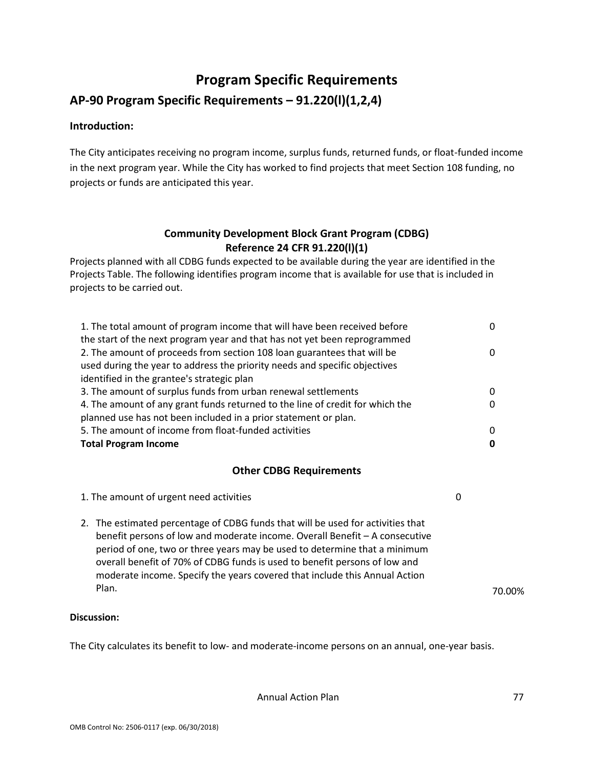# **Program Specific Requirements**

# **AP-90 Program Specific Requirements – 91.220(l)(1,2,4)**

# **Introduction:**

The City anticipates receiving no program income, surplus funds, returned funds, or float-funded income in the next program year. While the City has worked to find projects that meet Section 108 funding, no projects or funds are anticipated this year.

# **Community Development Block Grant Program (CDBG) Reference 24 CFR 91.220(l)(1)**

Projects planned with all CDBG funds expected to be available during the year are identified in the Projects Table. The following identifies program income that is available for use that is included in projects to be carried out.

| 1. The total amount of program income that will have been received before     | 0 |
|-------------------------------------------------------------------------------|---|
| the start of the next program year and that has not yet been reprogrammed     |   |
| 2. The amount of proceeds from section 108 loan guarantees that will be       | 0 |
| used during the year to address the priority needs and specific objectives    |   |
| identified in the grantee's strategic plan                                    |   |
| 3. The amount of surplus funds from urban renewal settlements                 | 0 |
| 4. The amount of any grant funds returned to the line of credit for which the | 0 |
| planned use has not been included in a prior statement or plan.               |   |
| 5. The amount of income from float-funded activities                          | 0 |
| <b>Total Program Income</b>                                                   | 0 |

## **Other CDBG Requirements**

1. The amount of urgent need activities 0 2. The estimated percentage of CDBG funds that will be used for activities that benefit persons of low and moderate income. Overall Benefit – A consecutive period of one, two or three years may be used to determine that a minimum overall benefit of 70% of CDBG funds is used to benefit persons of low and moderate income. Specify the years covered that include this Annual Action Plan. 2008 2014 2014 2015 2020 2021 2021 2022 2032 2040 2051 2052 2053 2054 2055 2056 2057 2010 2057 2010 205

## **Discussion:**

The City calculates its benefit to low- and moderate-income persons on an annual, one-year basis.

Annual Action Plan **77**